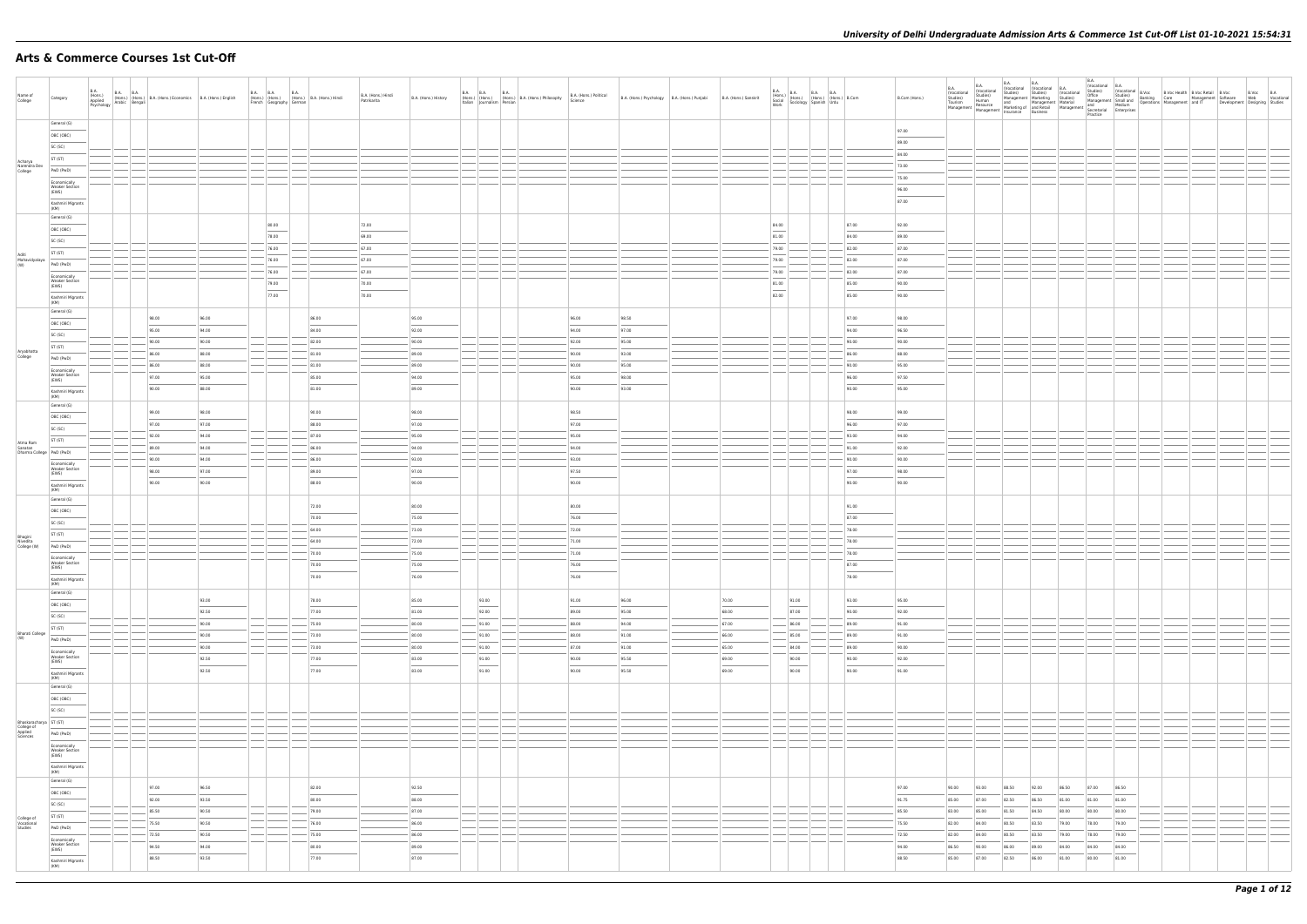# **Arts & Commerce Courses 1st Cut-Off**

| Name of<br>College                                          | Category                                                                                                                                                                                                                                                                                                                                                                                                                                                                                                                                                                 | <b>B.A.</b> |                                  | B.A. (Hons.) B.A. B.A. (Hons.) B.A. (Hons.) Economics B.A. (Hons.) English Applied Arabic Bengali (Hons.) English Asychology Arabic Bengali |                                  | B.A. B.A. B.A. B.A. (Hons.)<br>(Hons.) (Hons.) (Hons.) B.A. (Hons.) Hindi<br>French Geography German | B.A. (Hons.) Hindi<br>Patrikarita | B.A. (Hons.) History                                |          | <b>B.A. B.A. B.A.</b>       | (Hons.) (Hons.) (Hons.) B.A. (Hons.) Philosophy B.A. (Hons.) (Hons.) (Hons.) B.A. (Hons.) and B.A. (Hons.) Cience | B.A. (Hons.) Political                                                                                                                                                                                                                                                                                                                                                                                                                                                                                | B.A. (Hons.) Psychology B.A. (Hons.) Punjabi | B.A. (Hons.) Sanskrit               | <b>B.A.</b><br>Work              | B.A. (Hons.) B.A. B.A. (Hons.) B.Com<br>Social (Hons.) (Hons.) (Hons.) B.Com<br>Work Sociology Spanish Urdu |                                                                                                                                                                                                                                                                                                                                                                                                                                                                                                       | B.Com (Hons.)                    | <b>B.A.</b><br>Vocational<br>Studies)<br>Tourism | B.A.<br>(Vocational<br>Studies)<br>Human<br>Sturius,<br>Tourism<br>Management Management Insurance Business<br>Insurance Business | <b>B.A.</b>                      | <b>B.A.</b>                      |                                  | B.A.                             |                                  |  |  |
|-------------------------------------------------------------|--------------------------------------------------------------------------------------------------------------------------------------------------------------------------------------------------------------------------------------------------------------------------------------------------------------------------------------------------------------------------------------------------------------------------------------------------------------------------------------------------------------------------------------------------------------------------|-------------|----------------------------------|---------------------------------------------------------------------------------------------------------------------------------------------|----------------------------------|------------------------------------------------------------------------------------------------------|-----------------------------------|-----------------------------------------------------|----------|-----------------------------|-------------------------------------------------------------------------------------------------------------------|-------------------------------------------------------------------------------------------------------------------------------------------------------------------------------------------------------------------------------------------------------------------------------------------------------------------------------------------------------------------------------------------------------------------------------------------------------------------------------------------------------|----------------------------------------------|-------------------------------------|----------------------------------|-------------------------------------------------------------------------------------------------------------|-------------------------------------------------------------------------------------------------------------------------------------------------------------------------------------------------------------------------------------------------------------------------------------------------------------------------------------------------------------------------------------------------------------------------------------------------------------------------------------------------------|----------------------------------|--------------------------------------------------|-----------------------------------------------------------------------------------------------------------------------------------|----------------------------------|----------------------------------|----------------------------------|----------------------------------|----------------------------------|--|--|
| Acharya                                                     | General (G)<br>OBC (OBC)<br>SC (SC)<br>ST (ST)                                                                                                                                                                                                                                                                                                                                                                                                                                                                                                                           |             |                                  |                                                                                                                                             |                                  |                                                                                                      |                                   |                                                     |          |                             |                                                                                                                   |                                                                                                                                                                                                                                                                                                                                                                                                                                                                                                       |                                              |                                     |                                  |                                                                                                             |                                                                                                                                                                                                                                                                                                                                                                                                                                                                                                       | 97.00<br>89.00<br>84.00          |                                                  |                                                                                                                                   |                                  |                                  |                                  |                                  |                                  |  |  |
| Narendra Dev<br>College                                     | PwD (PwD)<br>Economically<br><b>Weaker Section</b><br>(EWS)<br>Kashmiri Migrants<br>(KM)                                                                                                                                                                                                                                                                                                                                                                                                                                                                                 |             |                                  |                                                                                                                                             |                                  |                                                                                                      |                                   |                                                     |          |                             |                                                                                                                   |                                                                                                                                                                                                                                                                                                                                                                                                                                                                                                       |                                              |                                     |                                  |                                                                                                             |                                                                                                                                                                                                                                                                                                                                                                                                                                                                                                       | 73.00<br>75.00<br>96.00<br>87.00 |                                                  |                                                                                                                                   |                                  |                                  |                                  |                                  |                                  |  |  |
| Aditi<br>Mahavidyalaya<br>(W)                               | General (G)<br>OBC (OBC)<br>SC (SC)<br>ST (ST)<br>PwD (PwD)                                                                                                                                                                                                                                                                                                                                                                                                                                                                                                              |             |                                  |                                                                                                                                             | 80.00<br>78.00<br>76.00<br>76.00 |                                                                                                      | 72.00<br>69.00<br>67.00<br>67.00  |                                                     |          |                             |                                                                                                                   |                                                                                                                                                                                                                                                                                                                                                                                                                                                                                                       |                                              |                                     | 84.00<br>81.00<br>79.00<br>79.00 |                                                                                                             | 87.00<br>84.00<br>82.00<br>82.00                                                                                                                                                                                                                                                                                                                                                                                                                                                                      | 92.00<br>89.00<br>87.00<br>87.00 |                                                  |                                                                                                                                   |                                  |                                  |                                  |                                  |                                  |  |  |
|                                                             | Economically<br><b>Weaker Section</b><br>(EWS)<br>$\frac{1}{2} \left( \frac{1}{2} \right) \left( \frac{1}{2} \right) \left( \frac{1}{2} \right) \left( \frac{1}{2} \right) \left( \frac{1}{2} \right) \left( \frac{1}{2} \right) \left( \frac{1}{2} \right) \left( \frac{1}{2} \right) \left( \frac{1}{2} \right) \left( \frac{1}{2} \right) \left( \frac{1}{2} \right) \left( \frac{1}{2} \right) \left( \frac{1}{2} \right) \left( \frac{1}{2} \right) \left( \frac{1}{2} \right) \left( \frac{1}{2} \right) \left( \frac$<br>Kashmiri Migrants<br>(KM)<br>General (G) |             |                                  |                                                                                                                                             | 76.00<br>79.00<br>77.00          |                                                                                                      | 67.00<br>70.00<br>70.00           |                                                     |          |                             |                                                                                                                   |                                                                                                                                                                                                                                                                                                                                                                                                                                                                                                       |                                              |                                     | 79.00<br>81.00<br>82.00          |                                                                                                             | 82.00<br>85.00<br>85.00                                                                                                                                                                                                                                                                                                                                                                                                                                                                               | 87.00<br>90.00<br>90.00          |                                                  |                                                                                                                                   |                                  |                                  |                                  |                                  |                                  |  |  |
| Aryabhatta<br>College                                       | OBC (OBC)<br>SC (SC)<br>ST (ST)<br>PwD (PwD)                                                                                                                                                                                                                                                                                                                                                                                                                                                                                                                             |             | 98.00<br>95.00<br>90.00<br>86.00 | 96.00<br>94.00<br>90.00<br>88.00                                                                                                            |                                  | 86.00<br>84.00<br>82.00<br>81.00                                                                     |                                   | 95.00<br>92.00<br>90.00<br>89.00                    |          |                             |                                                                                                                   | 96.00<br>94.00<br>92.00<br>90.00                                                                                                                                                                                                                                                                                                                                                                                                                                                                      | 98.50<br>97.00<br>95.00<br>93.00             |                                     |                                  |                                                                                                             | 97.00<br>94.00<br>90.00<br>86.00                                                                                                                                                                                                                                                                                                                                                                                                                                                                      | 98.00<br>96.50<br>90.00<br>88.00 |                                                  |                                                                                                                                   |                                  |                                  |                                  |                                  |                                  |  |  |
|                                                             | Economically<br><b>Weaker Section</b><br>(EWS)<br>Kashmiri Migrants<br>(KM)<br>General (G)                                                                                                                                                                                                                                                                                                                                                                                                                                                                               |             | 86.00<br>97.00<br>90.00<br>99.00 | 88.00<br>95.00<br>88.00<br>98.00                                                                                                            |                                  | 81.00<br>85.00<br>81.00<br>90.00                                                                     |                                   | 89.00<br>94.00<br>89.00<br>98.00                    |          |                             |                                                                                                                   | 90.00<br>95.00<br>90.00<br>98.50                                                                                                                                                                                                                                                                                                                                                                                                                                                                      | 95.00<br>98.00<br>93.00                      |                                     |                                  |                                                                                                             | 90.00<br>96.00<br>90.00<br>98.00                                                                                                                                                                                                                                                                                                                                                                                                                                                                      | 95.00<br>97.50<br>95.00<br>99.00 |                                                  |                                                                                                                                   |                                  |                                  |                                  |                                  |                                  |  |  |
| Atma Ram<br>Sanatan                                         | OBC (OBC)<br>SC (SC)<br>ST (ST)<br>Dharma College   PwD (PwD)<br>Economically                                                                                                                                                                                                                                                                                                                                                                                                                                                                                            |             | 97.00<br>92.00<br>89.00<br>90.00 | 97.00<br>94.00<br>94.00<br>94.00                                                                                                            |                                  | 88.00<br>87.00<br>86.00<br>86.00                                                                     |                                   | 97.00<br>95.00<br>94.00<br>93.00                    |          |                             |                                                                                                                   | 97.00<br>95.00<br>94.00<br>93.00                                                                                                                                                                                                                                                                                                                                                                                                                                                                      |                                              |                                     |                                  |                                                                                                             | 96.00<br>93.00<br>91.00<br>90.00                                                                                                                                                                                                                                                                                                                                                                                                                                                                      | 97.00<br>94.00<br>92.00<br>90.00 |                                                  |                                                                                                                                   |                                  |                                  |                                  |                                  |                                  |  |  |
|                                                             | <b>Weaker Section</b><br>(EWS)<br>Kashmiri Migrants<br>(KM)<br>General (G)<br>OBC (OBC)                                                                                                                                                                                                                                                                                                                                                                                                                                                                                  |             | 98.00<br>90.00                   | 97.00<br>90.00                                                                                                                              |                                  | 89.00<br>88.00<br>72.00                                                                              |                                   | 97.00<br>90.00<br>80.00                             |          |                             |                                                                                                                   | 97.50<br>90.00<br>80.00                                                                                                                                                                                                                                                                                                                                                                                                                                                                               |                                              |                                     |                                  |                                                                                                             | 97.00<br>90.00<br>91.00                                                                                                                                                                                                                                                                                                                                                                                                                                                                               | 98.00<br>90.00                   |                                                  |                                                                                                                                   |                                  |                                  |                                  |                                  |                                  |  |  |
| Bhagini<br>Nivedita<br>College (W)                          | SC (SC)<br>ST (ST)<br>PwD (PwD)<br>Economically<br>Weaker Section                                                                                                                                                                                                                                                                                                                                                                                                                                                                                                        |             |                                  |                                                                                                                                             |                                  | 70.00<br>64.00<br>64.00<br>70.00<br>70.00                                                            |                                   | 75.00<br>73.00<br>72.00<br>75.00<br>75.00           |          |                             |                                                                                                                   | 76.00<br>72.00<br>71.00<br>71.00<br>76.00                                                                                                                                                                                                                                                                                                                                                                                                                                                             |                                              |                                     |                                  |                                                                                                             | 87.00<br>78.00<br>78.00<br>78.00<br>87.00                                                                                                                                                                                                                                                                                                                                                                                                                                                             |                                  |                                                  |                                                                                                                                   |                                  |                                  |                                  |                                  |                                  |  |  |
|                                                             | (EWS)<br>Kashmiri Migrants<br>(KM)<br>General (G)<br>OBC (OBC)<br><b>Service Control</b>                                                                                                                                                                                                                                                                                                                                                                                                                                                                                 |             |                                  | 93.00<br>92.50                                                                                                                              |                                  | 70.00<br>78.00<br>77.00                                                                              |                                   | $\overline{\phantom{a}}$<br>76.00<br>85.00<br>81.00 |          | 93.00<br>$\sim$<br>92.00    |                                                                                                                   | $\frac{1}{2} \left( \frac{1}{2} \right) \left( \frac{1}{2} \right) \left( \frac{1}{2} \right) \left( \frac{1}{2} \right) \left( \frac{1}{2} \right) \left( \frac{1}{2} \right) \left( \frac{1}{2} \right) \left( \frac{1}{2} \right) \left( \frac{1}{2} \right) \left( \frac{1}{2} \right) \left( \frac{1}{2} \right) \left( \frac{1}{2} \right) \left( \frac{1}{2} \right) \left( \frac{1}{2} \right) \left( \frac{1}{2} \right) \left( \frac{1}{2} \right) \left( \frac$<br>76.00<br>91.00<br>89.00 | 96.00<br>95.00                               | 70.00<br>68.00                      |                                  | 91.00<br>$\overline{\phantom{a}}$<br>87.00                                                                  | $\frac{1}{2} \left( \frac{1}{2} \right) \left( \frac{1}{2} \right) \left( \frac{1}{2} \right) \left( \frac{1}{2} \right) \left( \frac{1}{2} \right) \left( \frac{1}{2} \right) \left( \frac{1}{2} \right) \left( \frac{1}{2} \right) \left( \frac{1}{2} \right) \left( \frac{1}{2} \right) \left( \frac{1}{2} \right) \left( \frac{1}{2} \right) \left( \frac{1}{2} \right) \left( \frac{1}{2} \right) \left( \frac{1}{2} \right) \left( \frac{1}{2} \right) \left( \frac$<br>78.00<br>93.00<br>90.00 | 95.00<br>92.00                   |                                                  |                                                                                                                                   |                                  |                                  |                                  |                                  |                                  |  |  |
| <b>Bharati College</b><br>(W)                               | SC (SC)<br>ST (ST)<br>PwD (PwD)<br>Economically<br><b>Weaker Section</b><br>(EWS)                                                                                                                                                                                                                                                                                                                                                                                                                                                                                        |             |                                  | 90.00<br>90.00<br>90.00<br>92.50                                                                                                            |                                  | 75.00<br>73.00<br>73.00<br>77.00                                                                     |                                   | 80.00<br>80.00<br>80.00<br>83.00                    | $-91.00$ | 91.00<br>$-$ 91.00<br>91.00 |                                                                                                                   | 88.00<br>88.00<br>87.00<br>90.00                                                                                                                                                                                                                                                                                                                                                                                                                                                                      | 94.00<br>91.00<br>91.00<br>95.50             | $-67.00$<br>66.00<br>65.00<br>69.00 |                                  | 86.00<br>85.00<br>84.00<br>90.00                                                                            | 89.00<br>89.00<br>89.00<br>90.00                                                                                                                                                                                                                                                                                                                                                                                                                                                                      | 91.00<br>91.00<br>90.00<br>92.00 |                                                  |                                                                                                                                   |                                  |                                  |                                  |                                  |                                  |  |  |
|                                                             | $\sim$<br>Kashmiri Migrants<br>(KM)<br>General (G)<br>OBC (OBC)<br>SC (SC)                                                                                                                                                                                                                                                                                                                                                                                                                                                                                               |             |                                  | 92.50                                                                                                                                       |                                  | 77.00                                                                                                |                                   | 83.00                                               |          | $\sim$<br>91.00             |                                                                                                                   | $\frac{1}{2}$<br>90.00                                                                                                                                                                                                                                                                                                                                                                                                                                                                                | 95.50                                        | and the control<br>69.00            |                                  | $\overline{\phantom{a}}$<br>90.00                                                                           | $\frac{1}{2}$<br>90.00                                                                                                                                                                                                                                                                                                                                                                                                                                                                                | 91.00                            |                                                  |                                                                                                                                   |                                  |                                  |                                  |                                  |                                  |  |  |
| Bhaskaracharya ST (ST)<br>College of<br>Applied<br>Sciences | PwD (PwD)<br>Economically<br><b>Weaker Section</b><br>(EWS)<br>Kashmiri Migrants                                                                                                                                                                                                                                                                                                                                                                                                                                                                                         |             |                                  |                                                                                                                                             |                                  |                                                                                                      |                                   |                                                     |          |                             |                                                                                                                   |                                                                                                                                                                                                                                                                                                                                                                                                                                                                                                       |                                              |                                     |                                  |                                                                                                             |                                                                                                                                                                                                                                                                                                                                                                                                                                                                                                       |                                  |                                                  |                                                                                                                                   |                                  |                                  |                                  |                                  |                                  |  |  |
|                                                             | (KM)<br>General (G)<br>OBC (OBC)<br>SC (SC)<br>ST (ST)                                                                                                                                                                                                                                                                                                                                                                                                                                                                                                                   |             | 97.00<br>92.00<br>85.50          | 96.50<br>93.50<br>90.50                                                                                                                     |                                  | 82.00<br>80.00<br>79.00                                                                              |                                   | 92.50<br>$\sim$<br>88.00<br>$- 87.00$               |          |                             |                                                                                                                   |                                                                                                                                                                                                                                                                                                                                                                                                                                                                                                       |                                              |                                     |                                  | ___                                                                                                         |                                                                                                                                                                                                                                                                                                                                                                                                                                                                                                       | 97.00<br>91.75<br>85.50          | 90.00<br>85.00<br>83.00                          | 93.00<br>87.00<br>85.00                                                                                                           | 88.50<br>82.50<br>81.50          | 92.00<br>86.50<br>84.50          | 86.50<br>81.00<br>80.00          | 87.00<br>81.00<br>80.00          | 86.50<br>81.00<br>80.00          |  |  |
| College of<br>Vocational<br>Studies                         | PwD (PwD)<br>Economically<br><b>Weaker Section</b><br>(EWS)<br>Kashmiri Migrants<br>(KM)                                                                                                                                                                                                                                                                                                                                                                                                                                                                                 |             | 75.50<br>72.50<br>94.50<br>88.50 | 90.50<br>90.50<br>94.00<br>93.50                                                                                                            |                                  | 76.00<br>75.00<br>80.00<br>77.00                                                                     |                                   | 86.00<br>86.00<br>89.00<br>87.00                    |          |                             |                                                                                                                   |                                                                                                                                                                                                                                                                                                                                                                                                                                                                                                       |                                              |                                     |                                  |                                                                                                             |                                                                                                                                                                                                                                                                                                                                                                                                                                                                                                       | 75.50<br>72.50<br>94.00<br>88.50 | 82.00<br>82.00<br>86.50<br>85.00                 | 84.00<br>84.00<br>90.00<br>87.00                                                                                                  | 80.50<br>80.50<br>86.00<br>82.50 | 83.50<br>83.50<br>89.00<br>86.00 | 79.00<br>79.00<br>84.00<br>81.00 | 78.00<br>78.00<br>84.00<br>80.00 | 79.00<br>79.00<br>84.00<br>81.00 |  |  |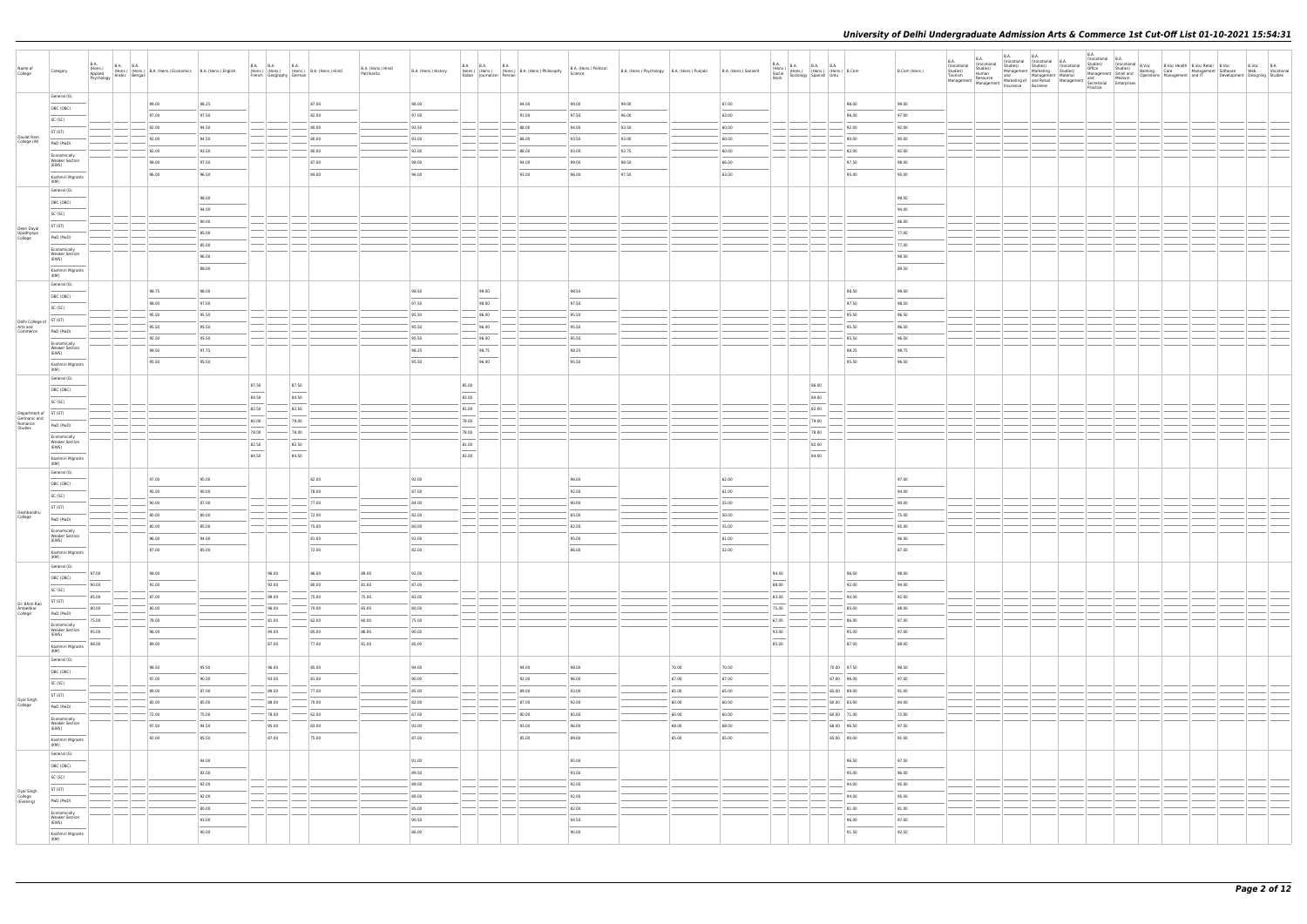| Name of<br>College                 | Category                                                                                                                                                                                                                                                                                                                                                                                                                                                                   | <b>B.A.</b><br>(Hons.)<br>Applied | B.A. (Hons.) B.A. B.A. (Hons.) B.A. (Hons.) Economics B.A. (Hons.) English Psychology Arabic Bengali |       | B.A. B.A. B.A. B.A. (Hons.) B.A. (Hons.) Hindi<br>French Geography German |       |           | B.A. (Hons.) Hindi<br>Patrikarita | B.A. (Hons.) History              | Italian Journalism Persian                                                                                                                                                                                                                                                                                                                                                                                                                                                          | B.A. B.A. B.A. B.A. (Hons.) B.A. (Hons.) Philosophy | B.A. (Hons.) Political<br>Science | B.A. (Hons.) Psychology B.A. (Hons.) Punjabi |       | B.A. (Hons.) Sanskrit | <b>B.A.</b><br>Work               |                                   | B.A. (Hons.) B.A. B.A. (Hons.) B.Com<br>Social (Hons.) (Hons.) (Hons.) B.Com<br>Work Sociology Spanish Urdu | B.Com (Hons.) | B.A.<br>(Vocational<br>Studies)<br>Tourism<br>Management   Resource   Marketing or   aim network | B.A.<br>(Vocational<br>Studies)<br>Human<br>Resource | <b>B.A.</b><br><b>B.A.</b><br>Tocational (Vocational B.A.<br>Studies) Studies) (Vocational Management Marketing Studies) | Practice | B.A.<br>(Vocational B.A. |  | Vocational B.A. Constructional Constructional B.Voc Health B.Voc Retail B.Voc B.Voc B.Voc B.Voc B.Voc B.Voc B.Voc B.Voc B.Voc B.Voc B.Voc B.Voc B.Voc B.Voc B.Voc B.Voc B.Voc B.Voc B.Voc B.Voc B.Voc B.Voc B.Voc B.Voc B.Voc |  |
|------------------------------------|----------------------------------------------------------------------------------------------------------------------------------------------------------------------------------------------------------------------------------------------------------------------------------------------------------------------------------------------------------------------------------------------------------------------------------------------------------------------------|-----------------------------------|------------------------------------------------------------------------------------------------------|-------|---------------------------------------------------------------------------|-------|-----------|-----------------------------------|-----------------------------------|-------------------------------------------------------------------------------------------------------------------------------------------------------------------------------------------------------------------------------------------------------------------------------------------------------------------------------------------------------------------------------------------------------------------------------------------------------------------------------------|-----------------------------------------------------|-----------------------------------|----------------------------------------------|-------|-----------------------|-----------------------------------|-----------------------------------|-------------------------------------------------------------------------------------------------------------|---------------|--------------------------------------------------------------------------------------------------|------------------------------------------------------|--------------------------------------------------------------------------------------------------------------------------|----------|--------------------------|--|-------------------------------------------------------------------------------------------------------------------------------------------------------------------------------------------------------------------------------|--|
|                                    | General (G)                                                                                                                                                                                                                                                                                                                                                                                                                                                                |                                   | 99.00                                                                                                | 98.25 |                                                                           |       | 87.00     |                                   | 98.00                             |                                                                                                                                                                                                                                                                                                                                                                                                                                                                                     | 94.00                                               | 99.00                             | 99.00                                        |       | 67.00                 |                                   |                                   | 98.00                                                                                                       | 99.00         |                                                                                                  |                                                      |                                                                                                                          |          |                          |  |                                                                                                                                                                                                                               |  |
|                                    | OBC (OBC)                                                                                                                                                                                                                                                                                                                                                                                                                                                                  |                                   |                                                                                                      |       |                                                                           |       | 82.00     |                                   | 97.00                             |                                                                                                                                                                                                                                                                                                                                                                                                                                                                                     | 91.00                                               |                                   |                                              |       | 63.00                 |                                   |                                   | 96.00                                                                                                       | 97.00         |                                                                                                  |                                                      |                                                                                                                          |          |                          |  |                                                                                                                                                                                                                               |  |
|                                    | SC (SC)                                                                                                                                                                                                                                                                                                                                                                                                                                                                    |                                   | 97.00                                                                                                | 97.50 |                                                                           |       |           |                                   |                                   |                                                                                                                                                                                                                                                                                                                                                                                                                                                                                     |                                                     | 97.50                             | 96.00                                        |       |                       |                                   |                                   |                                                                                                             |               |                                                                                                  |                                                      |                                                                                                                          |          |                          |  |                                                                                                                                                                                                                               |  |
|                                    | ST (ST)                                                                                                                                                                                                                                                                                                                                                                                                                                                                    |                                   | 92.00                                                                                                | 94.50 |                                                                           |       | 80.00     |                                   | 93.50                             |                                                                                                                                                                                                                                                                                                                                                                                                                                                                                     | 88.00                                               | 94.00                             | 93.50                                        |       | 60.00                 |                                   |                                   | 92.00                                                                                                       | 92.00         |                                                                                                  |                                                      |                                                                                                                          |          |                          |  |                                                                                                                                                                                                                               |  |
| Daulat Ram<br>College (W)          | PwD (PwD)                                                                                                                                                                                                                                                                                                                                                                                                                                                                  |                                   | 92.00                                                                                                | 94.50 |                                                                           |       | 80.00     |                                   | 93.00                             |                                                                                                                                                                                                                                                                                                                                                                                                                                                                                     | 88.00                                               | 93.50                             | 93.00                                        |       | 60.00                 |                                   |                                   | 90.00                                                                                                       | 90.00         |                                                                                                  |                                                      |                                                                                                                          |          |                          |  |                                                                                                                                                                                                                               |  |
|                                    |                                                                                                                                                                                                                                                                                                                                                                                                                                                                            |                                   | 92.00                                                                                                | 93.50 |                                                                           |       | 80.00     |                                   | 92.00                             |                                                                                                                                                                                                                                                                                                                                                                                                                                                                                     | 88.00                                               | 93.00                             | 93.75                                        |       | 60.00                 |                                   |                                   | 92.00                                                                                                       | 92.00         |                                                                                                  |                                                      |                                                                                                                          |          |                          |  |                                                                                                                                                                                                                               |  |
|                                    | Economically<br><b>Weaker Section</b>                                                                                                                                                                                                                                                                                                                                                                                                                                      |                                   | 98.00                                                                                                | 97.50 |                                                                           |       | 87.00     |                                   | 98.00                             |                                                                                                                                                                                                                                                                                                                                                                                                                                                                                     | 94.00                                               | 99.00                             | 98.50                                        |       | 66.00                 |                                   |                                   | 97.50                                                                                                       | 98.00         |                                                                                                  |                                                      |                                                                                                                          |          |                          |  |                                                                                                                                                                                                                               |  |
|                                    | (EWS)                                                                                                                                                                                                                                                                                                                                                                                                                                                                      |                                   |                                                                                                      |       |                                                                           |       |           |                                   |                                   |                                                                                                                                                                                                                                                                                                                                                                                                                                                                                     |                                                     |                                   |                                              |       |                       |                                   |                                   |                                                                                                             |               |                                                                                                  |                                                      |                                                                                                                          |          |                          |  |                                                                                                                                                                                                                               |  |
|                                    | Kashmiri Migrants                                                                                                                                                                                                                                                                                                                                                                                                                                                          |                                   | 96.00                                                                                                | 96.50 |                                                                           |       | 84.00     |                                   | 96.00                             |                                                                                                                                                                                                                                                                                                                                                                                                                                                                                     | 93.00                                               | 96.00                             | 97.50                                        |       | 63.00                 |                                   |                                   | 95.00                                                                                                       | 95.00         |                                                                                                  |                                                      |                                                                                                                          |          |                          |  |                                                                                                                                                                                                                               |  |
|                                    | (KM)<br>General (G)                                                                                                                                                                                                                                                                                                                                                                                                                                                        |                                   |                                                                                                      |       |                                                                           |       |           |                                   |                                   |                                                                                                                                                                                                                                                                                                                                                                                                                                                                                     |                                                     |                                   |                                              |       |                       |                                   |                                   |                                                                                                             |               |                                                                                                  |                                                      |                                                                                                                          |          |                          |  |                                                                                                                                                                                                                               |  |
|                                    |                                                                                                                                                                                                                                                                                                                                                                                                                                                                            |                                   |                                                                                                      | 98.00 |                                                                           |       |           |                                   |                                   |                                                                                                                                                                                                                                                                                                                                                                                                                                                                                     |                                                     |                                   |                                              |       |                       |                                   |                                   |                                                                                                             | 99.50         |                                                                                                  |                                                      |                                                                                                                          |          |                          |  |                                                                                                                                                                                                                               |  |
|                                    | OBC (OBC)                                                                                                                                                                                                                                                                                                                                                                                                                                                                  |                                   |                                                                                                      | 94.00 |                                                                           |       |           |                                   |                                   |                                                                                                                                                                                                                                                                                                                                                                                                                                                                                     |                                                     |                                   |                                              |       |                       |                                   |                                   |                                                                                                             | 94.00         |                                                                                                  |                                                      |                                                                                                                          |          |                          |  |                                                                                                                                                                                                                               |  |
|                                    | SC (SC)                                                                                                                                                                                                                                                                                                                                                                                                                                                                    |                                   |                                                                                                      |       |                                                                           |       |           |                                   |                                   |                                                                                                                                                                                                                                                                                                                                                                                                                                                                                     |                                                     |                                   |                                              |       |                       |                                   |                                   |                                                                                                             |               |                                                                                                  |                                                      |                                                                                                                          |          |                          |  |                                                                                                                                                                                                                               |  |
| Deen Dayal                         | ST (ST)                                                                                                                                                                                                                                                                                                                                                                                                                                                                    |                                   |                                                                                                      | 90.00 |                                                                           |       |           |                                   |                                   |                                                                                                                                                                                                                                                                                                                                                                                                                                                                                     |                                                     |                                   |                                              |       |                       |                                   |                                   |                                                                                                             | 86.00         |                                                                                                  |                                                      |                                                                                                                          |          |                          |  |                                                                                                                                                                                                                               |  |
| Upadhyaya<br>College               | PwD (PwD)                                                                                                                                                                                                                                                                                                                                                                                                                                                                  |                                   |                                                                                                      | 85.00 |                                                                           |       |           |                                   |                                   |                                                                                                                                                                                                                                                                                                                                                                                                                                                                                     |                                                     |                                   |                                              |       |                       |                                   |                                   |                                                                                                             | 77.00         |                                                                                                  |                                                      |                                                                                                                          |          |                          |  |                                                                                                                                                                                                                               |  |
|                                    |                                                                                                                                                                                                                                                                                                                                                                                                                                                                            |                                   |                                                                                                      | 85.00 |                                                                           |       |           |                                   |                                   |                                                                                                                                                                                                                                                                                                                                                                                                                                                                                     |                                                     |                                   |                                              |       |                       |                                   |                                   |                                                                                                             | 77.00         |                                                                                                  |                                                      |                                                                                                                          |          |                          |  |                                                                                                                                                                                                                               |  |
|                                    | Economically<br><b>Weaker Section</b>                                                                                                                                                                                                                                                                                                                                                                                                                                      |                                   |                                                                                                      | 96.00 |                                                                           |       |           |                                   |                                   |                                                                                                                                                                                                                                                                                                                                                                                                                                                                                     |                                                     |                                   |                                              |       |                       |                                   |                                   |                                                                                                             | 98.50         |                                                                                                  |                                                      |                                                                                                                          |          |                          |  |                                                                                                                                                                                                                               |  |
|                                    | (EWS)                                                                                                                                                                                                                                                                                                                                                                                                                                                                      |                                   |                                                                                                      | 88.00 |                                                                           |       |           |                                   |                                   |                                                                                                                                                                                                                                                                                                                                                                                                                                                                                     |                                                     |                                   |                                              |       |                       |                                   |                                   |                                                                                                             | 89.50         |                                                                                                  |                                                      |                                                                                                                          |          |                          |  |                                                                                                                                                                                                                               |  |
|                                    | Kashmiri Migrants<br>(KM)                                                                                                                                                                                                                                                                                                                                                                                                                                                  |                                   |                                                                                                      |       |                                                                           |       |           |                                   |                                   |                                                                                                                                                                                                                                                                                                                                                                                                                                                                                     |                                                     |                                   |                                              |       |                       |                                   |                                   |                                                                                                             |               |                                                                                                  |                                                      |                                                                                                                          |          |                          |  |                                                                                                                                                                                                                               |  |
|                                    | General (G)                                                                                                                                                                                                                                                                                                                                                                                                                                                                |                                   |                                                                                                      |       |                                                                           |       |           |                                   |                                   |                                                                                                                                                                                                                                                                                                                                                                                                                                                                                     |                                                     |                                   |                                              |       |                       |                                   |                                   |                                                                                                             |               |                                                                                                  |                                                      |                                                                                                                          |          |                          |  |                                                                                                                                                                                                                               |  |
|                                    | OBC (OBC)                                                                                                                                                                                                                                                                                                                                                                                                                                                                  |                                   | 98.75                                                                                                | 98.00 |                                                                           |       |           |                                   | 98.50                             | 99.00                                                                                                                                                                                                                                                                                                                                                                                                                                                                               |                                                     | 98.50                             |                                              |       |                       |                                   |                                   | 98.50                                                                                                       | 99.00         |                                                                                                  |                                                      |                                                                                                                          |          |                          |  |                                                                                                                                                                                                                               |  |
|                                    |                                                                                                                                                                                                                                                                                                                                                                                                                                                                            |                                   | 98.00                                                                                                | 97.00 |                                                                           |       |           |                                   | 97.50                             | 98.00                                                                                                                                                                                                                                                                                                                                                                                                                                                                               |                                                     | 97.50                             |                                              |       |                       |                                   |                                   | 97.50                                                                                                       | 98.50         |                                                                                                  |                                                      |                                                                                                                          |          |                          |  |                                                                                                                                                                                                                               |  |
|                                    | SC (SC)                                                                                                                                                                                                                                                                                                                                                                                                                                                                    |                                   | 95.50                                                                                                | 95.50 |                                                                           |       |           |                                   | 95.50                             | 96.00                                                                                                                                                                                                                                                                                                                                                                                                                                                                               |                                                     | 95.50                             |                                              |       |                       |                                   |                                   | 95.50                                                                                                       | 96.50         |                                                                                                  |                                                      |                                                                                                                          |          |                          |  |                                                                                                                                                                                                                               |  |
| Delhi College of ST (ST)           |                                                                                                                                                                                                                                                                                                                                                                                                                                                                            |                                   |                                                                                                      |       |                                                                           |       |           |                                   |                                   |                                                                                                                                                                                                                                                                                                                                                                                                                                                                                     |                                                     |                                   |                                              |       |                       |                                   |                                   |                                                                                                             |               |                                                                                                  |                                                      |                                                                                                                          |          |                          |  |                                                                                                                                                                                                                               |  |
| Arts and<br>Commerce               | PwD (PwD)                                                                                                                                                                                                                                                                                                                                                                                                                                                                  |                                   | 95.50                                                                                                | 95.50 |                                                                           |       |           |                                   | 95.50                             | 96.00                                                                                                                                                                                                                                                                                                                                                                                                                                                                               |                                                     | 95.50                             |                                              |       |                       |                                   |                                   | 95.50                                                                                                       | 96.50         |                                                                                                  |                                                      |                                                                                                                          |          |                          |  |                                                                                                                                                                                                                               |  |
|                                    | Economically                                                                                                                                                                                                                                                                                                                                                                                                                                                               |                                   | 95.50                                                                                                | 95.50 |                                                                           |       |           |                                   | 95.50                             | 96.00                                                                                                                                                                                                                                                                                                                                                                                                                                                                               |                                                     | 95.50                             |                                              |       |                       |                                   |                                   | 95.50                                                                                                       | 96.50         |                                                                                                  |                                                      |                                                                                                                          |          |                          |  |                                                                                                                                                                                                                               |  |
|                                    | <b>Weaker Section</b><br>(EWS)                                                                                                                                                                                                                                                                                                                                                                                                                                             |                                   | 98.50                                                                                                | 97.75 |                                                                           |       |           |                                   | 98.25                             | 98.75                                                                                                                                                                                                                                                                                                                                                                                                                                                                               |                                                     | 98.25                             |                                              |       |                       |                                   |                                   | 98.25                                                                                                       | 98.75         |                                                                                                  |                                                      |                                                                                                                          |          |                          |  |                                                                                                                                                                                                                               |  |
|                                    |                                                                                                                                                                                                                                                                                                                                                                                                                                                                            |                                   | 95.50                                                                                                | 95.50 |                                                                           |       |           |                                   | 95.50                             | 96.00                                                                                                                                                                                                                                                                                                                                                                                                                                                                               |                                                     | 95.50                             |                                              |       |                       |                                   |                                   | 95.50                                                                                                       | 96.50         |                                                                                                  |                                                      |                                                                                                                          |          |                          |  |                                                                                                                                                                                                                               |  |
|                                    | Kashmiri Migrants<br>(KM)                                                                                                                                                                                                                                                                                                                                                                                                                                                  |                                   |                                                                                                      |       |                                                                           |       |           |                                   |                                   |                                                                                                                                                                                                                                                                                                                                                                                                                                                                                     |                                                     |                                   |                                              |       |                       |                                   |                                   |                                                                                                             |               |                                                                                                  |                                                      |                                                                                                                          |          |                          |  |                                                                                                                                                                                                                               |  |
|                                    | General (G)                                                                                                                                                                                                                                                                                                                                                                                                                                                                |                                   |                                                                                                      |       |                                                                           |       |           |                                   |                                   |                                                                                                                                                                                                                                                                                                                                                                                                                                                                                     |                                                     |                                   |                                              |       |                       |                                   |                                   |                                                                                                             |               |                                                                                                  |                                                      |                                                                                                                          |          |                          |  |                                                                                                                                                                                                                               |  |
|                                    | OBC (OBC)                                                                                                                                                                                                                                                                                                                                                                                                                                                                  |                                   |                                                                                                      |       | 87.50                                                                     | 87.50 |           |                                   |                                   | 85.00<br>$\frac{1}{2} \left( \frac{1}{2} \right) \left( \frac{1}{2} \right) \left( \frac{1}{2} \right) \left( \frac{1}{2} \right) \left( \frac{1}{2} \right) \left( \frac{1}{2} \right) \left( \frac{1}{2} \right) \left( \frac{1}{2} \right) \left( \frac{1}{2} \right) \left( \frac{1}{2} \right) \left( \frac{1}{2} \right) \left( \frac{1}{2} \right) \left( \frac{1}{2} \right) \left( \frac{1}{2} \right) \left( \frac{1}{2} \right) \left( \frac{1}{2} \right) \left( \frac$ |                                                     |                                   |                                              |       |                       |                                   | 86.00                             |                                                                                                             |               |                                                                                                  |                                                      |                                                                                                                          |          |                          |  |                                                                                                                                                                                                                               |  |
|                                    | SC (SC)                                                                                                                                                                                                                                                                                                                                                                                                                                                                    |                                   |                                                                                                      |       | 84.50                                                                     | 84.50 |           |                                   |                                   | 83.00                                                                                                                                                                                                                                                                                                                                                                                                                                                                               |                                                     |                                   |                                              |       |                       |                                   | 84.00                             |                                                                                                             |               |                                                                                                  |                                                      |                                                                                                                          |          |                          |  |                                                                                                                                                                                                                               |  |
|                                    |                                                                                                                                                                                                                                                                                                                                                                                                                                                                            |                                   |                                                                                                      |       | 82.50                                                                     | 82.50 |           |                                   |                                   | 81.00                                                                                                                                                                                                                                                                                                                                                                                                                                                                               |                                                     |                                   |                                              |       |                       |                                   | 82.00                             |                                                                                                             |               |                                                                                                  |                                                      |                                                                                                                          |          |                          |  |                                                                                                                                                                                                                               |  |
| Department of ST (ST)              |                                                                                                                                                                                                                                                                                                                                                                                                                                                                            |                                   |                                                                                                      |       | 80.00                                                                     | 79.00 |           |                                   |                                   | 78.00                                                                                                                                                                                                                                                                                                                                                                                                                                                                               |                                                     |                                   |                                              |       |                       |                                   | 79.00                             |                                                                                                             |               |                                                                                                  |                                                      |                                                                                                                          |          |                          |  |                                                                                                                                                                                                                               |  |
| Germanic and<br>Romance<br>Studies | PwD (PwD)                                                                                                                                                                                                                                                                                                                                                                                                                                                                  |                                   |                                                                                                      |       |                                                                           |       |           |                                   |                                   |                                                                                                                                                                                                                                                                                                                                                                                                                                                                                     |                                                     |                                   |                                              |       |                       |                                   |                                   |                                                                                                             |               |                                                                                                  |                                                      |                                                                                                                          |          |                          |  |                                                                                                                                                                                                                               |  |
|                                    | Economically                                                                                                                                                                                                                                                                                                                                                                                                                                                               |                                   |                                                                                                      |       | 78.00                                                                     | 78.00 |           |                                   |                                   | 78.00                                                                                                                                                                                                                                                                                                                                                                                                                                                                               |                                                     |                                   |                                              |       |                       |                                   | 78.00                             |                                                                                                             |               |                                                                                                  |                                                      |                                                                                                                          |          |                          |  |                                                                                                                                                                                                                               |  |
|                                    | <b>Weaker Section</b><br>(EWS)                                                                                                                                                                                                                                                                                                                                                                                                                                             |                                   |                                                                                                      |       | 82.50                                                                     | 82.50 |           |                                   |                                   | 81.00                                                                                                                                                                                                                                                                                                                                                                                                                                                                               |                                                     |                                   |                                              |       |                       |                                   | 82.00<br>$\overline{\phantom{a}}$ |                                                                                                             |               |                                                                                                  |                                                      |                                                                                                                          |          |                          |  |                                                                                                                                                                                                                               |  |
|                                    | Kashmiri Migrants                                                                                                                                                                                                                                                                                                                                                                                                                                                          |                                   |                                                                                                      |       | 84.50                                                                     | 84.50 |           |                                   |                                   | $\frac{1}{83.00}$                                                                                                                                                                                                                                                                                                                                                                                                                                                                   |                                                     |                                   |                                              |       |                       |                                   | 84.00                             |                                                                                                             |               |                                                                                                  |                                                      |                                                                                                                          |          |                          |  |                                                                                                                                                                                                                               |  |
|                                    | (KM)                                                                                                                                                                                                                                                                                                                                                                                                                                                                       |                                   |                                                                                                      |       |                                                                           |       |           |                                   |                                   |                                                                                                                                                                                                                                                                                                                                                                                                                                                                                     |                                                     |                                   |                                              |       |                       |                                   |                                   |                                                                                                             |               |                                                                                                  |                                                      |                                                                                                                          |          |                          |  |                                                                                                                                                                                                                               |  |
|                                    | General (G)                                                                                                                                                                                                                                                                                                                                                                                                                                                                |                                   |                                                                                                      | 95.00 |                                                                           |       |           |                                   |                                   |                                                                                                                                                                                                                                                                                                                                                                                                                                                                                     |                                                     |                                   |                                              |       |                       |                                   |                                   |                                                                                                             | 97.00         |                                                                                                  |                                                      |                                                                                                                          |          |                          |  |                                                                                                                                                                                                                               |  |
|                                    | OBC (OBC)                                                                                                                                                                                                                                                                                                                                                                                                                                                                  |                                   | 97.00                                                                                                |       |                                                                           |       | 82.00     |                                   | 92.00                             |                                                                                                                                                                                                                                                                                                                                                                                                                                                                                     |                                                     | 96.00                             |                                              |       | 62.00                 |                                   |                                   |                                                                                                             |               |                                                                                                  |                                                      |                                                                                                                          |          |                          |  |                                                                                                                                                                                                                               |  |
|                                    | SC (SC)                                                                                                                                                                                                                                                                                                                                                                                                                                                                    |                                   | 95.00                                                                                                | 90.00 |                                                                           |       | 78.00     |                                   | 87.00                             |                                                                                                                                                                                                                                                                                                                                                                                                                                                                                     |                                                     | 92.00                             |                                              |       | 61.00                 |                                   |                                   |                                                                                                             | 94.00         |                                                                                                  |                                                      |                                                                                                                          |          |                          |  |                                                                                                                                                                                                                               |  |
|                                    | ST (ST)                                                                                                                                                                                                                                                                                                                                                                                                                                                                    |                                   | 90.00                                                                                                | 87.00 |                                                                           |       | 77.00     |                                   | 84.00                             |                                                                                                                                                                                                                                                                                                                                                                                                                                                                                     |                                                     | 90.00                             |                                              |       | 55.00                 |                                   |                                   |                                                                                                             | 90.00         |                                                                                                  |                                                      |                                                                                                                          |          |                          |  |                                                                                                                                                                                                                               |  |
| Deshbandhu<br>College              |                                                                                                                                                                                                                                                                                                                                                                                                                                                                            |                                   | 80.00                                                                                                | 80.00 |                                                                           |       | 72.00     |                                   | 82.00                             |                                                                                                                                                                                                                                                                                                                                                                                                                                                                                     |                                                     | 83.00                             |                                              |       | 50.00                 |                                   |                                   |                                                                                                             | 75.00         |                                                                                                  |                                                      |                                                                                                                          |          |                          |  |                                                                                                                                                                                                                               |  |
|                                    | PwD (PwD)                                                                                                                                                                                                                                                                                                                                                                                                                                                                  |                                   | 80.00                                                                                                | 85.00 |                                                                           |       | 75.00     |                                   | 80.00                             |                                                                                                                                                                                                                                                                                                                                                                                                                                                                                     |                                                     | 82.00                             |                                              |       | 55.00                 |                                   |                                   |                                                                                                             | 85.00         |                                                                                                  |                                                      |                                                                                                                          |          |                          |  |                                                                                                                                                                                                                               |  |
|                                    | Economically<br><b>Weaker Section</b>                                                                                                                                                                                                                                                                                                                                                                                                                                      |                                   |                                                                                                      |       |                                                                           |       |           |                                   |                                   |                                                                                                                                                                                                                                                                                                                                                                                                                                                                                     |                                                     |                                   |                                              |       |                       |                                   |                                   |                                                                                                             |               |                                                                                                  |                                                      |                                                                                                                          |          |                          |  |                                                                                                                                                                                                                               |  |
|                                    | (EWS)                                                                                                                                                                                                                                                                                                                                                                                                                                                                      |                                   | 96.00                                                                                                | 94.00 |                                                                           |       | 81.00     |                                   | 91.00                             |                                                                                                                                                                                                                                                                                                                                                                                                                                                                                     |                                                     | 95.00                             |                                              |       | 61.00                 |                                   |                                   |                                                                                                             | 96.00         |                                                                                                  |                                                      |                                                                                                                          |          |                          |  |                                                                                                                                                                                                                               |  |
|                                    | Kashmiri Migrants                                                                                                                                                                                                                                                                                                                                                                                                                                                          |                                   | 87.00                                                                                                | 85.00 |                                                                           |       | 72.00     |                                   | 82.00                             |                                                                                                                                                                                                                                                                                                                                                                                                                                                                                     |                                                     | 86.00                             |                                              |       | 52.00                 |                                   |                                   |                                                                                                             | 87.00         |                                                                                                  |                                                      |                                                                                                                          |          |                          |  |                                                                                                                                                                                                                               |  |
|                                    | (KM)<br>General (G)                                                                                                                                                                                                                                                                                                                                                                                                                                                        |                                   |                                                                                                      |       |                                                                           |       |           |                                   |                                   |                                                                                                                                                                                                                                                                                                                                                                                                                                                                                     |                                                     |                                   |                                              |       |                       |                                   |                                   |                                                                                                             |               |                                                                                                  |                                                      |                                                                                                                          |          |                          |  |                                                                                                                                                                                                                               |  |
|                                    |                                                                                                                                                                                                                                                                                                                                                                                                                                                                            | 97.00                             | 98.00                                                                                                |       | 96.00                                                                     |       | 86.00     | 89.00                             | 92.00                             |                                                                                                                                                                                                                                                                                                                                                                                                                                                                                     |                                                     |                                   |                                              |       |                       | 94.00                             |                                   | 96.00                                                                                                       | 98.00         |                                                                                                  |                                                      |                                                                                                                          |          |                          |  |                                                                                                                                                                                                                               |  |
|                                    | OBC (OBC)                                                                                                                                                                                                                                                                                                                                                                                                                                                                  | ___<br>90.00                      | $\frac{1}{2}$<br>91.00                                                                               |       | $\frac{1}{2}$<br>92.00                                                    |       | 80.00     | 81.00                             | 87.00                             |                                                                                                                                                                                                                                                                                                                                                                                                                                                                                     |                                                     |                                   |                                              |       |                       | $\overline{\phantom{a}}$<br>88.00 |                                   | 92.00                                                                                                       | 94.00         |                                                                                                  |                                                      |                                                                                                                          |          |                          |  |                                                                                                                                                                                                                               |  |
|                                    | SC (SC)                                                                                                                                                                                                                                                                                                                                                                                                                                                                    |                                   |                                                                                                      |       |                                                                           |       |           |                                   |                                   |                                                                                                                                                                                                                                                                                                                                                                                                                                                                                     |                                                     |                                   |                                              |       |                       |                                   |                                   |                                                                                                             |               |                                                                                                  |                                                      |                                                                                                                          |          |                          |  |                                                                                                                                                                                                                               |  |
| Dr. Bhim Rao                       | ST (ST)                                                                                                                                                                                                                                                                                                                                                                                                                                                                    | 85.00                             | 87.00                                                                                                |       | 89.00                                                                     |       | 75.00     | 75.00                             | 83.00                             |                                                                                                                                                                                                                                                                                                                                                                                                                                                                                     |                                                     |                                   |                                              |       |                       | 83.00                             |                                   | 90.00                                                                                                       | 92.00         |                                                                                                  |                                                      |                                                                                                                          |          |                          |  |                                                                                                                                                                                                                               |  |
| Ambedkar<br>College                | PwD (PwD)                                                                                                                                                                                                                                                                                                                                                                                                                                                                  | 80.00                             | 80.00                                                                                                |       | 96.00                                                                     |       | 70.00     | 65.00                             | 80.00                             |                                                                                                                                                                                                                                                                                                                                                                                                                                                                                     |                                                     |                                   |                                              |       |                       | 75.00                             |                                   | 85.00                                                                                                       | 88.00         |                                                                                                  |                                                      |                                                                                                                          |          |                          |  |                                                                                                                                                                                                                               |  |
|                                    | Economically                                                                                                                                                                                                                                                                                                                                                                                                                                                               | 75.00                             | 78.00                                                                                                |       | 81.00                                                                     |       | $-62.00$  | 60.00                             | 75.00                             |                                                                                                                                                                                                                                                                                                                                                                                                                                                                                     |                                                     |                                   |                                              |       |                       | 67.00                             |                                   | 86.00                                                                                                       | 87.00         |                                                                                                  |                                                      |                                                                                                                          |          |                          |  |                                                                                                                                                                                                                               |  |
|                                    | <b>Weaker Section</b>                                                                                                                                                                                                                                                                                                                                                                                                                                                      | 95.00                             | 96.00                                                                                                |       | 94.00                                                                     |       | 85.00     | 86.00                             | 90.00                             |                                                                                                                                                                                                                                                                                                                                                                                                                                                                                     |                                                     |                                   |                                              |       |                       | 93.00                             |                                   | 95.00                                                                                                       | 97.00         |                                                                                                  |                                                      |                                                                                                                          |          |                          |  |                                                                                                                                                                                                                               |  |
|                                    | (EWS)                                                                                                                                                                                                                                                                                                                                                                                                                                                                      | 88.00                             | 89.00                                                                                                |       | 87.00                                                                     |       | 77.00     | 81.00                             | 85.00                             |                                                                                                                                                                                                                                                                                                                                                                                                                                                                                     |                                                     |                                   |                                              |       |                       | $\overline{\phantom{a}}$<br>85.00 |                                   | 87.00                                                                                                       | 89.00         |                                                                                                  |                                                      |                                                                                                                          |          |                          |  |                                                                                                                                                                                                                               |  |
|                                    | Kashmiri Migrants<br>(KM)                                                                                                                                                                                                                                                                                                                                                                                                                                                  |                                   |                                                                                                      |       |                                                                           |       |           |                                   |                                   |                                                                                                                                                                                                                                                                                                                                                                                                                                                                                     |                                                     |                                   |                                              |       |                       |                                   |                                   |                                                                                                             |               |                                                                                                  |                                                      |                                                                                                                          |          |                          |  |                                                                                                                                                                                                                               |  |
|                                    | General (G)                                                                                                                                                                                                                                                                                                                                                                                                                                                                |                                   |                                                                                                      |       |                                                                           |       |           |                                   |                                   |                                                                                                                                                                                                                                                                                                                                                                                                                                                                                     |                                                     |                                   |                                              |       |                       |                                   |                                   |                                                                                                             |               |                                                                                                  |                                                      |                                                                                                                          |          |                          |  |                                                                                                                                                                                                                               |  |
|                                    | OBC (OBC)                                                                                                                                                                                                                                                                                                                                                                                                                                                                  |                                   | 98.50                                                                                                | 95.50 | 96.00                                                                     |       | 85.00     |                                   | 94.00                             |                                                                                                                                                                                                                                                                                                                                                                                                                                                                                     | 94.00                                               | 98.00                             |                                              | 70.00 | 70.00                 |                                   |                                   | 70.00 97.50                                                                                                 | 98.50         |                                                                                                  |                                                      |                                                                                                                          |          |                          |  |                                                                                                                                                                                                                               |  |
|                                    |                                                                                                                                                                                                                                                                                                                                                                                                                                                                            |                                   | 97.00                                                                                                | 90.50 | 93.00                                                                     |       | 81.00     |                                   | 90.00                             |                                                                                                                                                                                                                                                                                                                                                                                                                                                                                     | 92.00                                               | 96.00                             |                                              | 67.00 | 67.00                 |                                   |                                   | 67.00 96.00                                                                                                 | 97.00         |                                                                                                  |                                                      |                                                                                                                          |          |                          |  |                                                                                                                                                                                                                               |  |
|                                    | SC (SC)                                                                                                                                                                                                                                                                                                                                                                                                                                                                    |                                   | 89.00                                                                                                | 87.00 | $- 89.50$                                                                 |       | 77.00     |                                   | 85.00                             |                                                                                                                                                                                                                                                                                                                                                                                                                                                                                     | 89.00                                               | 93.00                             |                                              | 65.00 | 65.00                 |                                   |                                   | 65.00 89.00                                                                                                 | 91.00         |                                                                                                  |                                                      |                                                                                                                          |          |                          |  |                                                                                                                                                                                                                               |  |
| Dyal Singh                         | ST (ST)                                                                                                                                                                                                                                                                                                                                                                                                                                                                    |                                   |                                                                                                      |       |                                                                           |       |           |                                   |                                   |                                                                                                                                                                                                                                                                                                                                                                                                                                                                                     |                                                     |                                   |                                              |       |                       |                                   |                                   |                                                                                                             |               |                                                                                                  |                                                      |                                                                                                                          |          |                          |  |                                                                                                                                                                                                                               |  |
| College                            | PwD (PwD)                                                                                                                                                                                                                                                                                                                                                                                                                                                                  |                                   | 85.00                                                                                                | 85.00 | 88.00                                                                     |       | 70.00     |                                   | 82.00                             |                                                                                                                                                                                                                                                                                                                                                                                                                                                                                     | 87.00                                               | 92.00                             |                                              | 60.00 | 60.00                 |                                   |                                   | 60.00 83.00                                                                                                 | 84.00         |                                                                                                  |                                                      |                                                                                                                          |          |                          |  |                                                                                                                                                                                                                               |  |
|                                    | Economically                                                                                                                                                                                                                                                                                                                                                                                                                                                               |                                   | $72.00$                                                                                              | 75.00 | 78.00                                                                     |       | $- 62.00$ |                                   | 67.00                             |                                                                                                                                                                                                                                                                                                                                                                                                                                                                                     | 80.00                                               | 85.00                             |                                              | 60.00 | 60.00                 |                                   |                                   | 60.00 71.00                                                                                                 | 72.00         |                                                                                                  |                                                      |                                                                                                                          |          |                          |  |                                                                                                                                                                                                                               |  |
|                                    | <b>Weaker Section</b><br>(EWS)                                                                                                                                                                                                                                                                                                                                                                                                                                             |                                   | 97.50                                                                                                | 94.50 | 95.00                                                                     |       | 83.00     |                                   | 93.00                             |                                                                                                                                                                                                                                                                                                                                                                                                                                                                                     | 93.00                                               | 96.00                             |                                              | 68.00 | 68.00                 |                                   |                                   | 68.00 96.50                                                                                                 | 97.50         |                                                                                                  |                                                      |                                                                                                                          |          |                          |  |                                                                                                                                                                                                                               |  |
|                                    | $\frac{1}{2} \left( \frac{1}{2} \right) \left( \frac{1}{2} \right) \left( \frac{1}{2} \right) \left( \frac{1}{2} \right) \left( \frac{1}{2} \right) \left( \frac{1}{2} \right) \left( \frac{1}{2} \right) \left( \frac{1}{2} \right) \left( \frac{1}{2} \right) \left( \frac{1}{2} \right) \left( \frac{1}{2} \right) \left( \frac{1}{2} \right) \left( \frac{1}{2} \right) \left( \frac{1}{2} \right) \left( \frac{1}{2} \right) \left( \frac{1}{2} \right) \left( \frac$ |                                   | 92.00                                                                                                | 85.50 | $\sim$<br>87.00                                                           |       | 75.00     |                                   | 87.00                             |                                                                                                                                                                                                                                                                                                                                                                                                                                                                                     | 85.00                                               | 89.00                             |                                              | 65.00 | 65.00                 |                                   |                                   | 65.00 90.00                                                                                                 | 91.00         |                                                                                                  |                                                      |                                                                                                                          |          |                          |  |                                                                                                                                                                                                                               |  |
|                                    | Kashmiri Migrants<br>(KM)                                                                                                                                                                                                                                                                                                                                                                                                                                                  |                                   |                                                                                                      |       |                                                                           |       |           |                                   |                                   |                                                                                                                                                                                                                                                                                                                                                                                                                                                                                     |                                                     |                                   |                                              |       |                       |                                   |                                   |                                                                                                             |               |                                                                                                  |                                                      |                                                                                                                          |          |                          |  |                                                                                                                                                                                                                               |  |
|                                    | General (G)                                                                                                                                                                                                                                                                                                                                                                                                                                                                |                                   |                                                                                                      |       |                                                                           |       |           |                                   |                                   |                                                                                                                                                                                                                                                                                                                                                                                                                                                                                     |                                                     |                                   |                                              |       |                       |                                   |                                   |                                                                                                             |               |                                                                                                  |                                                      |                                                                                                                          |          |                          |  |                                                                                                                                                                                                                               |  |
|                                    | OBC (OBC)                                                                                                                                                                                                                                                                                                                                                                                                                                                                  |                                   |                                                                                                      | 94.00 |                                                                           |       |           |                                   | 91.00<br>$\overline{\phantom{a}}$ |                                                                                                                                                                                                                                                                                                                                                                                                                                                                                     |                                                     | 95.00<br>$\overline{\phantom{a}}$ |                                              |       |                       |                                   |                                   | 96.50                                                                                                       | 97.50         |                                                                                                  |                                                      |                                                                                                                          |          |                          |  |                                                                                                                                                                                                                               |  |
|                                    | SC (SC)                                                                                                                                                                                                                                                                                                                                                                                                                                                                    |                                   |                                                                                                      | 92.00 |                                                                           |       |           |                                   | 89.50                             |                                                                                                                                                                                                                                                                                                                                                                                                                                                                                     |                                                     | 93.00                             |                                              |       |                       |                                   |                                   | 95.00                                                                                                       | 96.00         |                                                                                                  |                                                      |                                                                                                                          |          |                          |  |                                                                                                                                                                                                                               |  |
|                                    |                                                                                                                                                                                                                                                                                                                                                                                                                                                                            |                                   |                                                                                                      | 92.00 |                                                                           |       |           |                                   | 89.00                             |                                                                                                                                                                                                                                                                                                                                                                                                                                                                                     |                                                     | 92.00                             |                                              |       |                       |                                   |                                   | 94.00                                                                                                       | 95.00         |                                                                                                  |                                                      |                                                                                                                          |          |                          |  |                                                                                                                                                                                                                               |  |
| Dyal Singh<br>College<br>(Evening) | ST (ST)                                                                                                                                                                                                                                                                                                                                                                                                                                                                    |                                   |                                                                                                      |       |                                                                           |       |           |                                   |                                   |                                                                                                                                                                                                                                                                                                                                                                                                                                                                                     |                                                     |                                   |                                              |       |                       |                                   |                                   |                                                                                                             |               |                                                                                                  |                                                      |                                                                                                                          |          |                          |  |                                                                                                                                                                                                                               |  |
|                                    | PwD (PwD)                                                                                                                                                                                                                                                                                                                                                                                                                                                                  |                                   |                                                                                                      | 92.00 |                                                                           |       |           |                                   | 89.00                             |                                                                                                                                                                                                                                                                                                                                                                                                                                                                                     |                                                     | 92.00                             |                                              |       |                       |                                   |                                   | 94.00                                                                                                       | 95.00         |                                                                                                  |                                                      |                                                                                                                          |          |                          |  |                                                                                                                                                                                                                               |  |
|                                    | Economically                                                                                                                                                                                                                                                                                                                                                                                                                                                               |                                   |                                                                                                      | 80.00 |                                                                           |       |           |                                   | 85.00                             |                                                                                                                                                                                                                                                                                                                                                                                                                                                                                     |                                                     | 82.00                             |                                              |       |                       |                                   |                                   | 81.00                                                                                                       | 81.00         |                                                                                                  |                                                      |                                                                                                                          |          |                          |  |                                                                                                                                                                                                                               |  |
|                                    | <b>Weaker Section</b><br>(EWS)                                                                                                                                                                                                                                                                                                                                                                                                                                             |                                   |                                                                                                      | 93.00 |                                                                           |       |           |                                   | 90.50                             |                                                                                                                                                                                                                                                                                                                                                                                                                                                                                     |                                                     | 94.50                             |                                              |       |                       |                                   |                                   | 96.00                                                                                                       | 97.00         |                                                                                                  |                                                      |                                                                                                                          |          |                          |  |                                                                                                                                                                                                                               |  |
|                                    |                                                                                                                                                                                                                                                                                                                                                                                                                                                                            |                                   |                                                                                                      | 90.00 |                                                                           |       |           |                                   | 86.00                             |                                                                                                                                                                                                                                                                                                                                                                                                                                                                                     |                                                     | 90.00                             |                                              |       |                       |                                   |                                   | 91.50                                                                                                       | 92.50         |                                                                                                  |                                                      |                                                                                                                          |          |                          |  |                                                                                                                                                                                                                               |  |
|                                    | Kashmiri Migrants<br>(KM)                                                                                                                                                                                                                                                                                                                                                                                                                                                  |                                   |                                                                                                      |       |                                                                           |       |           |                                   |                                   |                                                                                                                                                                                                                                                                                                                                                                                                                                                                                     |                                                     |                                   |                                              |       |                       |                                   |                                   |                                                                                                             |               |                                                                                                  |                                                      |                                                                                                                          |          |                          |  |                                                                                                                                                                                                                               |  |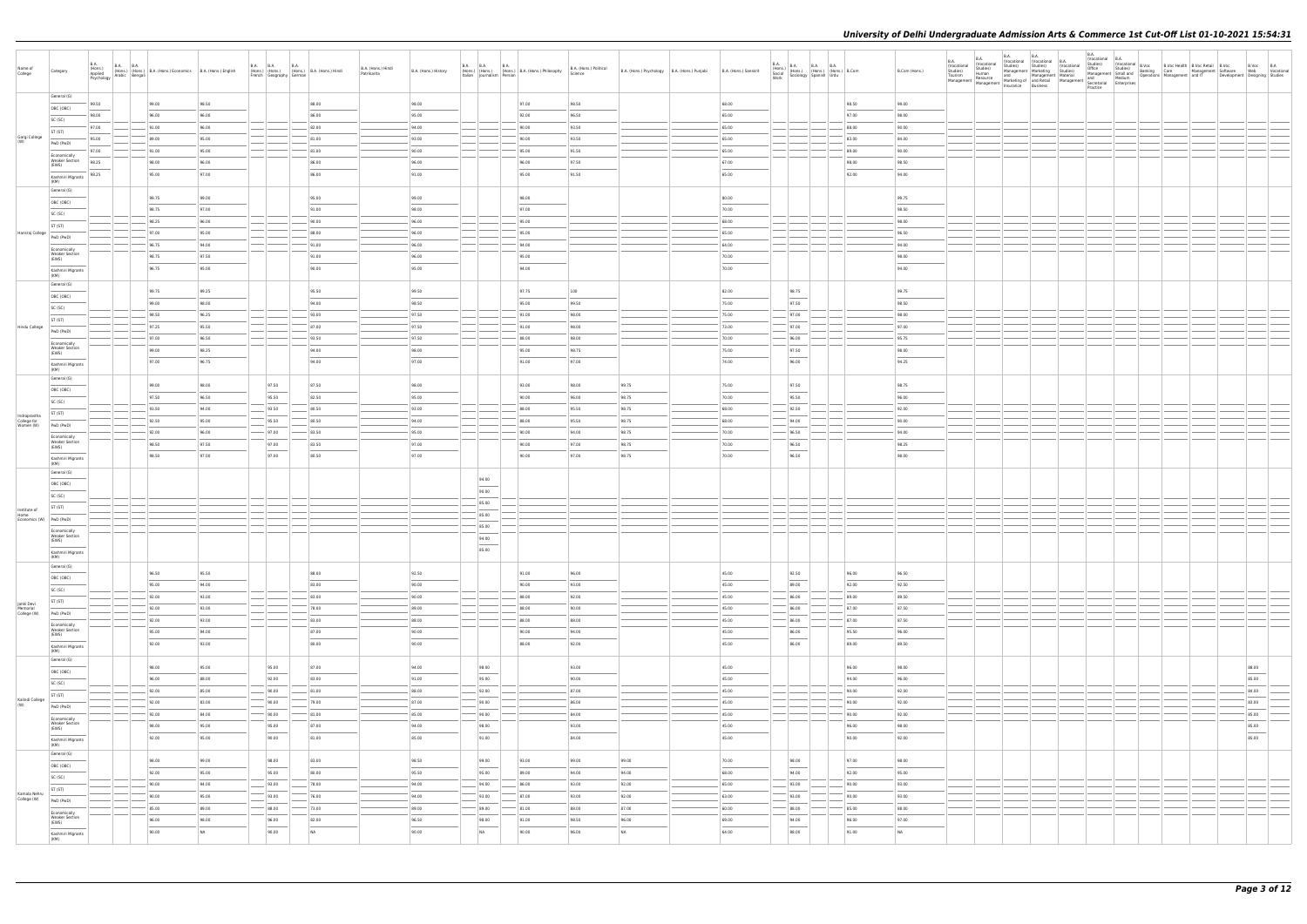| Name of<br>College          | Category                                                                                                                                                                                                                                                                                                                                                                                                                                                                                        | <b>B.A.</b> | B.A. (Hons.) B.A. B.A. (Hons.) B.A. (Hons.) Economics B.A. (Hons.) English Applied Arabic Bengali Arabic Arabic Arabic Arabic Arabic Arabic Arabic Arabic Arabic Arabic Arabic Arabic Arabic Arabic Arabic Arabic Arabic Arabi |                |       | French Geography German | B.A. B.A. B.A. B.A. (Hons.) B.A. (Hons.) Hindi | B.A. (Hons.) Hindi<br>Patrikarita | B.A. (Hons.) History | <b>B.A. B.A.</b><br><b>B.A.</b><br>(Hons.) (Hons.) (Hons.) B.A. (Hons.) Philosophy<br>Italian Journalism Persian |       | B.A. (Hons.) Political<br>Science | B.A. (Hons.) Psychology B.A. (Hons.) Punjabi | B.A. (Hons.) Sanskrit  | $\begin{tabular}{ l c c c c } \hline B.A. & B.A. & B.A. & B.A. & B.A. \\ (Hons.) & (Hons.) & (Hons.) & (Hons.) & B. Com & \\ & Sociology & Spanish & Urdu & \\ \hline \end{tabular}$ |                | B.Com (Hons.)                     | <b>B.A.</b> | B.A.<br>(Vocational<br>Accaional Vuccinum Studies,<br>Studies) Studies<br>Studies Human and Management Marketing Studies<br>Tourism Resource Marketing of and Retail<br>Management Management Insurance Business | <b>B.A.</b><br>(Vocational (Vocational B.A. | <b>B.A.</b> | B.A.<br>Nocational B. (Vocational B. (Vocational B. Vocational B. Noc Health B. Voc Retail B. Voc<br>Management Marketing Studies) Office Studies (Vocational Banking Care Management Studies)<br>Management Management Material Managemen<br>Practice | (Vocational B.A. |  | Development Designing Studies              | B.Voc B.A<br>Web Vocational |
|-----------------------------|-------------------------------------------------------------------------------------------------------------------------------------------------------------------------------------------------------------------------------------------------------------------------------------------------------------------------------------------------------------------------------------------------------------------------------------------------------------------------------------------------|-------------|--------------------------------------------------------------------------------------------------------------------------------------------------------------------------------------------------------------------------------|----------------|-------|-------------------------|------------------------------------------------|-----------------------------------|----------------------|------------------------------------------------------------------------------------------------------------------|-------|-----------------------------------|----------------------------------------------|------------------------|--------------------------------------------------------------------------------------------------------------------------------------------------------------------------------------|----------------|-----------------------------------|-------------|------------------------------------------------------------------------------------------------------------------------------------------------------------------------------------------------------------------|---------------------------------------------|-------------|--------------------------------------------------------------------------------------------------------------------------------------------------------------------------------------------------------------------------------------------------------|------------------|--|--------------------------------------------|-----------------------------|
|                             | General (G)                                                                                                                                                                                                                                                                                                                                                                                                                                                                                     | 99.50       | 99.00                                                                                                                                                                                                                          | 98.50          |       |                         | 88.00                                          |                                   | 98.00                |                                                                                                                  | 97.00 | 98.50                             |                                              | 68.00                  |                                                                                                                                                                                      | 98.50          | 99.00                             |             |                                                                                                                                                                                                                  |                                             |             |                                                                                                                                                                                                                                                        |                  |  |                                            |                             |
|                             | OBC (OBC)                                                                                                                                                                                                                                                                                                                                                                                                                                                                                       | 98.00       | 96.00                                                                                                                                                                                                                          | 96.00          |       |                         | 86.00                                          |                                   | 95.00                |                                                                                                                  | 92.00 | 96.50                             |                                              | 65.00                  |                                                                                                                                                                                      | 97.00          | 98.00                             |             |                                                                                                                                                                                                                  |                                             |             |                                                                                                                                                                                                                                                        |                  |  |                                            |                             |
|                             | SC (SC)<br>ST (ST)                                                                                                                                                                                                                                                                                                                                                                                                                                                                              | 97.00       | 91.00                                                                                                                                                                                                                          | 96.00          |       |                         | 82.00                                          |                                   | 94.00                |                                                                                                                  | 90.00 | 93.50                             |                                              | 65.00                  |                                                                                                                                                                                      | 88.00          | 90.00                             |             |                                                                                                                                                                                                                  |                                             |             |                                                                                                                                                                                                                                                        |                  |  |                                            |                             |
| Gargi College<br>(W)        | PwD (PwD)                                                                                                                                                                                                                                                                                                                                                                                                                                                                                       | 95.00       | 89.00                                                                                                                                                                                                                          | 95.00          |       |                         | 81.00                                          |                                   | 93.00                |                                                                                                                  | 90.00 | 93.50                             |                                              | 65.00                  |                                                                                                                                                                                      | 83.00          | 84.00                             |             |                                                                                                                                                                                                                  |                                             |             |                                                                                                                                                                                                                                                        |                  |  |                                            |                             |
|                             | Economically                                                                                                                                                                                                                                                                                                                                                                                                                                                                                    | 97.00       | 91.00                                                                                                                                                                                                                          | 95.00          |       |                         | 81.00                                          |                                   | 90.00                |                                                                                                                  | 95.00 | 91.50                             |                                              | 65.00                  |                                                                                                                                                                                      | 89.00          | 90.00                             |             |                                                                                                                                                                                                                  |                                             |             |                                                                                                                                                                                                                                                        |                  |  |                                            |                             |
|                             | <b>Weaker Section</b><br>(EWS)                                                                                                                                                                                                                                                                                                                                                                                                                                                                  | 98.25       | 98.00                                                                                                                                                                                                                          | 96.00          |       |                         | 86.00                                          |                                   | 96.00                |                                                                                                                  | 96.00 | 97.50                             |                                              | 67.00                  |                                                                                                                                                                                      | 98.00          | 98.50                             |             |                                                                                                                                                                                                                  |                                             |             |                                                                                                                                                                                                                                                        |                  |  |                                            |                             |
|                             | Kashmiri Migrants                                                                                                                                                                                                                                                                                                                                                                                                                                                                               | 98.25       | 95.00                                                                                                                                                                                                                          | 97.00          |       |                         | 86.00                                          |                                   | 91.00                |                                                                                                                  | 95.00 | 91.50                             |                                              | 65.00                  |                                                                                                                                                                                      | 92.00          | 94.00                             |             |                                                                                                                                                                                                                  |                                             |             |                                                                                                                                                                                                                                                        |                  |  |                                            |                             |
|                             | (KM)<br>General (G)                                                                                                                                                                                                                                                                                                                                                                                                                                                                             |             |                                                                                                                                                                                                                                |                |       |                         |                                                |                                   |                      |                                                                                                                  |       |                                   |                                              |                        |                                                                                                                                                                                      |                |                                   |             |                                                                                                                                                                                                                  |                                             |             |                                                                                                                                                                                                                                                        |                  |  |                                            |                             |
|                             | OBC (OBC)                                                                                                                                                                                                                                                                                                                                                                                                                                                                                       |             | 99.75                                                                                                                                                                                                                          | 99.00          |       |                         | 95.00                                          |                                   | 99.00                |                                                                                                                  | 98.00 |                                   |                                              | 80.00                  |                                                                                                                                                                                      |                | 99.75                             |             |                                                                                                                                                                                                                  |                                             |             |                                                                                                                                                                                                                                                        |                  |  |                                            |                             |
|                             | SC (SC)                                                                                                                                                                                                                                                                                                                                                                                                                                                                                         |             | 98.75                                                                                                                                                                                                                          | 97.00          |       |                         | 91.00                                          |                                   | 98.00                |                                                                                                                  | 97.00 |                                   |                                              | 70.00                  |                                                                                                                                                                                      |                | 98.50                             |             |                                                                                                                                                                                                                  |                                             |             |                                                                                                                                                                                                                                                        |                  |  |                                            |                             |
|                             | ST (ST)                                                                                                                                                                                                                                                                                                                                                                                                                                                                                         |             | 98.25                                                                                                                                                                                                                          | 96.00          |       |                         | 90.00                                          |                                   | 96.00                |                                                                                                                  | 95.00 |                                   |                                              | 68.00                  |                                                                                                                                                                                      |                | 98.00                             |             |                                                                                                                                                                                                                  |                                             |             |                                                                                                                                                                                                                                                        |                  |  |                                            |                             |
| Hansraj College             | PwD (PwD)                                                                                                                                                                                                                                                                                                                                                                                                                                                                                       |             | 97.00                                                                                                                                                                                                                          | 95.00          |       |                         | 88.00                                          |                                   | 96.00                |                                                                                                                  | 95.00 |                                   |                                              | 65.00                  |                                                                                                                                                                                      |                | 96.50                             |             |                                                                                                                                                                                                                  |                                             |             |                                                                                                                                                                                                                                                        |                  |  |                                            |                             |
|                             | Economically<br><b>Weaker Section</b>                                                                                                                                                                                                                                                                                                                                                                                                                                                           |             | 96.75                                                                                                                                                                                                                          | 94.00          |       |                         | 91.00                                          |                                   | 96.00                |                                                                                                                  | 94.00 |                                   |                                              | 64.00                  |                                                                                                                                                                                      |                | 94.00                             |             |                                                                                                                                                                                                                  |                                             |             |                                                                                                                                                                                                                                                        |                  |  |                                            |                             |
|                             | (EWS)                                                                                                                                                                                                                                                                                                                                                                                                                                                                                           |             | 98.75                                                                                                                                                                                                                          | 97.50          |       |                         | 91.00                                          |                                   | 96.00                |                                                                                                                  | 95.00 |                                   |                                              | 70.00                  |                                                                                                                                                                                      |                | 98.00                             |             |                                                                                                                                                                                                                  |                                             |             |                                                                                                                                                                                                                                                        |                  |  |                                            |                             |
|                             | Kashmiri Migrants<br>(KM)                                                                                                                                                                                                                                                                                                                                                                                                                                                                       |             | 96.75                                                                                                                                                                                                                          | 95.00          |       |                         | 90.00                                          |                                   | 95.00                |                                                                                                                  | 94.00 |                                   |                                              | 70.00                  |                                                                                                                                                                                      |                | 94.00                             |             |                                                                                                                                                                                                                  |                                             |             |                                                                                                                                                                                                                                                        |                  |  |                                            |                             |
|                             | General (G)                                                                                                                                                                                                                                                                                                                                                                                                                                                                                     |             | 99.75                                                                                                                                                                                                                          | 99.25          |       |                         | 95.50                                          |                                   | 99.50                |                                                                                                                  | 97.75 | 100                               |                                              | 82.00                  | 98.75                                                                                                                                                                                |                | 99.75                             |             |                                                                                                                                                                                                                  |                                             |             |                                                                                                                                                                                                                                                        |                  |  |                                            |                             |
|                             | OBC (OBC)                                                                                                                                                                                                                                                                                                                                                                                                                                                                                       |             | 99.00                                                                                                                                                                                                                          | 98.00          |       |                         | 94.00                                          |                                   | 98.50                |                                                                                                                  | 95.00 | 99.50                             |                                              | 75.00                  | 97.50                                                                                                                                                                                |                | 98.50                             |             |                                                                                                                                                                                                                  |                                             |             |                                                                                                                                                                                                                                                        |                  |  |                                            |                             |
|                             | SC (SC)                                                                                                                                                                                                                                                                                                                                                                                                                                                                                         |             | 98.50                                                                                                                                                                                                                          | 96.25          |       |                         | 93.00                                          |                                   | 97.50                |                                                                                                                  | 91.00 | 98.00                             |                                              | 75.00                  | 97.00                                                                                                                                                                                |                | 98.00                             |             |                                                                                                                                                                                                                  |                                             |             |                                                                                                                                                                                                                                                        |                  |  |                                            |                             |
| Hindu College               | ST (ST)                                                                                                                                                                                                                                                                                                                                                                                                                                                                                         |             | 97.25                                                                                                                                                                                                                          | 95.50          |       |                         | 87.00                                          |                                   | 97.50                |                                                                                                                  | 91.00 | 98.00                             |                                              | 73.00                  | 97.00                                                                                                                                                                                |                | 97.00                             |             |                                                                                                                                                                                                                  |                                             |             |                                                                                                                                                                                                                                                        |                  |  |                                            |                             |
|                             | PwD (PwD)                                                                                                                                                                                                                                                                                                                                                                                                                                                                                       |             | 97.00                                                                                                                                                                                                                          | 96.50          |       |                         | 93.50                                          |                                   | 97.50                |                                                                                                                  | 88.00 | 98.00                             |                                              | 70.00                  | 96.00                                                                                                                                                                                |                | 95.75                             |             |                                                                                                                                                                                                                  |                                             |             |                                                                                                                                                                                                                                                        |                  |  |                                            |                             |
|                             | Economically<br><b>Weaker Section</b><br>(EWS)                                                                                                                                                                                                                                                                                                                                                                                                                                                  |             | 99.00                                                                                                                                                                                                                          | 98.25          |       |                         | 94.00                                          |                                   | 98.00                |                                                                                                                  | 95.00 | 98.75                             |                                              | 75.00                  | 97.50                                                                                                                                                                                |                | 98.00                             |             |                                                                                                                                                                                                                  |                                             |             |                                                                                                                                                                                                                                                        |                  |  |                                            |                             |
|                             | Kashmiri Migrants                                                                                                                                                                                                                                                                                                                                                                                                                                                                               |             | 97.00                                                                                                                                                                                                                          | 96.75          |       |                         | 94.00                                          |                                   | 97.00                |                                                                                                                  | 91.00 | 97.00                             |                                              | $\frac{1}{2}$<br>74.00 | $\sim$<br>96.00                                                                                                                                                                      |                | $\overline{\phantom{a}}$<br>94.25 |             |                                                                                                                                                                                                                  |                                             |             |                                                                                                                                                                                                                                                        |                  |  |                                            |                             |
|                             | (KM)<br>General (G)                                                                                                                                                                                                                                                                                                                                                                                                                                                                             |             |                                                                                                                                                                                                                                |                |       |                         |                                                |                                   |                      |                                                                                                                  |       |                                   |                                              |                        |                                                                                                                                                                                      |                |                                   |             |                                                                                                                                                                                                                  |                                             |             |                                                                                                                                                                                                                                                        |                  |  |                                            |                             |
|                             | OBC (OBC)                                                                                                                                                                                                                                                                                                                                                                                                                                                                                       |             | 99.00                                                                                                                                                                                                                          | 98.00          |       | 97.50                   | 87.50                                          |                                   | 98.00                |                                                                                                                  | 93.00 | 98.00                             | 99.75                                        | 75.00                  | 97.50                                                                                                                                                                                |                | 98.75                             |             |                                                                                                                                                                                                                  |                                             |             |                                                                                                                                                                                                                                                        |                  |  |                                            |                             |
|                             | SC (SC)                                                                                                                                                                                                                                                                                                                                                                                                                                                                                         |             | 97.50                                                                                                                                                                                                                          | 96.50          |       | 95.50                   | 82.50                                          |                                   | 95.00                |                                                                                                                  | 90.00 | 96.00                             | 98.75                                        | 70.00                  | 95.50                                                                                                                                                                                |                | 96.00                             |             |                                                                                                                                                                                                                  |                                             |             |                                                                                                                                                                                                                                                        |                  |  |                                            |                             |
| Indraprastha                | ST (ST)                                                                                                                                                                                                                                                                                                                                                                                                                                                                                         |             | 93.50                                                                                                                                                                                                                          | 94.00          |       | 93.50                   | 80.50                                          |                                   | 93.00                |                                                                                                                  | 88.00 | 95.50                             | 98.75                                        | 68.00                  | 92.50                                                                                                                                                                                |                | 92.00                             |             |                                                                                                                                                                                                                  |                                             |             |                                                                                                                                                                                                                                                        |                  |  |                                            |                             |
| College for<br>Women (W)    | PwD (PwD)                                                                                                                                                                                                                                                                                                                                                                                                                                                                                       |             | 92.50                                                                                                                                                                                                                          | 95.00          |       | 95.50                   | 80.50                                          |                                   | 94.00                |                                                                                                                  | 88.00 | 95.50                             | 98.75                                        | 68.00                  | 94.00                                                                                                                                                                                |                | 90.00                             |             |                                                                                                                                                                                                                  |                                             |             |                                                                                                                                                                                                                                                        |                  |  |                                            |                             |
|                             | Economically                                                                                                                                                                                                                                                                                                                                                                                                                                                                                    |             | 92.00                                                                                                                                                                                                                          | 96.00          |       | $-97.00$                | 83.50                                          |                                   | 95.00                |                                                                                                                  | 90.00 | 94.00                             | 98.75                                        | 70.00                  | 96.50                                                                                                                                                                                |                | 94.00                             |             |                                                                                                                                                                                                                  |                                             |             |                                                                                                                                                                                                                                                        |                  |  |                                            |                             |
|                             | <b>Weaker Section</b><br>(EWS)                                                                                                                                                                                                                                                                                                                                                                                                                                                                  |             | 98.50                                                                                                                                                                                                                          | 97.50          |       | 97.00                   | 83.50                                          |                                   | 97.00                |                                                                                                                  | 90.00 | 97.00                             | 98.75                                        | 70.00                  | 96.50                                                                                                                                                                                |                | 98.25                             |             |                                                                                                                                                                                                                  |                                             |             |                                                                                                                                                                                                                                                        |                  |  |                                            |                             |
|                             | Kashmiri Migrants<br>(KM)                                                                                                                                                                                                                                                                                                                                                                                                                                                                       |             | 98.50                                                                                                                                                                                                                          | 97.00          |       | 97.00                   | 80.50                                          |                                   | 97.00                |                                                                                                                  | 90.00 | 97.00                             | 98.75                                        | 70.00                  | 96.50                                                                                                                                                                                |                | 98.00                             |             |                                                                                                                                                                                                                  |                                             |             |                                                                                                                                                                                                                                                        |                  |  |                                            |                             |
|                             | General (G)                                                                                                                                                                                                                                                                                                                                                                                                                                                                                     |             |                                                                                                                                                                                                                                |                |       |                         |                                                |                                   |                      | 94.00                                                                                                            |       |                                   |                                              |                        |                                                                                                                                                                                      |                |                                   |             |                                                                                                                                                                                                                  |                                             |             |                                                                                                                                                                                                                                                        |                  |  |                                            |                             |
|                             | OBC (OBC)                                                                                                                                                                                                                                                                                                                                                                                                                                                                                       |             |                                                                                                                                                                                                                                |                |       |                         |                                                |                                   |                      | 90.00                                                                                                            |       |                                   |                                              |                        |                                                                                                                                                                                      |                |                                   |             |                                                                                                                                                                                                                  |                                             |             |                                                                                                                                                                                                                                                        |                  |  |                                            |                             |
|                             | SC (SC)                                                                                                                                                                                                                                                                                                                                                                                                                                                                                         |             |                                                                                                                                                                                                                                |                |       |                         |                                                |                                   |                      | 85.00                                                                                                            |       |                                   |                                              |                        |                                                                                                                                                                                      |                |                                   |             |                                                                                                                                                                                                                  |                                             |             |                                                                                                                                                                                                                                                        |                  |  |                                            |                             |
| Institute of<br>Home        | ST (ST)                                                                                                                                                                                                                                                                                                                                                                                                                                                                                         |             |                                                                                                                                                                                                                                |                |       |                         |                                                |                                   |                      | 85.00                                                                                                            |       |                                   |                                              |                        |                                                                                                                                                                                      |                |                                   |             |                                                                                                                                                                                                                  |                                             |             |                                                                                                                                                                                                                                                        |                  |  |                                            |                             |
| Economics (W) PwD (PwD)     |                                                                                                                                                                                                                                                                                                                                                                                                                                                                                                 |             |                                                                                                                                                                                                                                |                |       |                         |                                                |                                   |                      | 85.00                                                                                                            |       |                                   |                                              |                        |                                                                                                                                                                                      |                |                                   |             |                                                                                                                                                                                                                  |                                             |             |                                                                                                                                                                                                                                                        |                  |  |                                            |                             |
|                             | Economically<br><b>Weaker Section</b><br>(EWS)                                                                                                                                                                                                                                                                                                                                                                                                                                                  |             |                                                                                                                                                                                                                                |                |       |                         |                                                |                                   |                      | 94.00                                                                                                            |       |                                   |                                              |                        |                                                                                                                                                                                      |                |                                   |             |                                                                                                                                                                                                                  |                                             |             |                                                                                                                                                                                                                                                        |                  |  |                                            |                             |
|                             | Kashmiri Migrants                                                                                                                                                                                                                                                                                                                                                                                                                                                                               |             |                                                                                                                                                                                                                                |                |       |                         |                                                |                                   |                      | $\overline{\phantom{a}}$<br>85.00                                                                                |       |                                   |                                              |                        |                                                                                                                                                                                      |                |                                   |             |                                                                                                                                                                                                                  |                                             |             |                                                                                                                                                                                                                                                        |                  |  |                                            |                             |
|                             | (KM)<br>General (G)                                                                                                                                                                                                                                                                                                                                                                                                                                                                             |             |                                                                                                                                                                                                                                |                |       |                         |                                                |                                   |                      |                                                                                                                  |       |                                   |                                              |                        |                                                                                                                                                                                      |                |                                   |             |                                                                                                                                                                                                                  |                                             |             |                                                                                                                                                                                                                                                        |                  |  |                                            |                             |
|                             | OBC (OBC)                                                                                                                                                                                                                                                                                                                                                                                                                                                                                       |             | 96.50                                                                                                                                                                                                                          | 95.50          |       |                         | 88.00                                          |                                   | 92.50                |                                                                                                                  | 91.00 | 96.00                             |                                              | 45.00                  | 92.50                                                                                                                                                                                | 96.00          | 96.50                             |             |                                                                                                                                                                                                                  |                                             |             |                                                                                                                                                                                                                                                        |                  |  |                                            |                             |
|                             | SC (SC)                                                                                                                                                                                                                                                                                                                                                                                                                                                                                         |             | 95.00                                                                                                                                                                                                                          | 94.00          |       |                         | 83.00                                          |                                   | 90.00                |                                                                                                                  | 90.00 | 93.00                             |                                              | 45.00                  | 89.00                                                                                                                                                                                | 92.00          | 92.50                             |             |                                                                                                                                                                                                                  |                                             |             |                                                                                                                                                                                                                                                        |                  |  |                                            |                             |
| Janki Devi                  | ST (ST)                                                                                                                                                                                                                                                                                                                                                                                                                                                                                         |             | 92.00                                                                                                                                                                                                                          | 93.00          |       |                         | $- 83.00$                                      |                                   | 90.00                |                                                                                                                  | 88.00 | 92.00                             |                                              | 45.00                  | 86.00                                                                                                                                                                                | 89.00          | 89.50                             |             |                                                                                                                                                                                                                  |                                             |             |                                                                                                                                                                                                                                                        |                  |  |                                            |                             |
| Memorial<br>College (W)     | PwD (PwD)                                                                                                                                                                                                                                                                                                                                                                                                                                                                                       |             | 92.00                                                                                                                                                                                                                          | 93.00          |       |                         | 78.00                                          |                                   | 89.00                |                                                                                                                  | 88.00 | 90.00                             |                                              | 45.00                  | 86.00                                                                                                                                                                                | 87.00          | 87.50                             |             |                                                                                                                                                                                                                  |                                             |             |                                                                                                                                                                                                                                                        |                  |  |                                            |                             |
|                             | Economically                                                                                                                                                                                                                                                                                                                                                                                                                                                                                    |             | 92.00                                                                                                                                                                                                                          | 93.00          | $-\,$ |                         | 83.00                                          |                                   | 88.00                |                                                                                                                  | 88.00 | 88.00                             |                                              | 45.00                  | 86.00                                                                                                                                                                                | 87.00          | 87.50                             |             |                                                                                                                                                                                                                  |                                             |             |                                                                                                                                                                                                                                                        |                  |  |                                            |                             |
|                             | <b>Weaker Section</b><br>(EWS)                                                                                                                                                                                                                                                                                                                                                                                                                                                                  |             | 95.00                                                                                                                                                                                                                          | 94.00          |       |                         | 87.00                                          |                                   | 90.00                |                                                                                                                  | 90.00 | 94.00                             |                                              | 45.00                  | 86.00                                                                                                                                                                                | 95.50          | 96.00                             |             |                                                                                                                                                                                                                  |                                             |             |                                                                                                                                                                                                                                                        |                  |  |                                            |                             |
|                             | Kashmiri Migrants<br>(KM)                                                                                                                                                                                                                                                                                                                                                                                                                                                                       |             | 92.00                                                                                                                                                                                                                          | 93.00          |       |                         | 80.00                                          |                                   | 90.00                |                                                                                                                  | 88.00 | 92.00                             |                                              | 45.00                  | 86.00                                                                                                                                                                                | 89.00          | 89.50                             |             |                                                                                                                                                                                                                  |                                             |             |                                                                                                                                                                                                                                                        |                  |  |                                            |                             |
|                             | General (G)                                                                                                                                                                                                                                                                                                                                                                                                                                                                                     |             |                                                                                                                                                                                                                                |                |       |                         |                                                |                                   |                      |                                                                                                                  |       |                                   |                                              |                        |                                                                                                                                                                                      |                |                                   |             |                                                                                                                                                                                                                  |                                             |             |                                                                                                                                                                                                                                                        |                  |  |                                            |                             |
|                             | OBC (OBC)                                                                                                                                                                                                                                                                                                                                                                                                                                                                                       |             | 98.00<br>96.00                                                                                                                                                                                                                 | 95.00<br>88.00 |       | 95.00<br>92.00          | 87.00<br>83.00                                 |                                   | 94.00<br>91.00       | 98.00<br>95.00                                                                                                   |       | 93.00<br>90.00                    |                                              | 45.00<br>45.00         |                                                                                                                                                                                      | 96.00<br>94.00 | 98.00<br>96.00                    |             |                                                                                                                                                                                                                  |                                             |             |                                                                                                                                                                                                                                                        |                  |  | 88.00<br>$\overline{\phantom{a}}$<br>85.00 |                             |
|                             | SC (SC)                                                                                                                                                                                                                                                                                                                                                                                                                                                                                         |             | 92.00                                                                                                                                                                                                                          | 85.00          |       | 90.00                   | 81.00                                          |                                   | 88.00                | 92.00                                                                                                            |       | 87.00                             |                                              | 45.00                  |                                                                                                                                                                                      | 90.00          | 92.00                             |             |                                                                                                                                                                                                                  |                                             |             |                                                                                                                                                                                                                                                        |                  |  | 84.00                                      |                             |
| Kalindi College             | ST (ST)                                                                                                                                                                                                                                                                                                                                                                                                                                                                                         |             | 92.00                                                                                                                                                                                                                          | 83.00          |       | 90.00                   | 79.00                                          |                                   | 87.00                | 90.00                                                                                                            |       | 86.00                             |                                              | 45.00                  |                                                                                                                                                                                      | 90.00          | 92.00                             |             |                                                                                                                                                                                                                  |                                             |             |                                                                                                                                                                                                                                                        |                  |  | 83.00                                      |                             |
| (W)                         | PwD (PwD)                                                                                                                                                                                                                                                                                                                                                                                                                                                                                       |             | 92.00                                                                                                                                                                                                                          | 84.00          |       | 90.00                   | 81.00                                          |                                   | 85.00                | 90.00                                                                                                            |       | 84.00                             |                                              | 45.00                  |                                                                                                                                                                                      | 90.00          | 92.00                             |             |                                                                                                                                                                                                                  |                                             |             |                                                                                                                                                                                                                                                        |                  |  | 85.00                                      |                             |
|                             | Economically<br><b>Weaker Section</b><br>(EWS)                                                                                                                                                                                                                                                                                                                                                                                                                                                  |             | 98.00                                                                                                                                                                                                                          | 95.00          |       | 95.00                   | 87.00                                          |                                   | 94.00                | 98.00                                                                                                            |       | 93.00                             |                                              | 45.00                  |                                                                                                                                                                                      | 96.00          | 98.00                             |             |                                                                                                                                                                                                                  |                                             |             |                                                                                                                                                                                                                                                        |                  |  | 85.00                                      |                             |
|                             | $\frac{1}{2} \left( \frac{1}{2} \right) \left( \frac{1}{2} \right) \left( \frac{1}{2} \right) \left( \frac{1}{2} \right) \left( \frac{1}{2} \right) \left( \frac{1}{2} \right) \left( \frac{1}{2} \right) \left( \frac{1}{2} \right) \left( \frac{1}{2} \right) \left( \frac{1}{2} \right) \left( \frac{1}{2} \right) \left( \frac{1}{2} \right) \left( \frac{1}{2} \right) \left( \frac{1}{2} \right) \left( \frac{1}{2} \right) \left( \frac{1}{2} \right) \left( \frac$<br>Kashmiri Migrants |             | 92.00                                                                                                                                                                                                                          | 95.00          |       | 90.00                   | 81.00                                          |                                   | 85.00                | $\overline{\phantom{a}}$<br>91.00                                                                                |       | 84.00                             |                                              | 45.00                  |                                                                                                                                                                                      | 90.00          | 92.00                             |             |                                                                                                                                                                                                                  |                                             |             |                                                                                                                                                                                                                                                        |                  |  | $\overline{\phantom{a}}$<br>85.00          |                             |
|                             | (KM)<br>General (G)                                                                                                                                                                                                                                                                                                                                                                                                                                                                             |             |                                                                                                                                                                                                                                |                |       |                         |                                                |                                   |                      |                                                                                                                  |       |                                   |                                              |                        |                                                                                                                                                                                      |                |                                   |             |                                                                                                                                                                                                                  |                                             |             |                                                                                                                                                                                                                                                        |                  |  |                                            |                             |
|                             | OBC (OBC)                                                                                                                                                                                                                                                                                                                                                                                                                                                                                       |             | 98.00                                                                                                                                                                                                                          | 99.00          |       | 98.00                   | 83.00                                          |                                   | 98.50                | 99.00                                                                                                            | 93.00 | 99.00                             | 99.00                                        | 70.00                  | 98.00                                                                                                                                                                                | 97.00          | 98.00                             |             |                                                                                                                                                                                                                  |                                             |             |                                                                                                                                                                                                                                                        |                  |  |                                            |                             |
|                             | SC (SC)                                                                                                                                                                                                                                                                                                                                                                                                                                                                                         |             | 92.00                                                                                                                                                                                                                          | 95.00          |       | 95.00                   | 80.00                                          |                                   | 95.50                | 95.00                                                                                                            | 89.00 | 94.00                             | 94.00                                        | 68.00                  | 94.00                                                                                                                                                                                | 92.00          | 95.00                             |             |                                                                                                                                                                                                                  |                                             |             |                                                                                                                                                                                                                                                        |                  |  |                                            |                             |
|                             | ST (ST)                                                                                                                                                                                                                                                                                                                                                                                                                                                                                         |             | 90.00                                                                                                                                                                                                                          | 94.00          |       | 93.00                   | 78.00                                          |                                   | 94.00                | 94.00                                                                                                            | 86.00 | 93.00                             | 92.00                                        | 65.00                  | 93.00                                                                                                                                                                                | 90.00          | 93.00                             |             |                                                                                                                                                                                                                  |                                             |             |                                                                                                                                                                                                                                                        |                  |  |                                            |                             |
| Kamala Nehru<br>College (W) | PwD (PwD)                                                                                                                                                                                                                                                                                                                                                                                                                                                                                       |             | 90.00                                                                                                                                                                                                                          | 95.00          |       | 93.00                   | 76.00                                          |                                   | 94.00                | 93.00                                                                                                            | 87.00 | 93.00                             | 92.00                                        | 63.00                  | 93.00                                                                                                                                                                                | 90.00          | 93.00                             |             |                                                                                                                                                                                                                  |                                             |             |                                                                                                                                                                                                                                                        |                  |  |                                            |                             |
|                             | Economically                                                                                                                                                                                                                                                                                                                                                                                                                                                                                    |             | 85.00                                                                                                                                                                                                                          | 89.00          |       | 88.00                   | 73.00                                          |                                   | 89.00                | 89.00                                                                                                            | 81.00 | 88.00                             | 87.00                                        | 60.00                  | 88.00                                                                                                                                                                                | 85.00          | 88.00                             |             |                                                                                                                                                                                                                  |                                             |             |                                                                                                                                                                                                                                                        |                  |  |                                            |                             |
|                             | <b>Weaker Section</b><br>(EWS)                                                                                                                                                                                                                                                                                                                                                                                                                                                                  |             | 96.00                                                                                                                                                                                                                          | 98.00          |       | 96.00                   | 82.00                                          |                                   | 96.50                | 98.00                                                                                                            | 91.00 | 98.50                             | 96.00                                        | 69.00                  | 94.00                                                                                                                                                                                | 96.00          | 97.00                             |             |                                                                                                                                                                                                                  |                                             |             |                                                                                                                                                                                                                                                        |                  |  |                                            |                             |
|                             | Kashmiri Migrants<br>(KM)                                                                                                                                                                                                                                                                                                                                                                                                                                                                       |             | 90.00                                                                                                                                                                                                                          | <b>NA</b>      |       | 90.00                   | NA                                             |                                   | 90.00                | NA                                                                                                               | 90.00 | 96.00                             | NA                                           | 64.00                  | 88.00                                                                                                                                                                                | 91.00          | NA                                |             |                                                                                                                                                                                                                  |                                             |             |                                                                                                                                                                                                                                                        |                  |  |                                            |                             |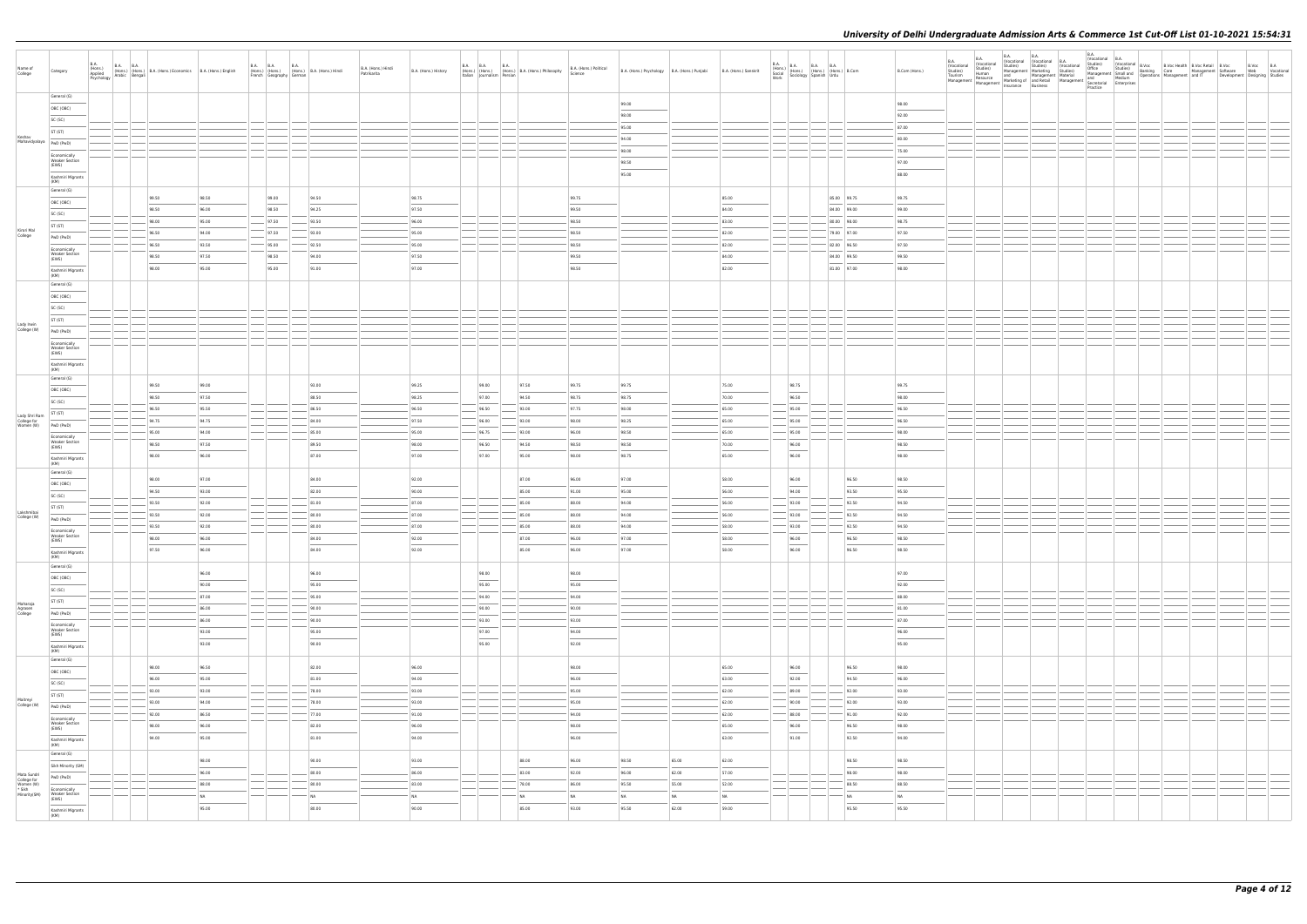|                                                     |                                                                                                                                                                                                                                                                                                                                                                                                                                                                            |                            |        |                                                                                                      |       |                          |             |                                            |                                   |                          |                            |                                                 |                                   |                                              |       |                       |                                                                                                                                                                                                                                                                                                                                                                                                                                                                                     |                                                                                                                                                                                               |                                                                                                                                                                                                                                                                                                                                                                                                                                                                                     |                                    |                                                                    |             | B.A.                    |                  |  |                                                                                                                                                                                                                             |                               |  |
|-----------------------------------------------------|----------------------------------------------------------------------------------------------------------------------------------------------------------------------------------------------------------------------------------------------------------------------------------------------------------------------------------------------------------------------------------------------------------------------------------------------------------------------------|----------------------------|--------|------------------------------------------------------------------------------------------------------|-------|--------------------------|-------------|--------------------------------------------|-----------------------------------|--------------------------|----------------------------|-------------------------------------------------|-----------------------------------|----------------------------------------------|-------|-----------------------|-------------------------------------------------------------------------------------------------------------------------------------------------------------------------------------------------------------------------------------------------------------------------------------------------------------------------------------------------------------------------------------------------------------------------------------------------------------------------------------|-----------------------------------------------------------------------------------------------------------------------------------------------------------------------------------------------|-------------------------------------------------------------------------------------------------------------------------------------------------------------------------------------------------------------------------------------------------------------------------------------------------------------------------------------------------------------------------------------------------------------------------------------------------------------------------------------|------------------------------------|--------------------------------------------------------------------|-------------|-------------------------|------------------|--|-----------------------------------------------------------------------------------------------------------------------------------------------------------------------------------------------------------------------------|-------------------------------|--|
|                                                     |                                                                                                                                                                                                                                                                                                                                                                                                                                                                            |                            |        |                                                                                                      |       |                          |             |                                            |                                   |                          |                            |                                                 |                                   |                                              |       |                       |                                                                                                                                                                                                                                                                                                                                                                                                                                                                                     |                                                                                                                                                                                               |                                                                                                                                                                                                                                                                                                                                                                                                                                                                                     | <b>B.A.</b>                        | <b>B.A.</b><br>B.A.<br>(Vocational (Vocational B.A.<br>(Vocational | <b>B.A.</b> |                         | (Vocational B.A. |  |                                                                                                                                                                                                                             |                               |  |
| Name of<br>None<br>  College                        | Category                                                                                                                                                                                                                                                                                                                                                                                                                                                                   | B.A.<br>(Hons.)<br>Applied |        | B.A. (Hons.) B.A. B.A. (Hons.) B.A. (Hons.) Economics B.A. (Hons.) English Psychology Arabic Bengali |       | <b>B.A. B.A.</b>         | <b>B.A.</b> | (Hons.) (Hons.) (Hons.) B.A. (Hons.) Hindi | B.A. (Hons.) Hindi<br>Patrikarita | B.A. (Hons.) History     | B.A. B.A. B.A.             | (Hons.) (Hons.) (Hons.) B.A. (Hons.) Philosophy | B.A. (Hons.) Political<br>Science | B.A. (Hons.) Psychology B.A. (Hons.) Punjabi |       | B.A. (Hons.) Sanskrit |                                                                                                                                                                                                                                                                                                                                                                                                                                                                                     | $\begin{tabular}{ l c c c c } \hline B.A. & B.A. & B.A. & B.A. & B.A. \\ (Hons.) & (Hons.) & (Hons.) & (B.0008.) & B. Com & \\ Social & Sociology & Spanish & Urdu & \\ \hline \end{tabular}$ | B.Com (Hons.)                                                                                                                                                                                                                                                                                                                                                                                                                                                                       | (Vocational<br>Studies)<br>Tourism | Studies)<br>Studies)<br>Human<br>Management   Marketing            | Studies)    | (Vocational<br>Studies) |                  |  | Wocational B.A.<br>Studies) (Wocational B.Voc Bealth B.Voc Retail B.Voc<br>Office Studies) Banking Care Management Software<br>Management Smalland Derations Management and IT<br>Management Developme<br>Management and IT | B.Voc B.A<br>Web Vocational   |  |
|                                                     |                                                                                                                                                                                                                                                                                                                                                                                                                                                                            |                            |        |                                                                                                      |       | French Geography German  |             |                                            |                                   |                          | Italian Journalism Persian |                                                 |                                   |                                              |       |                       |                                                                                                                                                                                                                                                                                                                                                                                                                                                                                     |                                                                                                                                                                                               |                                                                                                                                                                                                                                                                                                                                                                                                                                                                                     |                                    |                                                                    |             |                         |                  |  |                                                                                                                                                                                                                             | Development Designing Studies |  |
|                                                     |                                                                                                                                                                                                                                                                                                                                                                                                                                                                            |                            |        |                                                                                                      |       |                          |             |                                            |                                   |                          |                            |                                                 |                                   |                                              |       |                       |                                                                                                                                                                                                                                                                                                                                                                                                                                                                                     |                                                                                                                                                                                               |                                                                                                                                                                                                                                                                                                                                                                                                                                                                                     |                                    |                                                                    |             | Practice                |                  |  |                                                                                                                                                                                                                             |                               |  |
|                                                     | General (G)                                                                                                                                                                                                                                                                                                                                                                                                                                                                |                            |        |                                                                                                      |       |                          |             |                                            |                                   |                          |                            |                                                 |                                   |                                              |       |                       |                                                                                                                                                                                                                                                                                                                                                                                                                                                                                     |                                                                                                                                                                                               |                                                                                                                                                                                                                                                                                                                                                                                                                                                                                     |                                    |                                                                    |             |                         |                  |  |                                                                                                                                                                                                                             |                               |  |
|                                                     | OBC (OBC)                                                                                                                                                                                                                                                                                                                                                                                                                                                                  |                            |        |                                                                                                      |       |                          |             |                                            |                                   |                          |                            |                                                 |                                   | 99.00                                        |       |                       |                                                                                                                                                                                                                                                                                                                                                                                                                                                                                     |                                                                                                                                                                                               | 98.00<br>$\frac{1}{2} \left( \frac{1}{2} \right) \left( \frac{1}{2} \right) \left( \frac{1}{2} \right) \left( \frac{1}{2} \right) \left( \frac{1}{2} \right) \left( \frac{1}{2} \right) \left( \frac{1}{2} \right) \left( \frac{1}{2} \right) \left( \frac{1}{2} \right) \left( \frac{1}{2} \right) \left( \frac{1}{2} \right) \left( \frac{1}{2} \right) \left( \frac{1}{2} \right) \left( \frac{1}{2} \right) \left( \frac{1}{2} \right) \left( \frac{1}{2} \right) \left( \frac$ |                                    |                                                                    |             |                         |                  |  |                                                                                                                                                                                                                             |                               |  |
|                                                     |                                                                                                                                                                                                                                                                                                                                                                                                                                                                            |                            |        |                                                                                                      |       |                          |             |                                            |                                   |                          |                            |                                                 |                                   | 98.00                                        |       |                       |                                                                                                                                                                                                                                                                                                                                                                                                                                                                                     |                                                                                                                                                                                               | 92.00                                                                                                                                                                                                                                                                                                                                                                                                                                                                               |                                    |                                                                    |             |                         |                  |  |                                                                                                                                                                                                                             |                               |  |
|                                                     | SC (SC)                                                                                                                                                                                                                                                                                                                                                                                                                                                                    |                            |        |                                                                                                      |       |                          |             |                                            |                                   |                          |                            |                                                 |                                   | 95.00                                        |       |                       |                                                                                                                                                                                                                                                                                                                                                                                                                                                                                     |                                                                                                                                                                                               | 87.00                                                                                                                                                                                                                                                                                                                                                                                                                                                                               |                                    |                                                                    |             |                         |                  |  |                                                                                                                                                                                                                             |                               |  |
|                                                     | ST (ST)                                                                                                                                                                                                                                                                                                                                                                                                                                                                    |                            |        |                                                                                                      |       |                          |             |                                            |                                   |                          |                            |                                                 |                                   |                                              |       |                       |                                                                                                                                                                                                                                                                                                                                                                                                                                                                                     |                                                                                                                                                                                               |                                                                                                                                                                                                                                                                                                                                                                                                                                                                                     |                                    |                                                                    |             |                         |                  |  |                                                                                                                                                                                                                             |                               |  |
| Keshav<br>Mahavidyalaya                             | PwD (PwD)                                                                                                                                                                                                                                                                                                                                                                                                                                                                  |                            |        |                                                                                                      |       |                          |             |                                            |                                   |                          |                            |                                                 |                                   | 94.00                                        |       |                       |                                                                                                                                                                                                                                                                                                                                                                                                                                                                                     |                                                                                                                                                                                               | 80.00                                                                                                                                                                                                                                                                                                                                                                                                                                                                               |                                    |                                                                    |             |                         |                  |  |                                                                                                                                                                                                                             |                               |  |
|                                                     |                                                                                                                                                                                                                                                                                                                                                                                                                                                                            |                            |        |                                                                                                      |       |                          |             |                                            |                                   |                          |                            |                                                 |                                   | 98.00                                        |       |                       |                                                                                                                                                                                                                                                                                                                                                                                                                                                                                     |                                                                                                                                                                                               | 75.00                                                                                                                                                                                                                                                                                                                                                                                                                                                                               |                                    |                                                                    |             |                         |                  |  |                                                                                                                                                                                                                             |                               |  |
|                                                     | Economically<br>Weaker Section                                                                                                                                                                                                                                                                                                                                                                                                                                             |                            |        |                                                                                                      |       |                          |             |                                            |                                   |                          |                            |                                                 |                                   |                                              |       |                       |                                                                                                                                                                                                                                                                                                                                                                                                                                                                                     |                                                                                                                                                                                               |                                                                                                                                                                                                                                                                                                                                                                                                                                                                                     |                                    |                                                                    |             |                         |                  |  |                                                                                                                                                                                                                             |                               |  |
|                                                     | (EWS)                                                                                                                                                                                                                                                                                                                                                                                                                                                                      |                            |        |                                                                                                      |       |                          |             |                                            |                                   |                          |                            |                                                 |                                   | 98.50                                        |       |                       |                                                                                                                                                                                                                                                                                                                                                                                                                                                                                     |                                                                                                                                                                                               | 97.00<br>$\frac{1}{2} \left( \frac{1}{2} \right) \left( \frac{1}{2} \right) \left( \frac{1}{2} \right) \left( \frac{1}{2} \right) \left( \frac{1}{2} \right) \left( \frac{1}{2} \right) \left( \frac{1}{2} \right) \left( \frac{1}{2} \right) \left( \frac{1}{2} \right) \left( \frac{1}{2} \right) \left( \frac{1}{2} \right) \left( \frac{1}{2} \right) \left( \frac{1}{2} \right) \left( \frac{1}{2} \right) \left( \frac{1}{2} \right) \left( \frac{1}{2} \right) \left( \frac$ |                                    |                                                                    |             |                         |                  |  |                                                                                                                                                                                                                             |                               |  |
|                                                     | Kashmiri Migrants                                                                                                                                                                                                                                                                                                                                                                                                                                                          |                            |        |                                                                                                      |       |                          |             |                                            |                                   |                          |                            |                                                 |                                   | 95.00                                        |       |                       |                                                                                                                                                                                                                                                                                                                                                                                                                                                                                     |                                                                                                                                                                                               | 88.00                                                                                                                                                                                                                                                                                                                                                                                                                                                                               |                                    |                                                                    |             |                         |                  |  |                                                                                                                                                                                                                             |                               |  |
|                                                     | (KM)                                                                                                                                                                                                                                                                                                                                                                                                                                                                       |                            |        |                                                                                                      |       |                          |             |                                            |                                   |                          |                            |                                                 |                                   |                                              |       |                       |                                                                                                                                                                                                                                                                                                                                                                                                                                                                                     |                                                                                                                                                                                               |                                                                                                                                                                                                                                                                                                                                                                                                                                                                                     |                                    |                                                                    |             |                         |                  |  |                                                                                                                                                                                                                             |                               |  |
|                                                     | General (G)                                                                                                                                                                                                                                                                                                                                                                                                                                                                |                            |        | 99.50                                                                                                | 98.50 | 99.00                    |             | 94.50                                      |                                   | 98.75                    |                            |                                                 | 99.75                             |                                              |       | 85.00                 |                                                                                                                                                                                                                                                                                                                                                                                                                                                                                     | 85.00 99.75                                                                                                                                                                                   | 99.75                                                                                                                                                                                                                                                                                                                                                                                                                                                                               |                                    |                                                                    |             |                         |                  |  |                                                                                                                                                                                                                             |                               |  |
|                                                     | OBC (OBC)                                                                                                                                                                                                                                                                                                                                                                                                                                                                  |                            |        |                                                                                                      |       |                          |             |                                            |                                   |                          |                            |                                                 |                                   |                                              |       |                       |                                                                                                                                                                                                                                                                                                                                                                                                                                                                                     |                                                                                                                                                                                               |                                                                                                                                                                                                                                                                                                                                                                                                                                                                                     |                                    |                                                                    |             |                         |                  |  |                                                                                                                                                                                                                             |                               |  |
|                                                     | SC (SC)                                                                                                                                                                                                                                                                                                                                                                                                                                                                    |                            |        | 98.50                                                                                                | 96.00 | 98.50                    |             | 94.25                                      |                                   | 97.50                    |                            |                                                 | 99.50                             |                                              |       | 84.00                 |                                                                                                                                                                                                                                                                                                                                                                                                                                                                                     | 84.00 99.00                                                                                                                                                                                   | 99.00                                                                                                                                                                                                                                                                                                                                                                                                                                                                               |                                    |                                                                    |             |                         |                  |  |                                                                                                                                                                                                                             |                               |  |
|                                                     |                                                                                                                                                                                                                                                                                                                                                                                                                                                                            |                            |        | 98.00                                                                                                | 95.00 | 97.50                    |             | 93.50                                      |                                   | 96.00                    |                            |                                                 | 98.50                             |                                              |       | 83.00                 |                                                                                                                                                                                                                                                                                                                                                                                                                                                                                     | 80.00 98.00                                                                                                                                                                                   | 98.75                                                                                                                                                                                                                                                                                                                                                                                                                                                                               |                                    |                                                                    |             |                         |                  |  |                                                                                                                                                                                                                             |                               |  |
| Kirori Mal                                          | ST (ST)                                                                                                                                                                                                                                                                                                                                                                                                                                                                    |                            |        | 96.50                                                                                                | 94.00 | 97.50                    |             | 93.00                                      |                                   | 95.00                    |                            |                                                 | 98.50                             |                                              |       | 82.00                 |                                                                                                                                                                                                                                                                                                                                                                                                                                                                                     | 79.00 97.00                                                                                                                                                                                   | 97.50                                                                                                                                                                                                                                                                                                                                                                                                                                                                               |                                    |                                                                    |             |                         |                  |  |                                                                                                                                                                                                                             |                               |  |
| College                                             | PwD (PwD)                                                                                                                                                                                                                                                                                                                                                                                                                                                                  |                            |        |                                                                                                      |       |                          |             |                                            |                                   |                          |                            |                                                 |                                   |                                              |       |                       |                                                                                                                                                                                                                                                                                                                                                                                                                                                                                     |                                                                                                                                                                                               |                                                                                                                                                                                                                                                                                                                                                                                                                                                                                     |                                    |                                                                    |             |                         |                  |  |                                                                                                                                                                                                                             |                               |  |
|                                                     | Economically                                                                                                                                                                                                                                                                                                                                                                                                                                                               |                            |        | 96.50                                                                                                | 93.50 | 95.00                    |             | 92.50                                      |                                   | 95.00                    |                            |                                                 | 98.50                             |                                              |       | 82.00                 |                                                                                                                                                                                                                                                                                                                                                                                                                                                                                     | 82.00 96.50                                                                                                                                                                                   | 97.50                                                                                                                                                                                                                                                                                                                                                                                                                                                                               |                                    |                                                                    |             |                         |                  |  |                                                                                                                                                                                                                             |                               |  |
|                                                     | Weaker Section<br>(EWS)                                                                                                                                                                                                                                                                                                                                                                                                                                                    |                            |        | 98.50                                                                                                | 97.50 | 98.50                    |             | 94.00                                      |                                   | 97.50                    |                            |                                                 | 99.50                             |                                              |       | 84.00                 |                                                                                                                                                                                                                                                                                                                                                                                                                                                                                     | 84.00 99.50                                                                                                                                                                                   | 99.50                                                                                                                                                                                                                                                                                                                                                                                                                                                                               |                                    |                                                                    |             |                         |                  |  |                                                                                                                                                                                                                             |                               |  |
|                                                     | $\frac{1}{2} \left( \frac{1}{2} \right) \left( \frac{1}{2} \right) \left( \frac{1}{2} \right) \left( \frac{1}{2} \right) \left( \frac{1}{2} \right) \left( \frac{1}{2} \right) \left( \frac{1}{2} \right) \left( \frac{1}{2} \right) \left( \frac{1}{2} \right) \left( \frac{1}{2} \right) \left( \frac{1}{2} \right) \left( \frac{1}{2} \right) \left( \frac{1}{2} \right) \left( \frac{1}{2} \right) \left( \frac{1}{2} \right) \left( \frac{1}{2} \right) \left( \frac$ |                            |        | 98.00                                                                                                | 95.00 | 95.00                    |             | 91.00                                      |                                   | 97.00                    |                            |                                                 | 98.50                             |                                              |       | 82.00                 |                                                                                                                                                                                                                                                                                                                                                                                                                                                                                     | 81.00 97.00                                                                                                                                                                                   | 98.00                                                                                                                                                                                                                                                                                                                                                                                                                                                                               |                                    |                                                                    |             |                         |                  |  |                                                                                                                                                                                                                             |                               |  |
|                                                     | Kashmiri Migrants<br>(KM)                                                                                                                                                                                                                                                                                                                                                                                                                                                  |                            |        |                                                                                                      |       |                          |             |                                            |                                   |                          |                            |                                                 |                                   |                                              |       |                       |                                                                                                                                                                                                                                                                                                                                                                                                                                                                                     |                                                                                                                                                                                               |                                                                                                                                                                                                                                                                                                                                                                                                                                                                                     |                                    |                                                                    |             |                         |                  |  |                                                                                                                                                                                                                             |                               |  |
|                                                     | General (G)                                                                                                                                                                                                                                                                                                                                                                                                                                                                |                            |        |                                                                                                      |       |                          |             |                                            |                                   |                          |                            |                                                 |                                   |                                              |       |                       |                                                                                                                                                                                                                                                                                                                                                                                                                                                                                     |                                                                                                                                                                                               |                                                                                                                                                                                                                                                                                                                                                                                                                                                                                     |                                    |                                                                    |             |                         |                  |  |                                                                                                                                                                                                                             |                               |  |
|                                                     |                                                                                                                                                                                                                                                                                                                                                                                                                                                                            |                            |        |                                                                                                      |       |                          |             |                                            |                                   |                          |                            |                                                 |                                   |                                              |       |                       |                                                                                                                                                                                                                                                                                                                                                                                                                                                                                     |                                                                                                                                                                                               |                                                                                                                                                                                                                                                                                                                                                                                                                                                                                     |                                    |                                                                    |             |                         |                  |  |                                                                                                                                                                                                                             |                               |  |
|                                                     | OBC (OBC)                                                                                                                                                                                                                                                                                                                                                                                                                                                                  |                            |        |                                                                                                      |       |                          |             |                                            |                                   |                          |                            |                                                 |                                   |                                              |       |                       |                                                                                                                                                                                                                                                                                                                                                                                                                                                                                     |                                                                                                                                                                                               |                                                                                                                                                                                                                                                                                                                                                                                                                                                                                     |                                    |                                                                    |             |                         |                  |  |                                                                                                                                                                                                                             |                               |  |
|                                                     | SC (SC)                                                                                                                                                                                                                                                                                                                                                                                                                                                                    |                            |        |                                                                                                      |       |                          |             |                                            |                                   |                          |                            |                                                 |                                   |                                              |       |                       |                                                                                                                                                                                                                                                                                                                                                                                                                                                                                     |                                                                                                                                                                                               |                                                                                                                                                                                                                                                                                                                                                                                                                                                                                     |                                    |                                                                    |             |                         |                  |  |                                                                                                                                                                                                                             |                               |  |
|                                                     | ST (ST)                                                                                                                                                                                                                                                                                                                                                                                                                                                                    |                            |        |                                                                                                      |       |                          |             |                                            |                                   |                          |                            |                                                 |                                   |                                              |       |                       |                                                                                                                                                                                                                                                                                                                                                                                                                                                                                     |                                                                                                                                                                                               |                                                                                                                                                                                                                                                                                                                                                                                                                                                                                     |                                    |                                                                    |             |                         |                  |  |                                                                                                                                                                                                                             |                               |  |
| Lady Irwin<br>College (W)                           | PwD (PwD)                                                                                                                                                                                                                                                                                                                                                                                                                                                                  |                            |        |                                                                                                      |       |                          |             |                                            |                                   |                          |                            |                                                 |                                   |                                              |       |                       |                                                                                                                                                                                                                                                                                                                                                                                                                                                                                     |                                                                                                                                                                                               |                                                                                                                                                                                                                                                                                                                                                                                                                                                                                     |                                    |                                                                    |             |                         |                  |  |                                                                                                                                                                                                                             |                               |  |
|                                                     |                                                                                                                                                                                                                                                                                                                                                                                                                                                                            |                            |        |                                                                                                      |       |                          |             |                                            |                                   |                          |                            |                                                 |                                   |                                              |       |                       |                                                                                                                                                                                                                                                                                                                                                                                                                                                                                     |                                                                                                                                                                                               |                                                                                                                                                                                                                                                                                                                                                                                                                                                                                     |                                    |                                                                    |             |                         |                  |  |                                                                                                                                                                                                                             |                               |  |
|                                                     | Economically<br><b>Weaker Section</b>                                                                                                                                                                                                                                                                                                                                                                                                                                      |                            |        |                                                                                                      |       |                          |             |                                            |                                   |                          |                            |                                                 |                                   |                                              |       |                       |                                                                                                                                                                                                                                                                                                                                                                                                                                                                                     |                                                                                                                                                                                               |                                                                                                                                                                                                                                                                                                                                                                                                                                                                                     |                                    |                                                                    |             |                         |                  |  |                                                                                                                                                                                                                             |                               |  |
|                                                     | (EWS)                                                                                                                                                                                                                                                                                                                                                                                                                                                                      |                            |        |                                                                                                      |       |                          |             |                                            |                                   |                          |                            |                                                 |                                   |                                              |       |                       |                                                                                                                                                                                                                                                                                                                                                                                                                                                                                     |                                                                                                                                                                                               |                                                                                                                                                                                                                                                                                                                                                                                                                                                                                     |                                    |                                                                    |             |                         |                  |  |                                                                                                                                                                                                                             |                               |  |
|                                                     | Kashmiri Migrants                                                                                                                                                                                                                                                                                                                                                                                                                                                          |                            |        |                                                                                                      |       |                          |             |                                            |                                   |                          |                            |                                                 |                                   |                                              |       |                       |                                                                                                                                                                                                                                                                                                                                                                                                                                                                                     |                                                                                                                                                                                               |                                                                                                                                                                                                                                                                                                                                                                                                                                                                                     |                                    |                                                                    |             |                         |                  |  |                                                                                                                                                                                                                             |                               |  |
|                                                     | (KM)                                                                                                                                                                                                                                                                                                                                                                                                                                                                       |                            |        |                                                                                                      |       |                          |             |                                            |                                   |                          |                            |                                                 |                                   |                                              |       |                       |                                                                                                                                                                                                                                                                                                                                                                                                                                                                                     |                                                                                                                                                                                               |                                                                                                                                                                                                                                                                                                                                                                                                                                                                                     |                                    |                                                                    |             |                         |                  |  |                                                                                                                                                                                                                             |                               |  |
|                                                     | General (G)                                                                                                                                                                                                                                                                                                                                                                                                                                                                |                            |        |                                                                                                      |       |                          |             |                                            |                                   |                          |                            |                                                 |                                   |                                              |       |                       |                                                                                                                                                                                                                                                                                                                                                                                                                                                                                     |                                                                                                                                                                                               |                                                                                                                                                                                                                                                                                                                                                                                                                                                                                     |                                    |                                                                    |             |                         |                  |  |                                                                                                                                                                                                                             |                               |  |
|                                                     | OBC (OBC)                                                                                                                                                                                                                                                                                                                                                                                                                                                                  |                            |        | 99.50                                                                                                | 99.00 |                          |             | 93.00                                      |                                   | 99.25                    | 99.00                      | 97.50                                           | 99.75                             | 99.75                                        |       | 75.00                 | 98.75                                                                                                                                                                                                                                                                                                                                                                                                                                                                               |                                                                                                                                                                                               | 99.75                                                                                                                                                                                                                                                                                                                                                                                                                                                                               |                                    |                                                                    |             |                         |                  |  |                                                                                                                                                                                                                             |                               |  |
|                                                     | SC (SC)                                                                                                                                                                                                                                                                                                                                                                                                                                                                    |                            |        | 98.50                                                                                                | 97.50 |                          |             | 88.50                                      |                                   | 98.25                    | 97.00                      | 94.50                                           | 98.75                             | 98.75                                        |       | 70.00                 | 96.50                                                                                                                                                                                                                                                                                                                                                                                                                                                                               |                                                                                                                                                                                               | 98.00                                                                                                                                                                                                                                                                                                                                                                                                                                                                               |                                    |                                                                    |             |                         |                  |  |                                                                                                                                                                                                                             |                               |  |
|                                                     |                                                                                                                                                                                                                                                                                                                                                                                                                                                                            |                            |        | 96.50                                                                                                | 95.50 |                          |             | 86.50                                      |                                   | 96.50                    | 96.50                      | 93.00                                           | 97.75                             | 98.00                                        |       | 65.00                 | 95.00                                                                                                                                                                                                                                                                                                                                                                                                                                                                               |                                                                                                                                                                                               | 96.50                                                                                                                                                                                                                                                                                                                                                                                                                                                                               |                                    |                                                                    |             |                         |                  |  |                                                                                                                                                                                                                             |                               |  |
|                                                     | ST (ST)                                                                                                                                                                                                                                                                                                                                                                                                                                                                    |                            |        | 94.75                                                                                                | 94.75 |                          |             | 84.00                                      |                                   | 97.50                    | 96.00                      | 93.00                                           | 98.00                             | 98.25                                        |       | 65.00                 | 95.00                                                                                                                                                                                                                                                                                                                                                                                                                                                                               |                                                                                                                                                                                               | 96.50                                                                                                                                                                                                                                                                                                                                                                                                                                                                               |                                    |                                                                    |             |                         |                  |  |                                                                                                                                                                                                                             |                               |  |
| Lady Shri Ram<br>College for<br>Women (W) PWD (PWD) |                                                                                                                                                                                                                                                                                                                                                                                                                                                                            |                            |        |                                                                                                      |       |                          |             |                                            |                                   |                          |                            |                                                 |                                   |                                              |       |                       |                                                                                                                                                                                                                                                                                                                                                                                                                                                                                     |                                                                                                                                                                                               |                                                                                                                                                                                                                                                                                                                                                                                                                                                                                     |                                    |                                                                    |             |                         |                  |  |                                                                                                                                                                                                                             |                               |  |
|                                                     | Economically                                                                                                                                                                                                                                                                                                                                                                                                                                                               |                            |        | 95.00                                                                                                | 94.00 |                          |             | 85.00                                      |                                   | 95.00                    | 96.75                      | 93.00                                           | 96.00                             | 98.50                                        |       | 65.00                 | 95.00                                                                                                                                                                                                                                                                                                                                                                                                                                                                               |                                                                                                                                                                                               | 98.00                                                                                                                                                                                                                                                                                                                                                                                                                                                                               |                                    |                                                                    |             |                         |                  |  |                                                                                                                                                                                                                             |                               |  |
|                                                     | <b>Weaker Section</b><br>(EWS)                                                                                                                                                                                                                                                                                                                                                                                                                                             |                            |        | 98.50                                                                                                | 97.50 |                          |             | 89.50                                      |                                   | 98.00                    | 96.50                      | 94.50                                           | 98.50                             | 98.50                                        |       | 70.00                 | 96.00                                                                                                                                                                                                                                                                                                                                                                                                                                                                               |                                                                                                                                                                                               | 98.50                                                                                                                                                                                                                                                                                                                                                                                                                                                                               |                                    |                                                                    |             |                         |                  |  |                                                                                                                                                                                                                             |                               |  |
|                                                     |                                                                                                                                                                                                                                                                                                                                                                                                                                                                            |                            |        | 98.00                                                                                                | 96.00 |                          |             | 87.00                                      |                                   | 97.00                    | 97.00                      | 95.00                                           | 98.00                             | 98.75                                        |       | 65.00                 | <b>STATISTICS</b><br>96.00                                                                                                                                                                                                                                                                                                                                                                                                                                                          |                                                                                                                                                                                               | 98.00                                                                                                                                                                                                                                                                                                                                                                                                                                                                               |                                    |                                                                    |             |                         |                  |  |                                                                                                                                                                                                                             |                               |  |
|                                                     | Kashmiri Migrants<br>(KM)                                                                                                                                                                                                                                                                                                                                                                                                                                                  |                            |        |                                                                                                      |       |                          |             |                                            |                                   |                          |                            |                                                 |                                   |                                              |       |                       |                                                                                                                                                                                                                                                                                                                                                                                                                                                                                     |                                                                                                                                                                                               |                                                                                                                                                                                                                                                                                                                                                                                                                                                                                     |                                    |                                                                    |             |                         |                  |  |                                                                                                                                                                                                                             |                               |  |
|                                                     | General (G)                                                                                                                                                                                                                                                                                                                                                                                                                                                                |                            |        |                                                                                                      |       |                          |             |                                            |                                   |                          |                            |                                                 |                                   |                                              |       |                       |                                                                                                                                                                                                                                                                                                                                                                                                                                                                                     |                                                                                                                                                                                               |                                                                                                                                                                                                                                                                                                                                                                                                                                                                                     |                                    |                                                                    |             |                         |                  |  |                                                                                                                                                                                                                             |                               |  |
|                                                     |                                                                                                                                                                                                                                                                                                                                                                                                                                                                            |                            |        | 98.00                                                                                                | 97.00 |                          |             | 84.00                                      |                                   | 92.00                    |                            | 87.00                                           | 96.00                             | 97.00                                        |       | 58.00                 | 96.00                                                                                                                                                                                                                                                                                                                                                                                                                                                                               | 96.50                                                                                                                                                                                         | 98.50                                                                                                                                                                                                                                                                                                                                                                                                                                                                               |                                    |                                                                    |             |                         |                  |  |                                                                                                                                                                                                                             |                               |  |
|                                                     | OBC (OBC)                                                                                                                                                                                                                                                                                                                                                                                                                                                                  |                            |        | 94.50                                                                                                | 93.00 |                          |             | 82.00                                      |                                   | 90.00                    |                            | 85.00                                           | 91.00                             | 95.00                                        |       | 56.00                 | 94.00                                                                                                                                                                                                                                                                                                                                                                                                                                                                               | 93.50                                                                                                                                                                                         | 95.50                                                                                                                                                                                                                                                                                                                                                                                                                                                                               |                                    |                                                                    |             |                         |                  |  |                                                                                                                                                                                                                             |                               |  |
|                                                     | SC (SC)                                                                                                                                                                                                                                                                                                                                                                                                                                                                    |                            |        |                                                                                                      |       |                          |             |                                            |                                   |                          |                            |                                                 |                                   |                                              |       |                       |                                                                                                                                                                                                                                                                                                                                                                                                                                                                                     |                                                                                                                                                                                               |                                                                                                                                                                                                                                                                                                                                                                                                                                                                                     |                                    |                                                                    |             |                         |                  |  |                                                                                                                                                                                                                             |                               |  |
|                                                     | ST (ST)                                                                                                                                                                                                                                                                                                                                                                                                                                                                    |                            |        | 93.50                                                                                                | 92.00 |                          |             | 81.00                                      |                                   | 87.00                    |                            | 85.00                                           | 88.00                             | 94.00                                        |       | 56.00                 | 93.00                                                                                                                                                                                                                                                                                                                                                                                                                                                                               | 92.50                                                                                                                                                                                         | 94.50                                                                                                                                                                                                                                                                                                                                                                                                                                                                               |                                    |                                                                    |             |                         |                  |  |                                                                                                                                                                                                                             |                               |  |
| Lakshmibai<br>College (W)                           | PwD (PwD)                                                                                                                                                                                                                                                                                                                                                                                                                                                                  |                            |        | 93.50                                                                                                | 92.00 |                          |             | 80.00                                      |                                   | 87.00                    |                            | 85.00                                           | 88.00                             | 94.00                                        |       | 56.00                 | 93.00                                                                                                                                                                                                                                                                                                                                                                                                                                                                               | 92.50                                                                                                                                                                                         | 94.50                                                                                                                                                                                                                                                                                                                                                                                                                                                                               |                                    |                                                                    |             |                         |                  |  |                                                                                                                                                                                                                             |                               |  |
|                                                     |                                                                                                                                                                                                                                                                                                                                                                                                                                                                            |                            |        | 93.50                                                                                                | 92.00 |                          |             | 80.00                                      |                                   | 87.00                    |                            | 85.00                                           | 88.00                             | 94.00                                        |       | 58.00                 | 93.00                                                                                                                                                                                                                                                                                                                                                                                                                                                                               | 92.50                                                                                                                                                                                         | 94.50                                                                                                                                                                                                                                                                                                                                                                                                                                                                               |                                    |                                                                    |             |                         |                  |  |                                                                                                                                                                                                                             |                               |  |
|                                                     | Economically<br><b>Weaker Section</b>                                                                                                                                                                                                                                                                                                                                                                                                                                      |                            |        |                                                                                                      |       |                          |             |                                            |                                   |                          |                            |                                                 |                                   |                                              |       |                       |                                                                                                                                                                                                                                                                                                                                                                                                                                                                                     |                                                                                                                                                                                               |                                                                                                                                                                                                                                                                                                                                                                                                                                                                                     |                                    |                                                                    |             |                         |                  |  |                                                                                                                                                                                                                             |                               |  |
|                                                     | (EWS)                                                                                                                                                                                                                                                                                                                                                                                                                                                                      |                            |        | 98.00                                                                                                | 96.00 |                          |             | 84.00                                      |                                   | 92.00                    |                            | 87.00                                           | 96.00                             | 97.00                                        |       | 58.00                 | 96.00                                                                                                                                                                                                                                                                                                                                                                                                                                                                               | 96.50                                                                                                                                                                                         | 98.50                                                                                                                                                                                                                                                                                                                                                                                                                                                                               |                                    |                                                                    |             |                         |                  |  |                                                                                                                                                                                                                             |                               |  |
|                                                     | Kashmiri Migrants                                                                                                                                                                                                                                                                                                                                                                                                                                                          |                            |        | 97.50                                                                                                | 96.00 |                          |             | 84.00                                      |                                   | 92.00                    |                            | 85.00                                           | 96.00                             | 97.00                                        |       | 58.00                 | 96.00                                                                                                                                                                                                                                                                                                                                                                                                                                                                               | 96.50                                                                                                                                                                                         | 98.50                                                                                                                                                                                                                                                                                                                                                                                                                                                                               |                                    |                                                                    |             |                         |                  |  |                                                                                                                                                                                                                             |                               |  |
|                                                     | (KM)                                                                                                                                                                                                                                                                                                                                                                                                                                                                       |                            |        |                                                                                                      |       |                          |             |                                            |                                   |                          |                            |                                                 |                                   |                                              |       |                       |                                                                                                                                                                                                                                                                                                                                                                                                                                                                                     |                                                                                                                                                                                               |                                                                                                                                                                                                                                                                                                                                                                                                                                                                                     |                                    |                                                                    |             |                         |                  |  |                                                                                                                                                                                                                             |                               |  |
|                                                     | General (G)                                                                                                                                                                                                                                                                                                                                                                                                                                                                |                            |        |                                                                                                      | 96.00 |                          |             | 96.00                                      |                                   |                          | 98.00                      |                                                 | 98.00                             |                                              |       |                       |                                                                                                                                                                                                                                                                                                                                                                                                                                                                                     |                                                                                                                                                                                               | 97.00                                                                                                                                                                                                                                                                                                                                                                                                                                                                               |                                    |                                                                    |             |                         |                  |  |                                                                                                                                                                                                                             |                               |  |
|                                                     | OBC (OBC)                                                                                                                                                                                                                                                                                                                                                                                                                                                                  |                            |        |                                                                                                      |       |                          |             |                                            |                                   |                          |                            |                                                 |                                   |                                              |       |                       |                                                                                                                                                                                                                                                                                                                                                                                                                                                                                     |                                                                                                                                                                                               |                                                                                                                                                                                                                                                                                                                                                                                                                                                                                     |                                    |                                                                    |             |                         |                  |  |                                                                                                                                                                                                                             |                               |  |
|                                                     | SC (SC)                                                                                                                                                                                                                                                                                                                                                                                                                                                                    |                            |        |                                                                                                      | 90.00 |                          |             | 95.00                                      |                                   |                          | 95.00                      |                                                 | 95.00                             |                                              |       |                       |                                                                                                                                                                                                                                                                                                                                                                                                                                                                                     |                                                                                                                                                                                               | 92.00                                                                                                                                                                                                                                                                                                                                                                                                                                                                               |                                    |                                                                    |             |                         |                  |  |                                                                                                                                                                                                                             |                               |  |
|                                                     |                                                                                                                                                                                                                                                                                                                                                                                                                                                                            |                            | $\sim$ |                                                                                                      | 87.00 |                          |             | 95.00                                      |                                   |                          | 94.00                      |                                                 | 94.00                             |                                              |       |                       |                                                                                                                                                                                                                                                                                                                                                                                                                                                                                     |                                                                                                                                                                                               | 88.00                                                                                                                                                                                                                                                                                                                                                                                                                                                                               |                                    |                                                                    |             |                         |                  |  |                                                                                                                                                                                                                             |                               |  |
| Maharaja<br>Agrasen<br>College                      | ST (ST)                                                                                                                                                                                                                                                                                                                                                                                                                                                                    |                            |        |                                                                                                      | 86.00 |                          |             | 90.00                                      |                                   |                          | 90.00                      |                                                 | 90.00                             |                                              |       |                       |                                                                                                                                                                                                                                                                                                                                                                                                                                                                                     |                                                                                                                                                                                               | 81.00                                                                                                                                                                                                                                                                                                                                                                                                                                                                               |                                    |                                                                    |             |                         |                  |  |                                                                                                                                                                                                                             |                               |  |
|                                                     | PwD (PwD)                                                                                                                                                                                                                                                                                                                                                                                                                                                                  |                            |        |                                                                                                      |       |                          |             |                                            |                                   |                          |                            |                                                 |                                   |                                              |       |                       |                                                                                                                                                                                                                                                                                                                                                                                                                                                                                     |                                                                                                                                                                                               |                                                                                                                                                                                                                                                                                                                                                                                                                                                                                     |                                    |                                                                    |             |                         |                  |  |                                                                                                                                                                                                                             |                               |  |
|                                                     | Economically                                                                                                                                                                                                                                                                                                                                                                                                                                                               |                            |        |                                                                                                      | 86.00 |                          |             | 90.00                                      |                                   |                          | 93.00                      |                                                 | 93.00                             |                                              |       |                       |                                                                                                                                                                                                                                                                                                                                                                                                                                                                                     |                                                                                                                                                                                               | 87.00                                                                                                                                                                                                                                                                                                                                                                                                                                                                               |                                    |                                                                    |             |                         |                  |  |                                                                                                                                                                                                                             |                               |  |
|                                                     | <b>Weaker Section</b><br>(EWS)                                                                                                                                                                                                                                                                                                                                                                                                                                             |                            |        |                                                                                                      | 93.00 |                          |             | 95.00                                      |                                   |                          | 97.00                      |                                                 | 94.00                             |                                              |       |                       |                                                                                                                                                                                                                                                                                                                                                                                                                                                                                     |                                                                                                                                                                                               | 96.00                                                                                                                                                                                                                                                                                                                                                                                                                                                                               |                                    |                                                                    |             |                         |                  |  |                                                                                                                                                                                                                             |                               |  |
|                                                     |                                                                                                                                                                                                                                                                                                                                                                                                                                                                            |                            |        |                                                                                                      | 93.00 |                          |             | 90.00                                      |                                   |                          | $\sim$<br>95.00            |                                                 | $\sim$<br>92.00                   |                                              |       |                       |                                                                                                                                                                                                                                                                                                                                                                                                                                                                                     |                                                                                                                                                                                               | $\sim$<br>95.00                                                                                                                                                                                                                                                                                                                                                                                                                                                                     |                                    |                                                                    |             |                         |                  |  |                                                                                                                                                                                                                             |                               |  |
|                                                     | Kashmiri Migrants<br>(KM)                                                                                                                                                                                                                                                                                                                                                                                                                                                  |                            |        |                                                                                                      |       |                          |             |                                            |                                   |                          |                            |                                                 |                                   |                                              |       |                       |                                                                                                                                                                                                                                                                                                                                                                                                                                                                                     |                                                                                                                                                                                               |                                                                                                                                                                                                                                                                                                                                                                                                                                                                                     |                                    |                                                                    |             |                         |                  |  |                                                                                                                                                                                                                             |                               |  |
|                                                     | General (G)                                                                                                                                                                                                                                                                                                                                                                                                                                                                |                            |        |                                                                                                      |       |                          |             |                                            |                                   |                          |                            |                                                 |                                   |                                              |       |                       |                                                                                                                                                                                                                                                                                                                                                                                                                                                                                     |                                                                                                                                                                                               |                                                                                                                                                                                                                                                                                                                                                                                                                                                                                     |                                    |                                                                    |             |                         |                  |  |                                                                                                                                                                                                                             |                               |  |
|                                                     | OBC (OBC)                                                                                                                                                                                                                                                                                                                                                                                                                                                                  |                            |        | 98.00                                                                                                | 96.50 |                          |             | 82.00                                      |                                   | 96.00                    |                            |                                                 | 98.00                             |                                              |       | 65.00                 | 96.00<br>$\frac{1}{2} \left( \frac{1}{2} \right) \left( \frac{1}{2} \right) \left( \frac{1}{2} \right) \left( \frac{1}{2} \right) \left( \frac{1}{2} \right) \left( \frac{1}{2} \right) \left( \frac{1}{2} \right) \left( \frac{1}{2} \right) \left( \frac{1}{2} \right) \left( \frac{1}{2} \right) \left( \frac{1}{2} \right) \left( \frac{1}{2} \right) \left( \frac{1}{2} \right) \left( \frac{1}{2} \right) \left( \frac{1}{2} \right) \left( \frac{1}{2} \right) \left( \frac$ | 96.50                                                                                                                                                                                         | 98.00                                                                                                                                                                                                                                                                                                                                                                                                                                                                               |                                    |                                                                    |             |                         |                  |  |                                                                                                                                                                                                                             |                               |  |
|                                                     |                                                                                                                                                                                                                                                                                                                                                                                                                                                                            |                            |        | 96.00                                                                                                | 95.00 |                          |             | 81.00                                      |                                   | 94.00                    |                            |                                                 | 96.00                             |                                              |       | 63.00                 | 92.00                                                                                                                                                                                                                                                                                                                                                                                                                                                                               | 94.50                                                                                                                                                                                         | 96.00                                                                                                                                                                                                                                                                                                                                                                                                                                                                               |                                    |                                                                    |             |                         |                  |  |                                                                                                                                                                                                                             |                               |  |
|                                                     | SC (SC)                                                                                                                                                                                                                                                                                                                                                                                                                                                                    |                            |        | 93.00                                                                                                | 93.00 |                          |             | 78.00                                      |                                   | 93.00                    |                            |                                                 | 95.00                             |                                              |       | 62.00                 | 89.00                                                                                                                                                                                                                                                                                                                                                                                                                                                                               | 92.00                                                                                                                                                                                         | 93.00                                                                                                                                                                                                                                                                                                                                                                                                                                                                               |                                    |                                                                    |             |                         |                  |  |                                                                                                                                                                                                                             |                               |  |
|                                                     | ST (ST)                                                                                                                                                                                                                                                                                                                                                                                                                                                                    |                            |        |                                                                                                      |       |                          |             |                                            |                                   |                          |                            |                                                 |                                   |                                              |       |                       |                                                                                                                                                                                                                                                                                                                                                                                                                                                                                     |                                                                                                                                                                                               |                                                                                                                                                                                                                                                                                                                                                                                                                                                                                     |                                    |                                                                    |             |                         |                  |  |                                                                                                                                                                                                                             |                               |  |
| Maitreyi<br>College (W)                             | PwD (PwD)                                                                                                                                                                                                                                                                                                                                                                                                                                                                  |                            |        | 93.00                                                                                                | 94.00 |                          |             | 78.00                                      |                                   | 93.00                    |                            |                                                 | 95.00                             |                                              |       | 62.00                 | 90.00                                                                                                                                                                                                                                                                                                                                                                                                                                                                               | 92.00                                                                                                                                                                                         | 93.00                                                                                                                                                                                                                                                                                                                                                                                                                                                                               |                                    |                                                                    |             |                         |                  |  |                                                                                                                                                                                                                             |                               |  |
|                                                     |                                                                                                                                                                                                                                                                                                                                                                                                                                                                            |                            |        | 92.00                                                                                                | 86.50 | $\overline{\phantom{a}}$ |             | $-77.00$                                   |                                   | 91.00                    |                            |                                                 | 94.00                             |                                              |       | 62.00                 | 88.00                                                                                                                                                                                                                                                                                                                                                                                                                                                                               | 91.00                                                                                                                                                                                         | 92.00                                                                                                                                                                                                                                                                                                                                                                                                                                                                               |                                    |                                                                    |             |                         |                  |  |                                                                                                                                                                                                                             |                               |  |
|                                                     | Economically<br><b>Weaker Section</b>                                                                                                                                                                                                                                                                                                                                                                                                                                      |                            |        | 98.00                                                                                                | 96.00 |                          |             | 82.00                                      |                                   | 96.00                    |                            |                                                 | 98.00                             |                                              |       | 65.00                 | 96.00                                                                                                                                                                                                                                                                                                                                                                                                                                                                               | 96.50                                                                                                                                                                                         | 98.00                                                                                                                                                                                                                                                                                                                                                                                                                                                                               |                                    |                                                                    |             |                         |                  |  |                                                                                                                                                                                                                             |                               |  |
|                                                     | (EWS)                                                                                                                                                                                                                                                                                                                                                                                                                                                                      |                            |        |                                                                                                      |       |                          |             |                                            |                                   | $\overline{\phantom{a}}$ |                            |                                                 | $\sim$                            |                                              |       | $\sim$                | $\overline{\phantom{a}}$                                                                                                                                                                                                                                                                                                                                                                                                                                                            |                                                                                                                                                                                               |                                                                                                                                                                                                                                                                                                                                                                                                                                                                                     |                                    |                                                                    |             |                         |                  |  |                                                                                                                                                                                                                             |                               |  |
|                                                     | Kashmiri Migrants                                                                                                                                                                                                                                                                                                                                                                                                                                                          |                            |        | 94.00                                                                                                | 95.00 |                          |             | 81.00                                      |                                   | 94.00                    |                            |                                                 | 96.00                             |                                              |       | 63.00                 | 91.00                                                                                                                                                                                                                                                                                                                                                                                                                                                                               | 92.50                                                                                                                                                                                         | 94.00                                                                                                                                                                                                                                                                                                                                                                                                                                                                               |                                    |                                                                    |             |                         |                  |  |                                                                                                                                                                                                                             |                               |  |
|                                                     | (KM)                                                                                                                                                                                                                                                                                                                                                                                                                                                                       |                            |        |                                                                                                      |       |                          |             |                                            |                                   |                          |                            |                                                 |                                   |                                              |       |                       |                                                                                                                                                                                                                                                                                                                                                                                                                                                                                     |                                                                                                                                                                                               |                                                                                                                                                                                                                                                                                                                                                                                                                                                                                     |                                    |                                                                    |             |                         |                  |  |                                                                                                                                                                                                                             |                               |  |
|                                                     | General (G)                                                                                                                                                                                                                                                                                                                                                                                                                                                                |                            |        |                                                                                                      | 98.00 |                          |             | 90.00                                      |                                   | 93.00                    |                            | 88.00                                           | 96.00                             | 98.50                                        | 65.00 | 62.00                 |                                                                                                                                                                                                                                                                                                                                                                                                                                                                                     | 98.50                                                                                                                                                                                         | 98.50                                                                                                                                                                                                                                                                                                                                                                                                                                                                               |                                    |                                                                    |             |                         |                  |  |                                                                                                                                                                                                                             |                               |  |
|                                                     | Sikh Minority (SM)                                                                                                                                                                                                                                                                                                                                                                                                                                                         |                            |        |                                                                                                      |       |                          |             |                                            |                                   |                          |                            |                                                 |                                   |                                              |       |                       |                                                                                                                                                                                                                                                                                                                                                                                                                                                                                     |                                                                                                                                                                                               |                                                                                                                                                                                                                                                                                                                                                                                                                                                                                     |                                    |                                                                    |             |                         |                  |  |                                                                                                                                                                                                                             |                               |  |
| Mata Sundri                                         | PwD (PwD)                                                                                                                                                                                                                                                                                                                                                                                                                                                                  |                            |        |                                                                                                      | 96.00 |                          |             | 80.00                                      |                                   | 86.00                    |                            | 83.00                                           | 92.00                             | 96.00                                        | 62.00 | 57.00                 |                                                                                                                                                                                                                                                                                                                                                                                                                                                                                     | 98.00                                                                                                                                                                                         | 98.00                                                                                                                                                                                                                                                                                                                                                                                                                                                                               |                                    |                                                                    |             |                         |                  |  |                                                                                                                                                                                                                             |                               |  |
| College for<br>Women (W)<br>* Sikh<br>Minority(SM)  |                                                                                                                                                                                                                                                                                                                                                                                                                                                                            |                            |        |                                                                                                      | 88.00 |                          |             | 80.00                                      |                                   | 83.00                    |                            | 78.00                                           | 86.00                             | 95.50                                        | 55.00 | 52.00                 |                                                                                                                                                                                                                                                                                                                                                                                                                                                                                     | 88.50                                                                                                                                                                                         | 88.50                                                                                                                                                                                                                                                                                                                                                                                                                                                                               |                                    |                                                                    |             |                         |                  |  |                                                                                                                                                                                                                             |                               |  |
|                                                     | Economically<br>Weaker Section<br>(EWS)                                                                                                                                                                                                                                                                                                                                                                                                                                    |                            |        |                                                                                                      | NA    |                          |             | NA                                         |                                   | N <sub>A</sub>           |                            | NA                                              | NA                                | NA                                           | NA    | N <sub>A</sub>        |                                                                                                                                                                                                                                                                                                                                                                                                                                                                                     | NA                                                                                                                                                                                            | NA                                                                                                                                                                                                                                                                                                                                                                                                                                                                                  |                                    |                                                                    |             |                         |                  |  |                                                                                                                                                                                                                             |                               |  |
|                                                     |                                                                                                                                                                                                                                                                                                                                                                                                                                                                            |                            |        |                                                                                                      |       |                          |             |                                            |                                   |                          |                            |                                                 |                                   |                                              |       |                       |                                                                                                                                                                                                                                                                                                                                                                                                                                                                                     |                                                                                                                                                                                               |                                                                                                                                                                                                                                                                                                                                                                                                                                                                                     |                                    |                                                                    |             |                         |                  |  |                                                                                                                                                                                                                             |                               |  |
|                                                     | Kashmiri Migrants<br>(KM)                                                                                                                                                                                                                                                                                                                                                                                                                                                  |                            |        |                                                                                                      | 95.00 |                          |             | 80.00                                      |                                   | 90.00                    |                            | 85.00                                           | 93.00                             | 95.50                                        | 62.00 | 59.00                 |                                                                                                                                                                                                                                                                                                                                                                                                                                                                                     | 95.50                                                                                                                                                                                         | 95.50                                                                                                                                                                                                                                                                                                                                                                                                                                                                               |                                    |                                                                    |             |                         |                  |  |                                                                                                                                                                                                                             |                               |  |
|                                                     |                                                                                                                                                                                                                                                                                                                                                                                                                                                                            |                            |        |                                                                                                      |       |                          |             |                                            |                                   |                          |                            |                                                 |                                   |                                              |       |                       |                                                                                                                                                                                                                                                                                                                                                                                                                                                                                     |                                                                                                                                                                                               |                                                                                                                                                                                                                                                                                                                                                                                                                                                                                     |                                    |                                                                    |             |                         |                  |  |                                                                                                                                                                                                                             |                               |  |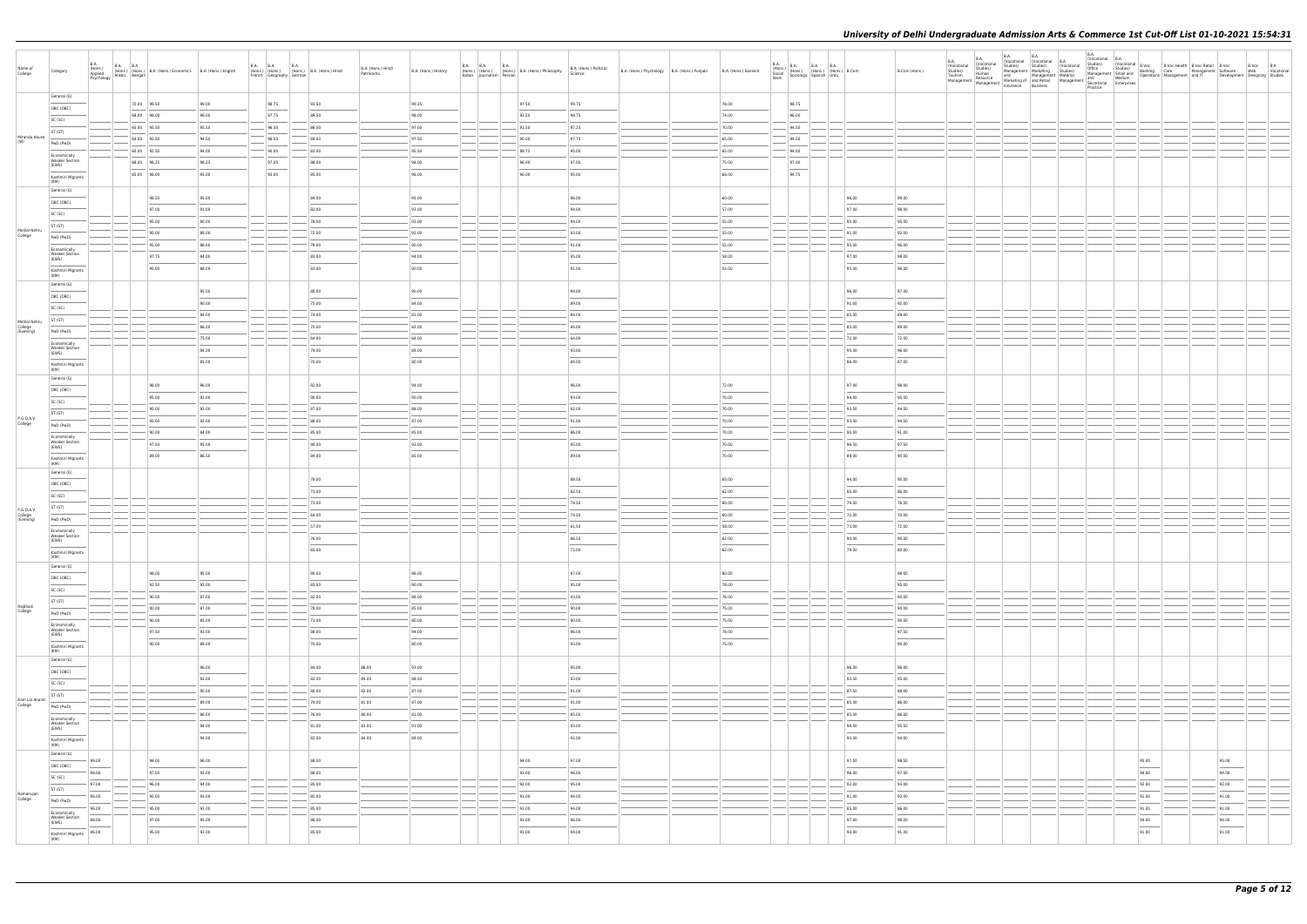| Name of<br>College                    | Category                              | B.A.<br>(Hons.)<br>Applied<br>Psychology | <b>B.A. B.A.</b> | (Hons.) (Hons.) B.A. (Hons.) Economics B.A. (Hons.) English<br>Natabic Bengali |       | <b>B.A. B.A.</b><br>French Geography German | <b>B.A.</b><br>(Hons.) (Hons.) (Hons.) B.A. (Hons.) Hindi | B.A. (Hons.) Hindi<br>Patrikarita | B.A. (Hons.) History              | B.A. B.A. B.A.<br>(Hons.) (Hons.) (Hons.) B.A. (Hons.) Philosophy<br>Italian Journalism Persian |       | B.A. (Hons.) Political<br>Science | B.A. (Hons.) Psychology B.A. (Hons.) Punjabi | B.A. (Hons.) Sanskrit | <b>B.A.</b><br>Work                                                                                                                                                                                                                                                                                                                                                                                                                                                                 | B.A. (Hons.) B.A. B.A. B.A. (Hons.) (Hons.) Com<br>Social (Hons.) (Hons.) (Hons.) B.Com<br>Sociology Spanish Urdu | B.Com (Hons.)                     | B.A.<br>(Vocational<br>Studies)<br>Tourism | <b>B.A.</b><br>B.A.<br>Vocational studies)<br>Studies)<br>Human<br>Tourism Human and Management Material and Management Material and Management Material and Medium<br>Management Management Material Management Material Medium<br>Management Management Insurance Rusiness | <b>B.A.</b><br>(Vocational (Vocational B.A.<br>Studies)<br>Management   Marketing<br>Insurance Business | <b>B.A.</b><br>(Vocational<br>Studies)<br>Practice | (Vocational B.A. |                 | Vocatoriana   D.<br>Studies)   (Vocational B.Vocc   B.Voc Health   B.Voc Retail B.Vocc   B.Voc<br>Management Small and Banking   Care   Management   Software   Web   Vocational<br>Management   Medium   Operations   Management |  |
|---------------------------------------|---------------------------------------|------------------------------------------|------------------|--------------------------------------------------------------------------------|-------|---------------------------------------------|-----------------------------------------------------------|-----------------------------------|-----------------------------------|-------------------------------------------------------------------------------------------------|-------|-----------------------------------|----------------------------------------------|-----------------------|-------------------------------------------------------------------------------------------------------------------------------------------------------------------------------------------------------------------------------------------------------------------------------------------------------------------------------------------------------------------------------------------------------------------------------------------------------------------------------------|-------------------------------------------------------------------------------------------------------------------|-----------------------------------|--------------------------------------------|------------------------------------------------------------------------------------------------------------------------------------------------------------------------------------------------------------------------------------------------------------------------------|---------------------------------------------------------------------------------------------------------|----------------------------------------------------|------------------|-----------------|-----------------------------------------------------------------------------------------------------------------------------------------------------------------------------------------------------------------------------------|--|
|                                       | General (G)                           |                                          |                  |                                                                                |       |                                             |                                                           |                                   |                                   |                                                                                                 |       |                                   |                                              |                       |                                                                                                                                                                                                                                                                                                                                                                                                                                                                                     |                                                                                                                   |                                   |                                            |                                                                                                                                                                                                                                                                              |                                                                                                         |                                                    |                  |                 |                                                                                                                                                                                                                                   |  |
|                                       | OBC (OBC)                             |                                          | 70.00 99.50      |                                                                                | 99.00 | 98.75                                       | 93.50                                                     |                                   | 99.25                             |                                                                                                 | 97.50 | 99.75                             |                                              | 78.00                 | 98.75                                                                                                                                                                                                                                                                                                                                                                                                                                                                               |                                                                                                                   |                                   |                                            |                                                                                                                                                                                                                                                                              |                                                                                                         |                                                    |                  |                 |                                                                                                                                                                                                                                   |  |
|                                       | SC (SC)                               |                                          | 68.00 98.00      |                                                                                | 98.00 | 97.75                                       | 89.50                                                     |                                   | 98.00                             |                                                                                                 | 93.50 | 98.75                             |                                              | 74.00                 | 96.00                                                                                                                                                                                                                                                                                                                                                                                                                                                                               |                                                                                                                   |                                   |                                            |                                                                                                                                                                                                                                                                              |                                                                                                         |                                                    |                  |                 |                                                                                                                                                                                                                                   |  |
|                                       |                                       |                                          | 65.00 95.50      |                                                                                | 95.50 | 96.50                                       | 86.50                                                     |                                   | 97.00                             |                                                                                                 | 91.50 | 97.25                             |                                              | 70.00                 | 94.50                                                                                                                                                                                                                                                                                                                                                                                                                                                                               |                                                                                                                   |                                   |                                            |                                                                                                                                                                                                                                                                              |                                                                                                         |                                                    |                  |                 |                                                                                                                                                                                                                                   |  |
| Miranda House                         | ST (ST)                               |                                          | 64.00 93.50      |                                                                                | 94.50 | 96.50                                       | 84.50                                                     |                                   | 97.50                             |                                                                                                 | 90.00 | 97.75                             |                                              | 65.00                 | 94.50                                                                                                                                                                                                                                                                                                                                                                                                                                                                               |                                                                                                                   |                                   |                                            |                                                                                                                                                                                                                                                                              |                                                                                                         |                                                    |                  |                 |                                                                                                                                                                                                                                   |  |
| (W)                                   | PwD (PwD)                             |                                          |                  |                                                                                |       |                                             |                                                           |                                   |                                   |                                                                                                 |       |                                   |                                              |                       |                                                                                                                                                                                                                                                                                                                                                                                                                                                                                     |                                                                                                                   |                                   |                                            |                                                                                                                                                                                                                                                                              |                                                                                                         |                                                    |                  |                 |                                                                                                                                                                                                                                   |  |
|                                       | Economically                          |                                          | 60.00 92.50      |                                                                                | 94.00 | 90.00                                       | 83.00                                                     |                                   | 95.50                             |                                                                                                 | 89.75 | 95.00                             |                                              | 65.00                 | 94.00                                                                                                                                                                                                                                                                                                                                                                                                                                                                               |                                                                                                                   |                                   |                                            |                                                                                                                                                                                                                                                                              |                                                                                                         |                                                    |                  |                 |                                                                                                                                                                                                                                   |  |
|                                       | <b>Weaker Section</b><br>(EWS)        |                                          | 68.00 98.25      |                                                                                | 98.25 | 97.00                                       | 88.00                                                     |                                   | 98.00                             |                                                                                                 | 96.00 | 97.00                             |                                              | 75.00                 | 97.00                                                                                                                                                                                                                                                                                                                                                                                                                                                                               |                                                                                                                   |                                   |                                            |                                                                                                                                                                                                                                                                              |                                                                                                         |                                                    |                  |                 |                                                                                                                                                                                                                                   |  |
|                                       | Kashmiri Migrants<br>(KM)             |                                          | 65.00 98.00      |                                                                                | 95.00 | 93.00                                       | 85.00                                                     |                                   | 98.00                             |                                                                                                 | 90.00 | 95.00                             |                                              | 68.00                 | $\frac{1}{2} \left( \frac{1}{2} \right) \left( \frac{1}{2} \right) \left( \frac{1}{2} \right) \left( \frac{1}{2} \right) \left( \frac{1}{2} \right) \left( \frac{1}{2} \right) \left( \frac{1}{2} \right) \left( \frac{1}{2} \right) \left( \frac{1}{2} \right) \left( \frac{1}{2} \right) \left( \frac{1}{2} \right) \left( \frac{1}{2} \right) \left( \frac{1}{2} \right) \left( \frac{1}{2} \right) \left( \frac{1}{2} \right) \left( \frac{1}{2} \right) \left( \frac$<br>94.75 |                                                                                                                   |                                   |                                            |                                                                                                                                                                                                                                                                              |                                                                                                         |                                                    |                  |                 |                                                                                                                                                                                                                                   |  |
|                                       | General (G)<br>OBC (OBC)              |                                          |                  | 98.50                                                                          | 95.00 |                                             | 84.00                                                     |                                   | 95.00                             |                                                                                                 |       | 96.00                             |                                              | 60.00                 |                                                                                                                                                                                                                                                                                                                                                                                                                                                                                     | 98.00                                                                                                             | 99.00                             |                                            |                                                                                                                                                                                                                                                                              |                                                                                                         |                                                    |                  |                 |                                                                                                                                                                                                                                   |  |
|                                       | SC (SC)                               |                                          |                  | 97.00                                                                          | 91.00 |                                             | 82.00                                                     |                                   | 93.00                             |                                                                                                 |       | 94.00                             |                                              | 57.00                 |                                                                                                                                                                                                                                                                                                                                                                                                                                                                                     | 97.00                                                                                                             | 98.00                             |                                            |                                                                                                                                                                                                                                                                              |                                                                                                         |                                                    |                  |                 |                                                                                                                                                                                                                                   |  |
|                                       |                                       |                                          |                  | 95.00                                                                          | 90.00 |                                             | 78.00                                                     |                                   | 93.00                             |                                                                                                 |       | 94.00                             |                                              | 55.00                 |                                                                                                                                                                                                                                                                                                                                                                                                                                                                                     | 95.00                                                                                                             | 95.00                             |                                            |                                                                                                                                                                                                                                                                              |                                                                                                         |                                                    |                  |                 |                                                                                                                                                                                                                                   |  |
| Motilal Nehru                         | ST (ST)                               |                                          |                  | 95.00                                                                          | 88.00 |                                             | 72.00                                                     |                                   | 92.00                             |                                                                                                 |       | 93.00                             |                                              | 55.00                 |                                                                                                                                                                                                                                                                                                                                                                                                                                                                                     | 91.00                                                                                                             | 92.00                             |                                            |                                                                                                                                                                                                                                                                              |                                                                                                         |                                                    |                  |                 |                                                                                                                                                                                                                                   |  |
| College                               | PwD (PwD)                             |                                          |                  |                                                                                |       |                                             |                                                           |                                   |                                   |                                                                                                 |       |                                   |                                              |                       |                                                                                                                                                                                                                                                                                                                                                                                                                                                                                     |                                                                                                                   |                                   |                                            |                                                                                                                                                                                                                                                                              |                                                                                                         |                                                    |                  |                 |                                                                                                                                                                                                                                   |  |
|                                       | Economically                          |                                          |                  | 95.00                                                                          | 88.00 |                                             | 78.00                                                     |                                   | 90.00                             |                                                                                                 |       | 91.00                             |                                              | 55.00                 |                                                                                                                                                                                                                                                                                                                                                                                                                                                                                     | 95.00                                                                                                             | 96.00                             |                                            |                                                                                                                                                                                                                                                                              |                                                                                                         |                                                    |                  |                 |                                                                                                                                                                                                                                   |  |
|                                       | <b>Weaker Section</b><br>(EWS)        |                                          |                  | 97.75                                                                          | 94.00 |                                             | 83.00                                                     |                                   | 94.00                             |                                                                                                 |       | 95.00                             |                                              | 58.00                 |                                                                                                                                                                                                                                                                                                                                                                                                                                                                                     | 97.00                                                                                                             | 98.00                             |                                            |                                                                                                                                                                                                                                                                              |                                                                                                         |                                                    |                  |                 |                                                                                                                                                                                                                                   |  |
|                                       | Kashmiri Migrants<br>(KM)             |                                          |                  | 95.00                                                                          | 88.00 |                                             | 83.00                                                     |                                   | 90.00                             |                                                                                                 |       | 91.00                             |                                              | 55.00                 |                                                                                                                                                                                                                                                                                                                                                                                                                                                                                     | 95.00                                                                                                             | 96.00                             |                                            |                                                                                                                                                                                                                                                                              |                                                                                                         |                                                    |                  |                 |                                                                                                                                                                                                                                   |  |
|                                       | General (G)                           |                                          |                  |                                                                                |       |                                             |                                                           |                                   |                                   |                                                                                                 |       |                                   |                                              |                       |                                                                                                                                                                                                                                                                                                                                                                                                                                                                                     |                                                                                                                   | 97.00                             |                                            |                                                                                                                                                                                                                                                                              |                                                                                                         |                                                    |                  |                 |                                                                                                                                                                                                                                   |  |
|                                       | OBC (OBC)                             |                                          |                  |                                                                                | 95.00 |                                             | 80.00                                                     |                                   | 90.00                             |                                                                                                 |       | 94.00                             |                                              |                       |                                                                                                                                                                                                                                                                                                                                                                                                                                                                                     | 96.00                                                                                                             |                                   |                                            |                                                                                                                                                                                                                                                                              |                                                                                                         |                                                    |                  |                 |                                                                                                                                                                                                                                   |  |
|                                       | SC (SC)                               |                                          |                  |                                                                                | 90.00 |                                             | 75.00                                                     |                                   | 84.00                             |                                                                                                 |       | 89.00                             |                                              |                       |                                                                                                                                                                                                                                                                                                                                                                                                                                                                                     | 91.00                                                                                                             | 92.00                             |                                            |                                                                                                                                                                                                                                                                              |                                                                                                         |                                                    |                  |                 |                                                                                                                                                                                                                                   |  |
|                                       | ST (ST)                               |                                          |                  |                                                                                | 84.00 |                                             | 74.00                                                     |                                   | 81.00                             |                                                                                                 |       | 84.00                             |                                              |                       |                                                                                                                                                                                                                                                                                                                                                                                                                                                                                     | 85.00                                                                                                             | 89.00                             |                                            |                                                                                                                                                                                                                                                                              |                                                                                                         |                                                    |                  |                 |                                                                                                                                                                                                                                   |  |
| Motilal Nehru<br>College<br>(Evening) |                                       |                                          |                  |                                                                                | 86.00 |                                             | 70.00                                                     |                                   | 82.00                             |                                                                                                 |       | 84.00                             |                                              |                       |                                                                                                                                                                                                                                                                                                                                                                                                                                                                                     | 85.00                                                                                                             | 89.00                             |                                            |                                                                                                                                                                                                                                                                              |                                                                                                         |                                                    |                  |                 |                                                                                                                                                                                                                                   |  |
|                                       | PwD (PwD)                             |                                          |                  |                                                                                | 75.00 |                                             | 64.00                                                     |                                   | 64.00                             |                                                                                                 |       | 64.00                             |                                              |                       |                                                                                                                                                                                                                                                                                                                                                                                                                                                                                     | 72.00                                                                                                             | 72.00                             |                                            |                                                                                                                                                                                                                                                                              |                                                                                                         |                                                    |                  |                 |                                                                                                                                                                                                                                   |  |
|                                       | Economically<br><b>Weaker Section</b> |                                          |                  |                                                                                |       |                                             |                                                           |                                   |                                   |                                                                                                 |       |                                   |                                              |                       |                                                                                                                                                                                                                                                                                                                                                                                                                                                                                     |                                                                                                                   |                                   |                                            |                                                                                                                                                                                                                                                                              |                                                                                                         |                                                    |                  |                 |                                                                                                                                                                                                                                   |  |
|                                       | (EWS)                                 |                                          |                  |                                                                                | 94.00 |                                             | 79.00                                                     |                                   | 89.00                             |                                                                                                 |       | 93.00                             |                                              |                       |                                                                                                                                                                                                                                                                                                                                                                                                                                                                                     | 95.00                                                                                                             | 96.00                             |                                            |                                                                                                                                                                                                                                                                              |                                                                                                         |                                                    |                  |                 |                                                                                                                                                                                                                                   |  |
|                                       | Kashmiri Migrants<br>(KM)             |                                          |                  |                                                                                | 85.00 |                                             | 70.00                                                     |                                   | 80.00                             |                                                                                                 |       | 84.00                             |                                              |                       |                                                                                                                                                                                                                                                                                                                                                                                                                                                                                     | 86.00                                                                                                             | 87.00                             |                                            |                                                                                                                                                                                                                                                                              |                                                                                                         |                                                    |                  |                 |                                                                                                                                                                                                                                   |  |
|                                       | General (G)                           |                                          |                  | 98.00                                                                          | 96.00 |                                             | 92.00                                                     |                                   | 94.00                             |                                                                                                 |       | 96.00                             |                                              | 72.00                 |                                                                                                                                                                                                                                                                                                                                                                                                                                                                                     | 97.00                                                                                                             | 98.00                             |                                            |                                                                                                                                                                                                                                                                              |                                                                                                         |                                                    |                  |                 |                                                                                                                                                                                                                                   |  |
|                                       | OBC (OBC)                             |                                          |                  |                                                                                |       |                                             |                                                           |                                   |                                   |                                                                                                 |       |                                   |                                              |                       |                                                                                                                                                                                                                                                                                                                                                                                                                                                                                     |                                                                                                                   |                                   |                                            |                                                                                                                                                                                                                                                                              |                                                                                                         |                                                    |                  |                 |                                                                                                                                                                                                                                   |  |
|                                       | SC (SC)                               |                                          |                  | 95.00                                                                          | 92.00 |                                             | 90.00                                                     |                                   | 90.00                             |                                                                                                 |       | 93.00                             |                                              | 70.00                 |                                                                                                                                                                                                                                                                                                                                                                                                                                                                                     | 94.00                                                                                                             | 95.00                             |                                            |                                                                                                                                                                                                                                                                              |                                                                                                         |                                                    |                  |                 |                                                                                                                                                                                                                                   |  |
|                                       | ST (ST)                               |                                          |                  | 95.00                                                                          | 92.00 |                                             | 87.00                                                     |                                   | 88.00                             |                                                                                                 |       | 92.00                             |                                              | 70.00                 |                                                                                                                                                                                                                                                                                                                                                                                                                                                                                     | 93.50                                                                                                             | 94.50                             |                                            |                                                                                                                                                                                                                                                                              |                                                                                                         |                                                    |                  |                 |                                                                                                                                                                                                                                   |  |
| P.G.D.A.V.<br>College                 |                                       |                                          |                  | 95.00                                                                          | 92.00 |                                             | 86.00                                                     |                                   | 87.00                             |                                                                                                 |       | 91.00                             |                                              | 70.00                 |                                                                                                                                                                                                                                                                                                                                                                                                                                                                                     | 93.50                                                                                                             | 94.50                             |                                            |                                                                                                                                                                                                                                                                              |                                                                                                         |                                                    |                  |                 |                                                                                                                                                                                                                                   |  |
|                                       | PwD (PwD)                             |                                          |                  | 90.00                                                                          | 84.00 |                                             | 85.00                                                     |                                   | 85.00                             |                                                                                                 |       | 86.00                             |                                              | 70.00                 |                                                                                                                                                                                                                                                                                                                                                                                                                                                                                     | 90.00                                                                                                             | 91.00                             |                                            |                                                                                                                                                                                                                                                                              |                                                                                                         |                                                    |                  |                 |                                                                                                                                                                                                                                   |  |
|                                       | Economically<br><b>Weaker Section</b> |                                          |                  |                                                                                |       |                                             |                                                           |                                   |                                   |                                                                                                 |       |                                   |                                              |                       |                                                                                                                                                                                                                                                                                                                                                                                                                                                                                     |                                                                                                                   |                                   |                                            |                                                                                                                                                                                                                                                                              |                                                                                                         |                                                    |                  |                 |                                                                                                                                                                                                                                   |  |
|                                       | (EWS)                                 |                                          |                  | 97.50                                                                          | 95.00 |                                             | 90.00                                                     |                                   | 93.00                             |                                                                                                 |       | 95.00                             |                                              | 70.00                 |                                                                                                                                                                                                                                                                                                                                                                                                                                                                                     | 96.50                                                                                                             | 97.50                             |                                            |                                                                                                                                                                                                                                                                              |                                                                                                         |                                                    |                  |                 |                                                                                                                                                                                                                                   |  |
|                                       | Kashmiri Migrants<br>(KM)             |                                          |                  | 89.00                                                                          | 86.50 |                                             | 84.00                                                     |                                   | 85.00                             |                                                                                                 |       | 89.00                             |                                              | 70.00                 |                                                                                                                                                                                                                                                                                                                                                                                                                                                                                     | 89.00                                                                                                             | 90.00                             |                                            |                                                                                                                                                                                                                                                                              |                                                                                                         |                                                    |                  |                 |                                                                                                                                                                                                                                   |  |
|                                       | General (G)                           |                                          |                  |                                                                                |       |                                             |                                                           |                                   |                                   |                                                                                                 |       |                                   |                                              |                       |                                                                                                                                                                                                                                                                                                                                                                                                                                                                                     |                                                                                                                   |                                   |                                            |                                                                                                                                                                                                                                                                              |                                                                                                         |                                                    |                  |                 |                                                                                                                                                                                                                                   |  |
|                                       |                                       |                                          |                  |                                                                                |       |                                             | 78.00                                                     |                                   |                                   |                                                                                                 |       | 88.50                             |                                              | 65.00                 |                                                                                                                                                                                                                                                                                                                                                                                                                                                                                     | 94.00                                                                                                             | 95.00                             |                                            |                                                                                                                                                                                                                                                                              |                                                                                                         |                                                    |                  |                 |                                                                                                                                                                                                                                   |  |
|                                       | OBC (OBC)                             |                                          |                  |                                                                                |       |                                             | 73.00                                                     |                                   |                                   |                                                                                                 |       | 82.50                             |                                              | 62.00                 |                                                                                                                                                                                                                                                                                                                                                                                                                                                                                     | 85.00                                                                                                             | 86.00                             |                                            |                                                                                                                                                                                                                                                                              |                                                                                                         |                                                    |                  |                 |                                                                                                                                                                                                                                   |  |
|                                       | SC (SC)                               |                                          |                  |                                                                                |       |                                             |                                                           |                                   |                                   |                                                                                                 |       |                                   |                                              |                       |                                                                                                                                                                                                                                                                                                                                                                                                                                                                                     |                                                                                                                   |                                   |                                            |                                                                                                                                                                                                                                                                              |                                                                                                         |                                                    |                  |                 |                                                                                                                                                                                                                                   |  |
| P.G.D.A.V.                            | ST (ST)                               |                                          |                  |                                                                                |       |                                             | 73.00                                                     |                                   |                                   |                                                                                                 |       | 78.50                             |                                              | 60.00                 |                                                                                                                                                                                                                                                                                                                                                                                                                                                                                     | 79.00                                                                                                             | 78.00                             |                                            |                                                                                                                                                                                                                                                                              |                                                                                                         |                                                    |                  |                 |                                                                                                                                                                                                                                   |  |
| College<br>(Evening)                  | PwD (PwD)                             |                                          |                  |                                                                                |       |                                             | 64.00                                                     |                                   |                                   |                                                                                                 |       | 74.50                             |                                              | 60.00                 |                                                                                                                                                                                                                                                                                                                                                                                                                                                                                     | 72.00                                                                                                             | 70.00                             |                                            |                                                                                                                                                                                                                                                                              |                                                                                                         |                                                    |                  |                 |                                                                                                                                                                                                                                   |  |
|                                       |                                       |                                          |                  |                                                                                |       |                                             | 57.00                                                     |                                   |                                   |                                                                                                 |       | 61.50                             |                                              | 58.00                 |                                                                                                                                                                                                                                                                                                                                                                                                                                                                                     | 73.00                                                                                                             | 72.00                             |                                            |                                                                                                                                                                                                                                                                              |                                                                                                         |                                                    |                  |                 |                                                                                                                                                                                                                                   |  |
|                                       | Economically<br><b>Weaker Section</b> |                                          |                  |                                                                                |       |                                             | 76.00                                                     |                                   |                                   |                                                                                                 |       | 86.50                             |                                              | 62.00                 |                                                                                                                                                                                                                                                                                                                                                                                                                                                                                     | 90.00                                                                                                             | 90.00                             |                                            |                                                                                                                                                                                                                                                                              |                                                                                                         |                                                    |                  |                 |                                                                                                                                                                                                                                   |  |
|                                       | (EWS)<br>Kashmiri Migrants<br>(KM)    |                                          |                  |                                                                                |       |                                             | 65.00                                                     |                                   |                                   |                                                                                                 |       | 75.00                             |                                              | 62.00                 |                                                                                                                                                                                                                                                                                                                                                                                                                                                                                     | 79.00                                                                                                             | 80.00                             |                                            |                                                                                                                                                                                                                                                                              |                                                                                                         |                                                    |                  |                 |                                                                                                                                                                                                                                   |  |
|                                       | General (G)                           |                                          |                  | 98.00                                                                          | 95.00 |                                             | 90.00                                                     |                                   | 96.00                             |                                                                                                 |       | 97.00                             |                                              | 80.00                 |                                                                                                                                                                                                                                                                                                                                                                                                                                                                                     |                                                                                                                   | 98.00                             |                                            |                                                                                                                                                                                                                                                                              |                                                                                                         |                                                    |                  |                 |                                                                                                                                                                                                                                   |  |
|                                       | OBC (OBC)                             |                                          |                  | 92.50                                                                          | 92.00 |                                             | 83.00                                                     |                                   | 90.00                             |                                                                                                 |       | 95.00                             |                                              | 78.00                 |                                                                                                                                                                                                                                                                                                                                                                                                                                                                                     |                                                                                                                   | 95.00                             |                                            |                                                                                                                                                                                                                                                                              |                                                                                                         |                                                    |                  |                 |                                                                                                                                                                                                                                   |  |
|                                       | SC (SC)                               |                                          |                  | 90.00                                                                          | 87.00 |                                             | 82.00                                                     |                                   | 88.00                             |                                                                                                 |       | 93.00                             |                                              | 76.00                 |                                                                                                                                                                                                                                                                                                                                                                                                                                                                                     |                                                                                                                   | 90.00                             |                                            |                                                                                                                                                                                                                                                                              |                                                                                                         |                                                    |                  |                 |                                                                                                                                                                                                                                   |  |
| Rajdhani                              | ST (ST)                               |                                          |                  |                                                                                |       |                                             |                                                           |                                   |                                   |                                                                                                 |       |                                   |                                              |                       |                                                                                                                                                                                                                                                                                                                                                                                                                                                                                     | --                                                                                                                |                                   |                                            |                                                                                                                                                                                                                                                                              |                                                                                                         |                                                    |                  |                 |                                                                                                                                                                                                                                   |  |
| College                               | PwD (PwD)                             |                                          |                  | 90.00                                                                          | 87.00 |                                             | 78.00                                                     |                                   | 85.00                             |                                                                                                 |       | 90.00                             |                                              | 75.00                 |                                                                                                                                                                                                                                                                                                                                                                                                                                                                                     |                                                                                                                   | 90.00                             |                                            |                                                                                                                                                                                                                                                                              |                                                                                                         |                                                    |                  |                 |                                                                                                                                                                                                                                   |  |
|                                       | Economically                          |                                          |                  | 90.00                                                                          | 85.00 |                                             | 73.00                                                     |                                   | 80.00                             |                                                                                                 |       | 90.00                             |                                              | 75.00                 |                                                                                                                                                                                                                                                                                                                                                                                                                                                                                     |                                                                                                                   | 90.00                             |                                            |                                                                                                                                                                                                                                                                              |                                                                                                         |                                                    |                  |                 |                                                                                                                                                                                                                                   |  |
|                                       | <b>Weaker Section</b><br>(EWS)        |                                          |                  | 97.50                                                                          | 93.00 |                                             | 88.00                                                     |                                   | 94.00                             |                                                                                                 |       | 96.00                             |                                              | 78.00                 |                                                                                                                                                                                                                                                                                                                                                                                                                                                                                     |                                                                                                                   | 97.50                             |                                            |                                                                                                                                                                                                                                                                              |                                                                                                         |                                                    |                  |                 |                                                                                                                                                                                                                                   |  |
|                                       | Kashmiri Migrants<br>(KM)             |                                          |                  | 90.00                                                                          | 88.00 |                                             | 70.00                                                     |                                   | $\overline{\phantom{a}}$<br>80.00 |                                                                                                 |       | $\sim$<br>93.00                   |                                              | 75.00                 |                                                                                                                                                                                                                                                                                                                                                                                                                                                                                     |                                                                                                                   | $\overline{\phantom{a}}$<br>90.00 |                                            |                                                                                                                                                                                                                                                                              |                                                                                                         |                                                    |                  |                 |                                                                                                                                                                                                                                   |  |
|                                       | General (G)                           |                                          |                  |                                                                                |       |                                             |                                                           |                                   |                                   |                                                                                                 |       |                                   |                                              |                       |                                                                                                                                                                                                                                                                                                                                                                                                                                                                                     |                                                                                                                   |                                   |                                            |                                                                                                                                                                                                                                                                              |                                                                                                         |                                                    |                  |                 |                                                                                                                                                                                                                                   |  |
|                                       | OBC (OBC)                             |                                          |                  |                                                                                | 96.00 |                                             | 84.00                                                     | 86.00                             | 93.00                             |                                                                                                 |       | 95.00                             |                                              |                       |                                                                                                                                                                                                                                                                                                                                                                                                                                                                                     | 96.00                                                                                                             | 98.00                             |                                            |                                                                                                                                                                                                                                                                              |                                                                                                         |                                                    |                  |                 |                                                                                                                                                                                                                                   |  |
|                                       |                                       |                                          |                  |                                                                                | 92.00 |                                             | 82.00                                                     | 84.00                             | 88.50                             |                                                                                                 |       | 93.00                             |                                              |                       |                                                                                                                                                                                                                                                                                                                                                                                                                                                                                     | 93.50                                                                                                             | 95.00                             |                                            |                                                                                                                                                                                                                                                                              |                                                                                                         |                                                    |                  |                 |                                                                                                                                                                                                                                   |  |
|                                       | SC (SC)                               |                                          |                  |                                                                                | 90.00 |                                             | 80.00                                                     | 82.00                             | 87.00                             |                                                                                                 |       | 91.00                             |                                              |                       |                                                                                                                                                                                                                                                                                                                                                                                                                                                                                     | 87.50                                                                                                             | 88.00                             |                                            |                                                                                                                                                                                                                                                                              |                                                                                                         |                                                    |                  |                 |                                                                                                                                                                                                                                   |  |
| Ram Lal Anand                         | ST (ST)                               |                                          |                  |                                                                                |       |                                             |                                                           |                                   |                                   |                                                                                                 |       |                                   |                                              |                       |                                                                                                                                                                                                                                                                                                                                                                                                                                                                                     |                                                                                                                   |                                   |                                            |                                                                                                                                                                                                                                                                              |                                                                                                         |                                                    |                  |                 |                                                                                                                                                                                                                                   |  |
| College                               | PwD (PwD)                             |                                          |                  |                                                                                | 89.00 |                                             | 79.00                                                     | 81.00                             | 87.00                             |                                                                                                 |       | 91.00                             |                                              |                       |                                                                                                                                                                                                                                                                                                                                                                                                                                                                                     | 85.00                                                                                                             | 86.00                             |                                            |                                                                                                                                                                                                                                                                              |                                                                                                         |                                                    |                  |                 |                                                                                                                                                                                                                                   |  |
|                                       | Economically                          |                                          |                  |                                                                                | 86.00 |                                             | 76.00                                                     | 80.00                             | 81.00                             |                                                                                                 |       | 85.00                             |                                              |                       |                                                                                                                                                                                                                                                                                                                                                                                                                                                                                     | 85.00                                                                                                             | 86.00                             |                                            |                                                                                                                                                                                                                                                                              |                                                                                                         |                                                    |                  |                 |                                                                                                                                                                                                                                   |  |
|                                       | Weaker Section<br>(EWS)               |                                          |                  |                                                                                | 94.00 |                                             | 81.00                                                     | 83.00                             | 91.00                             |                                                                                                 |       | 93.00                             |                                              |                       |                                                                                                                                                                                                                                                                                                                                                                                                                                                                                     | 94.50                                                                                                             | 95.50                             |                                            |                                                                                                                                                                                                                                                                              |                                                                                                         |                                                    |                  |                 |                                                                                                                                                                                                                                   |  |
|                                       | Kashmiri Migrants<br>(KM)             |                                          |                  |                                                                                | 94.00 |                                             | 82.00                                                     | 84.00                             | 89.00                             |                                                                                                 |       | $\sim$<br>92.00                   |                                              |                       |                                                                                                                                                                                                                                                                                                                                                                                                                                                                                     | 93.00                                                                                                             | 94.00                             |                                            |                                                                                                                                                                                                                                                                              |                                                                                                         |                                                    |                  |                 |                                                                                                                                                                                                                                   |  |
|                                       | General (G)                           |                                          |                  |                                                                                |       |                                             |                                                           |                                   |                                   |                                                                                                 |       |                                   |                                              |                       |                                                                                                                                                                                                                                                                                                                                                                                                                                                                                     |                                                                                                                   |                                   |                                            |                                                                                                                                                                                                                                                                              |                                                                                                         |                                                    |                  |                 |                                                                                                                                                                                                                                   |  |
|                                       | OBC (OBC)                             | 99.00                                    |                  | 98.00                                                                          | 96.00 |                                             | 88.00                                                     |                                   |                                   |                                                                                                 | 94.00 | 97.00                             |                                              |                       |                                                                                                                                                                                                                                                                                                                                                                                                                                                                                     | 97.50                                                                                                             | 98.50                             |                                            |                                                                                                                                                                                                                                                                              |                                                                                                         |                                                    |                  | 95.00           | 95.00                                                                                                                                                                                                                             |  |
|                                       | SC (SC)                               | 98.00                                    |                  | 97.00                                                                          | 95.00 |                                             | 86.00                                                     |                                   |                                   |                                                                                                 | 93.00 | 96.00                             |                                              |                       |                                                                                                                                                                                                                                                                                                                                                                                                                                                                                     | 96.00                                                                                                             | 97.00                             |                                            |                                                                                                                                                                                                                                                                              |                                                                                                         |                                                    |                  | 94.00           | 94.00                                                                                                                                                                                                                             |  |
|                                       |                                       | 97.00                                    |                  | 96.00                                                                          | 94.00 |                                             | 85.00                                                     |                                   |                                   |                                                                                                 | 92.00 | 95.00                             |                                              |                       |                                                                                                                                                                                                                                                                                                                                                                                                                                                                                     | 92.00                                                                                                             | 93.00                             |                                            |                                                                                                                                                                                                                                                                              |                                                                                                         |                                                    |                  | 92.00           | 92.00                                                                                                                                                                                                                             |  |
| Ramanujan                             | ST (ST)                               | $\overline{\phantom{a}}$                 |                  |                                                                                |       |                                             |                                                           |                                   |                                   |                                                                                                 |       |                                   |                                              |                       |                                                                                                                                                                                                                                                                                                                                                                                                                                                                                     |                                                                                                                   |                                   |                                            |                                                                                                                                                                                                                                                                              |                                                                                                         |                                                    |                  |                 |                                                                                                                                                                                                                                   |  |
| College                               | PwD (PwD)                             | 96.00                                    |                  | 95.00                                                                          | 93.00 |                                             | 85.00                                                     |                                   |                                   |                                                                                                 | 91.00 | 94.00                             |                                              |                       |                                                                                                                                                                                                                                                                                                                                                                                                                                                                                     | 91.00                                                                                                             | 92.00                             |                                            |                                                                                                                                                                                                                                                                              |                                                                                                         |                                                    |                  | 91.00           | 91.00                                                                                                                                                                                                                             |  |
|                                       | Economically                          | 96.00                                    |                  | 95.00                                                                          | 93.00 |                                             | 85.00                                                     |                                   |                                   |                                                                                                 | 91.00 | 94.00                             |                                              |                       |                                                                                                                                                                                                                                                                                                                                                                                                                                                                                     | 85.00                                                                                                             | 86.00                             |                                            |                                                                                                                                                                                                                                                                              |                                                                                                         |                                                    |                  | 91.00           | 91.00                                                                                                                                                                                                                             |  |
|                                       | <b>Weaker Section</b><br>(EWS)        | 98.00                                    |                  | 97.00                                                                          | 95.00 |                                             | 86.00                                                     |                                   |                                   |                                                                                                 | 93.00 | 96.00                             |                                              |                       |                                                                                                                                                                                                                                                                                                                                                                                                                                                                                     | 97.00                                                                                                             | 98.00                             |                                            |                                                                                                                                                                                                                                                                              |                                                                                                         |                                                    |                  | 94.00           | 94.00                                                                                                                                                                                                                             |  |
|                                       |                                       | 96.00                                    |                  | 95.00                                                                          | 93.00 |                                             | 85.00                                                     |                                   |                                   |                                                                                                 | 91.00 | 94.00                             |                                              |                       |                                                                                                                                                                                                                                                                                                                                                                                                                                                                                     | 90.00                                                                                                             | 91.00                             |                                            |                                                                                                                                                                                                                                                                              |                                                                                                         |                                                    |                  | $\sim$<br>91.00 | $\overline{\phantom{a}}$<br>91.00                                                                                                                                                                                                 |  |
|                                       | Kashmiri Migrants<br>(KM)             |                                          |                  |                                                                                |       |                                             |                                                           |                                   |                                   |                                                                                                 |       |                                   |                                              |                       |                                                                                                                                                                                                                                                                                                                                                                                                                                                                                     |                                                                                                                   |                                   |                                            |                                                                                                                                                                                                                                                                              |                                                                                                         |                                                    |                  |                 |                                                                                                                                                                                                                                   |  |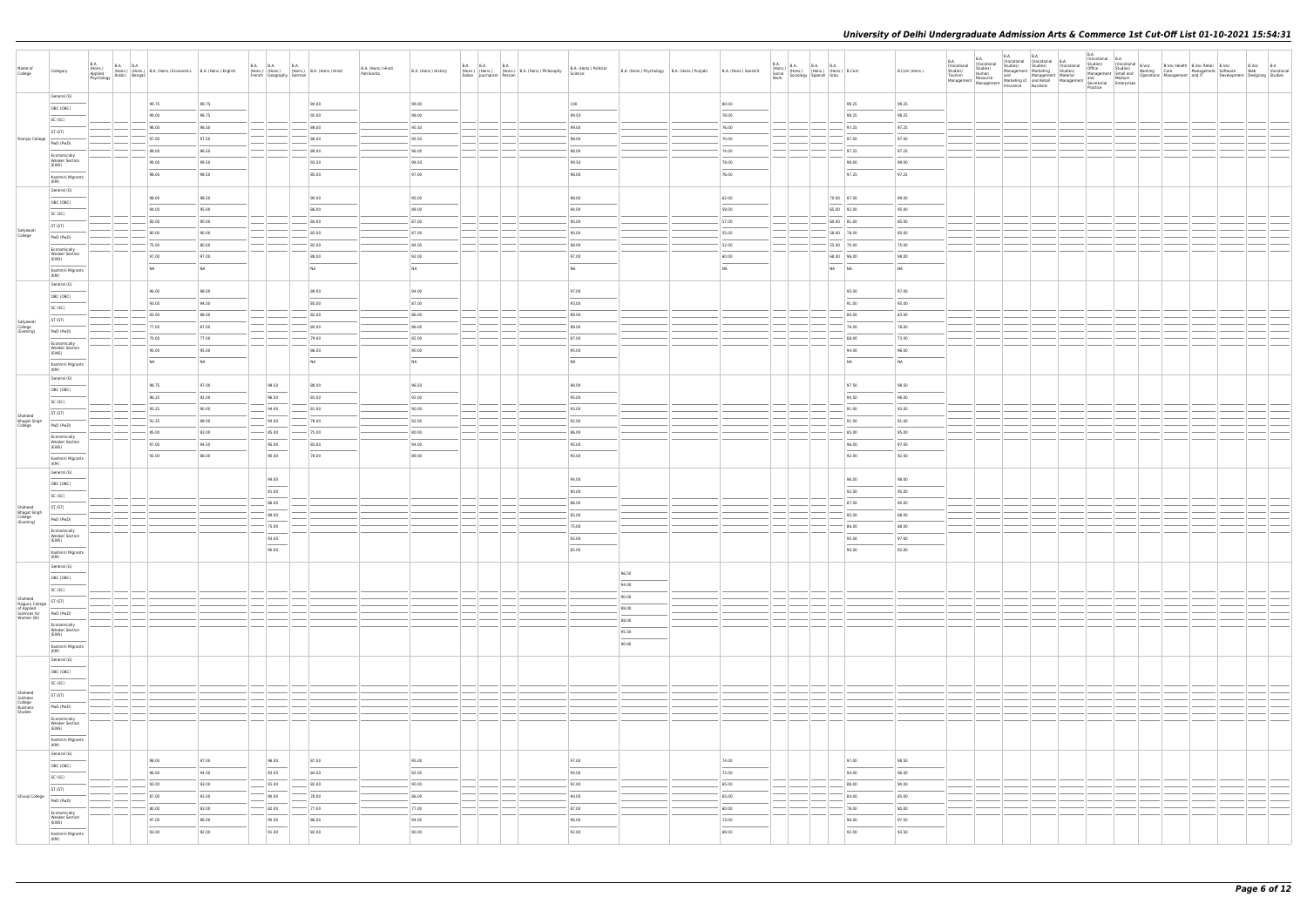| Name of<br>College                                   | Category                                | B.A.<br>(Hons.)<br>Applied<br>Psychology | <b>B.A. B.A.</b>                                                                                                                                                                                                                                                                                                                                     | (Hons.) (Hons.) B.A. (Hons.) Economics B.A. (Hons.) English<br>Iv Arabic Bengali |           |        | <b>B.A. B.A.</b><br><b>B.A.</b><br>French Geography German | (Hons.) (Hons.) (Hons.) B.A. (Hons.) Hindi | B.A. (Hons.) Hindi<br>Patrikarita | B.A. (Hons.) History | B.A. B.A. B.A.<br>Italian Journalism Persian | (Hons.) (Hons.) (Hons.) B.A. (Hons.) Philosophy | B.A. (Hons.) Political<br>Science | B.A. (Hons.) Psychology B.A. (Hons.) Punjabi | B.A. (Hons.) Sanskrit             | $\begin{tabular}{ l c c c c } \hline B.A. & B.A. & B.A. & B.A. & B.A. \\ (Hons.) & (Hons.) & (Hons.) & (B.0008.) & B. Com & \\ & Soclid & (Hons.) & (Hons.) & B. Com & \\ & Sociology & Spanish & Urdu & \\ \hline \end{tabular}$ | B.Com (Hons.) | <b>B.A.</b><br>(Vocational<br>Studies)<br>Tourism | <b>B.A.</b><br>B.A.<br>(Vocational<br>Studies)<br>Studies)<br>Human<br>Tourism Human<br>Resource and Management Material and Medium<br>Management Management Material Medium<br>Management Management Insurance Business<br>Rusiness<br>Rusiness<br>Rusiness<br>Rusiness<br>Rusiness<br>Management Secretarial Enterpri | <b>B.A.</b><br>(Vocational (Vocational B.A.<br>Studies)<br>Management   Marketing<br>Insurance Business | <b>B.A.</b><br>(Vocational<br>Studies)<br>Practice | (Vocational B.A. |  | Vocatoriana   D.<br>Studies)   (Vocational B.Vocc   B.Voc Health   B.Voc Retail B.Vocc   B.Voc<br>Management Small and Banking   Care   Management   Software   Web   Vocational<br>Management   Medium   Operations   Management |  |
|------------------------------------------------------|-----------------------------------------|------------------------------------------|------------------------------------------------------------------------------------------------------------------------------------------------------------------------------------------------------------------------------------------------------------------------------------------------------------------------------------------------------|----------------------------------------------------------------------------------|-----------|--------|------------------------------------------------------------|--------------------------------------------|-----------------------------------|----------------------|----------------------------------------------|-------------------------------------------------|-----------------------------------|----------------------------------------------|-----------------------------------|-----------------------------------------------------------------------------------------------------------------------------------------------------------------------------------------------------------------------------------|---------------|---------------------------------------------------|-------------------------------------------------------------------------------------------------------------------------------------------------------------------------------------------------------------------------------------------------------------------------------------------------------------------------|---------------------------------------------------------------------------------------------------------|----------------------------------------------------|------------------|--|-----------------------------------------------------------------------------------------------------------------------------------------------------------------------------------------------------------------------------------|--|
|                                                      | General (G)                             |                                          |                                                                                                                                                                                                                                                                                                                                                      |                                                                                  |           |        |                                                            |                                            |                                   |                      |                                              |                                                 |                                   |                                              |                                   |                                                                                                                                                                                                                                   |               |                                                   |                                                                                                                                                                                                                                                                                                                         |                                                                                                         |                                                    |                  |  |                                                                                                                                                                                                                                   |  |
|                                                      | OBC (OBC)                               |                                          | 99.75                                                                                                                                                                                                                                                                                                                                                |                                                                                  | 99.75     |        |                                                            | 94.00                                      |                                   | 99.00                |                                              |                                                 | 100                               |                                              | 80.00                             | 99.25                                                                                                                                                                                                                             | 99.25         |                                                   |                                                                                                                                                                                                                                                                                                                         |                                                                                                         |                                                    |                  |  |                                                                                                                                                                                                                                   |  |
|                                                      | SC (SC)                                 |                                          | 99.00                                                                                                                                                                                                                                                                                                                                                |                                                                                  | 98.75     |        |                                                            | 92.00                                      |                                   | 98.00                |                                              |                                                 | 99.50                             |                                              | 78.00                             | 98.25                                                                                                                                                                                                                             | 98.25         |                                                   |                                                                                                                                                                                                                                                                                                                         |                                                                                                         |                                                    |                  |  |                                                                                                                                                                                                                                   |  |
|                                                      | ST (ST)                                 |                                          | 98.00                                                                                                                                                                                                                                                                                                                                                |                                                                                  | 98.50     |        |                                                            | 89.00                                      |                                   | 95.50                |                                              |                                                 | 99.00                             |                                              | 76.00                             | 97.25                                                                                                                                                                                                                             | 97.25         |                                                   |                                                                                                                                                                                                                                                                                                                         |                                                                                                         |                                                    |                  |  |                                                                                                                                                                                                                                   |  |
| Ramjas College                                       |                                         |                                          | 97.00                                                                                                                                                                                                                                                                                                                                                |                                                                                  | 97.50     |        |                                                            | 86.00                                      |                                   | 95.50                |                                              |                                                 | 98.00                             |                                              | 70.00                             | 97.00                                                                                                                                                                                                                             | 97.00         |                                                   |                                                                                                                                                                                                                                                                                                                         |                                                                                                         |                                                    |                  |  |                                                                                                                                                                                                                                   |  |
|                                                      | PwD (PwD)                               |                                          | 98.00                                                                                                                                                                                                                                                                                                                                                |                                                                                  | 96.50     |        |                                                            | 89.00                                      |                                   | 96.00                |                                              |                                                 | 98.00                             |                                              | 74.00                             | 97.25                                                                                                                                                                                                                             | 97.25         |                                                   |                                                                                                                                                                                                                                                                                                                         |                                                                                                         |                                                    |                  |  |                                                                                                                                                                                                                                   |  |
|                                                      | Economically<br><b>Weaker Section</b>   |                                          | 99.00                                                                                                                                                                                                                                                                                                                                                |                                                                                  | 99.50     |        |                                                            | 93.50                                      |                                   | 98.50                |                                              |                                                 | 99.50                             |                                              | 78.00                             | 99.00                                                                                                                                                                                                                             | 99.00         |                                                   |                                                                                                                                                                                                                                                                                                                         |                                                                                                         |                                                    |                  |  |                                                                                                                                                                                                                                   |  |
|                                                      | (EWS)                                   |                                          | 98.00                                                                                                                                                                                                                                                                                                                                                |                                                                                  | 98.50     |        |                                                            | 85.00                                      |                                   | 97.00                |                                              |                                                 | 98.00                             |                                              | 76.00                             | 97.25                                                                                                                                                                                                                             | 97.25         |                                                   |                                                                                                                                                                                                                                                                                                                         |                                                                                                         |                                                    |                  |  |                                                                                                                                                                                                                                   |  |
|                                                      | Kashmiri Migrants<br>(KM)               |                                          |                                                                                                                                                                                                                                                                                                                                                      |                                                                                  |           |        |                                                            |                                            |                                   |                      |                                              |                                                 |                                   |                                              |                                   |                                                                                                                                                                                                                                   |               |                                                   |                                                                                                                                                                                                                                                                                                                         |                                                                                                         |                                                    |                  |  |                                                                                                                                                                                                                                   |  |
|                                                      | General (G)                             |                                          |                                                                                                                                                                                                                                                                                                                                                      |                                                                                  |           |        |                                                            |                                            |                                   |                      |                                              |                                                 |                                   |                                              |                                   |                                                                                                                                                                                                                                   |               |                                                   |                                                                                                                                                                                                                                                                                                                         |                                                                                                         |                                                    |                  |  |                                                                                                                                                                                                                                   |  |
|                                                      | OBC (OBC)                               |                                          | 98.00                                                                                                                                                                                                                                                                                                                                                |                                                                                  | 98.50     |        |                                                            | 90.00                                      |                                   | 95.00                |                                              |                                                 | 98.00                             |                                              | 62.00                             | 70.00 97.00                                                                                                                                                                                                                       | 99.00         |                                                   |                                                                                                                                                                                                                                                                                                                         |                                                                                                         |                                                    |                  |  |                                                                                                                                                                                                                                   |  |
|                                                      | SC (SC)                                 |                                          | 94.00                                                                                                                                                                                                                                                                                                                                                |                                                                                  | 95.00     |        |                                                            | 86.00                                      |                                   | 89.00                |                                              |                                                 | 94.00                             |                                              | 58.00                             | 65.00 92.00                                                                                                                                                                                                                       | 95.00         |                                                   |                                                                                                                                                                                                                                                                                                                         |                                                                                                         |                                                    |                  |  |                                                                                                                                                                                                                                   |  |
|                                                      | ST (ST)                                 |                                          | 85.00                                                                                                                                                                                                                                                                                                                                                |                                                                                  | 90.00     |        |                                                            | 84.00                                      |                                   | 87.00                |                                              |                                                 | 90.00                             |                                              | 57.00                             | 60.00 81.00                                                                                                                                                                                                                       | 85.00         |                                                   |                                                                                                                                                                                                                                                                                                                         |                                                                                                         |                                                    |                  |  |                                                                                                                                                                                                                                   |  |
| Satyawati<br>College                                 |                                         |                                          | 80.00                                                                                                                                                                                                                                                                                                                                                |                                                                                  | 90.00     |        |                                                            | 82.00                                      |                                   | 87.00                |                                              |                                                 | 90.00                             |                                              | 55.00                             | 58.00 78.00                                                                                                                                                                                                                       | 80.00         |                                                   |                                                                                                                                                                                                                                                                                                                         |                                                                                                         |                                                    |                  |  |                                                                                                                                                                                                                                   |  |
|                                                      | PwD (PwD)                               |                                          | 75.00                                                                                                                                                                                                                                                                                                                                                |                                                                                  | 80.00     |        |                                                            | 82.00                                      |                                   | 84.00                |                                              |                                                 | 88.00                             |                                              | 52.00                             | 55.00 70.00                                                                                                                                                                                                                       | 75.00         |                                                   |                                                                                                                                                                                                                                                                                                                         |                                                                                                         |                                                    |                  |  |                                                                                                                                                                                                                                   |  |
|                                                      | Economically<br><b>Weaker Section</b>   |                                          | 97.00                                                                                                                                                                                                                                                                                                                                                |                                                                                  | 97.00     |        |                                                            | 88.00                                      |                                   | 92.00                |                                              |                                                 | 97.00                             |                                              | 60.00                             | 68.00 96.00                                                                                                                                                                                                                       | 98.00         |                                                   |                                                                                                                                                                                                                                                                                                                         |                                                                                                         |                                                    |                  |  |                                                                                                                                                                                                                                   |  |
|                                                      | (EWS)                                   |                                          |                                                                                                                                                                                                                                                                                                                                                      |                                                                                  |           |        |                                                            |                                            |                                   |                      |                                              |                                                 |                                   |                                              |                                   |                                                                                                                                                                                                                                   |               |                                                   |                                                                                                                                                                                                                                                                                                                         |                                                                                                         |                                                    |                  |  |                                                                                                                                                                                                                                   |  |
|                                                      | Kashmiri Migrants<br>(KM)               |                                          | NA                                                                                                                                                                                                                                                                                                                                                   |                                                                                  | <b>NA</b> |        |                                                            | NA                                         |                                   | NA                   |                                              |                                                 | NA                                |                                              | NA                                | NA NA                                                                                                                                                                                                                             | <b>NA</b>     |                                                   |                                                                                                                                                                                                                                                                                                                         |                                                                                                         |                                                    |                  |  |                                                                                                                                                                                                                                   |  |
|                                                      | General (G)                             |                                          |                                                                                                                                                                                                                                                                                                                                                      |                                                                                  |           |        |                                                            |                                            |                                   |                      |                                              |                                                 |                                   |                                              |                                   |                                                                                                                                                                                                                                   |               |                                                   |                                                                                                                                                                                                                                                                                                                         |                                                                                                         |                                                    |                  |  |                                                                                                                                                                                                                                   |  |
|                                                      | OBC (OBC)                               |                                          | 96.00                                                                                                                                                                                                                                                                                                                                                |                                                                                  | 98.00     |        |                                                            | 89.00                                      |                                   | 94.00                |                                              |                                                 | 97.00                             |                                              |                                   | 95.00                                                                                                                                                                                                                             | 97.00         |                                                   |                                                                                                                                                                                                                                                                                                                         |                                                                                                         |                                                    |                  |  |                                                                                                                                                                                                                                   |  |
|                                                      | SC (SC)                                 |                                          | 93.00                                                                                                                                                                                                                                                                                                                                                |                                                                                  | 94.00     |        |                                                            | 85.00                                      |                                   | 87.00                |                                              |                                                 | 93.00                             |                                              |                                   | 91.00                                                                                                                                                                                                                             | 93.00         |                                                   |                                                                                                                                                                                                                                                                                                                         |                                                                                                         |                                                    |                  |  |                                                                                                                                                                                                                                   |  |
|                                                      |                                         |                                          | 83.00                                                                                                                                                                                                                                                                                                                                                |                                                                                  | 88.00     |        |                                                            | 82.00                                      |                                   | 86.00                |                                              |                                                 | 89.00                             |                                              |                                   | 80.00                                                                                                                                                                                                                             | 83.00         |                                                   |                                                                                                                                                                                                                                                                                                                         |                                                                                                         |                                                    |                  |  |                                                                                                                                                                                                                                   |  |
| Satyawati<br>College<br>(Evening)                    | ST (ST)                                 |                                          | 77.00                                                                                                                                                                                                                                                                                                                                                |                                                                                  | 87.00     |        |                                                            | 80.00                                      |                                   | 86.00                |                                              |                                                 | 89.00                             |                                              |                                   | 76.00                                                                                                                                                                                                                             | 78.00         |                                                   |                                                                                                                                                                                                                                                                                                                         |                                                                                                         |                                                    |                  |  |                                                                                                                                                                                                                                   |  |
|                                                      | PwD (PwD)                               |                                          | 70.00                                                                                                                                                                                                                                                                                                                                                |                                                                                  | 77.00     |        |                                                            | 79.00                                      |                                   | 82.00                |                                              |                                                 | 87.00                             |                                              |                                   | 68.00                                                                                                                                                                                                                             | 73.00         |                                                   |                                                                                                                                                                                                                                                                                                                         |                                                                                                         |                                                    |                  |  |                                                                                                                                                                                                                                   |  |
|                                                      | Economically<br><b>Weaker Section</b>   |                                          |                                                                                                                                                                                                                                                                                                                                                      |                                                                                  |           |        |                                                            |                                            |                                   |                      |                                              |                                                 |                                   |                                              |                                   |                                                                                                                                                                                                                                   |               |                                                   |                                                                                                                                                                                                                                                                                                                         |                                                                                                         |                                                    |                  |  |                                                                                                                                                                                                                                   |  |
|                                                      | (EWS)                                   |                                          | 95.00                                                                                                                                                                                                                                                                                                                                                |                                                                                  | 95.00     |        |                                                            | 86.00                                      |                                   | 90.00                |                                              |                                                 | 95.00                             |                                              |                                   | 94.00                                                                                                                                                                                                                             | 96.00         |                                                   |                                                                                                                                                                                                                                                                                                                         |                                                                                                         |                                                    |                  |  |                                                                                                                                                                                                                                   |  |
|                                                      | Kashmiri Migrants<br>(KM)               |                                          | NA                                                                                                                                                                                                                                                                                                                                                   |                                                                                  | NA        |        |                                                            | NA                                         |                                   | NA                   |                                              |                                                 | NA                                |                                              |                                   | NA                                                                                                                                                                                                                                | <b>NA</b>     |                                                   |                                                                                                                                                                                                                                                                                                                         |                                                                                                         |                                                    |                  |  |                                                                                                                                                                                                                                   |  |
|                                                      | General (G)                             |                                          |                                                                                                                                                                                                                                                                                                                                                      |                                                                                  |           |        |                                                            |                                            |                                   |                      |                                              |                                                 |                                   |                                              |                                   |                                                                                                                                                                                                                                   |               |                                                   |                                                                                                                                                                                                                                                                                                                         |                                                                                                         |                                                    |                  |  |                                                                                                                                                                                                                                   |  |
|                                                      | OBC (OBC)                               |                                          | 98.75                                                                                                                                                                                                                                                                                                                                                |                                                                                  | 97.00     |        | 98.50                                                      | 88.00                                      |                                   | 96.50                |                                              |                                                 | 98.00                             |                                              |                                   | 97.50                                                                                                                                                                                                                             | 98.50         |                                                   |                                                                                                                                                                                                                                                                                                                         |                                                                                                         |                                                    |                  |  |                                                                                                                                                                                                                                   |  |
|                                                      | SC (SC)                                 |                                          | 96.25                                                                                                                                                                                                                                                                                                                                                |                                                                                  | 92.00     |        | 96.50                                                      | 83.00                                      |                                   | 92.00                |                                              |                                                 | 95.00                             |                                              |                                   | 94.50                                                                                                                                                                                                                             | 96.00         |                                                   |                                                                                                                                                                                                                                                                                                                         |                                                                                                         |                                                    |                  |  |                                                                                                                                                                                                                                   |  |
|                                                      |                                         |                                          | 93.25                                                                                                                                                                                                                                                                                                                                                |                                                                                  | 90.00     |        | 94.00                                                      | 81.00                                      |                                   | 90.00                |                                              |                                                 | 93.00                             |                                              |                                   | 91.00                                                                                                                                                                                                                             | 93.00         |                                                   |                                                                                                                                                                                                                                                                                                                         |                                                                                                         |                                                    |                  |  |                                                                                                                                                                                                                                   |  |
| Shaheed<br>Bhagat Singh<br>College                   | ST (ST)                                 |                                          | 91.25                                                                                                                                                                                                                                                                                                                                                |                                                                                  | 89.00     |        | 94.00                                                      | 78.00                                      |                                   | 92.00                |                                              |                                                 | 92.00                             |                                              |                                   | 91.00                                                                                                                                                                                                                             | 91.00         |                                                   |                                                                                                                                                                                                                                                                                                                         |                                                                                                         |                                                    |                  |  |                                                                                                                                                                                                                                   |  |
|                                                      | PwD (PwD)                               |                                          | 85.00                                                                                                                                                                                                                                                                                                                                                |                                                                                  | 83.00     |        | 85.00                                                      | 75.00                                      |                                   | 80.00                |                                              |                                                 | 86.00                             |                                              |                                   | 85.00                                                                                                                                                                                                                             | 85.00         |                                                   |                                                                                                                                                                                                                                                                                                                         |                                                                                                         |                                                    |                  |  |                                                                                                                                                                                                                                   |  |
|                                                      | Economically<br><b>Weaker Section</b>   |                                          |                                                                                                                                                                                                                                                                                                                                                      |                                                                                  |           |        |                                                            |                                            |                                   |                      |                                              |                                                 |                                   |                                              |                                   |                                                                                                                                                                                                                                   |               |                                                   |                                                                                                                                                                                                                                                                                                                         |                                                                                                         |                                                    |                  |  |                                                                                                                                                                                                                                   |  |
|                                                      | (EWS)                                   |                                          | 97.00                                                                                                                                                                                                                                                                                                                                                |                                                                                  | 94.50     |        | 95.00                                                      | 83.00                                      |                                   | 94.00                |                                              |                                                 | 95.00                             |                                              |                                   | 96.00                                                                                                                                                                                                                             | 97.00         |                                                   |                                                                                                                                                                                                                                                                                                                         |                                                                                                         |                                                    |                  |  |                                                                                                                                                                                                                                   |  |
|                                                      | Kashmiri Migrants<br>(KM)               |                                          | 92.00                                                                                                                                                                                                                                                                                                                                                |                                                                                  | 88.00     |        | 90.00                                                      | 78.00                                      |                                   | 89.00                |                                              |                                                 | 90.00                             |                                              |                                   | 92.00                                                                                                                                                                                                                             | 92.00         |                                                   |                                                                                                                                                                                                                                                                                                                         |                                                                                                         |                                                    |                  |  |                                                                                                                                                                                                                                   |  |
|                                                      | General (G)                             |                                          |                                                                                                                                                                                                                                                                                                                                                      |                                                                                  |           |        |                                                            |                                            |                                   |                      |                                              |                                                 |                                   |                                              |                                   |                                                                                                                                                                                                                                   |               |                                                   |                                                                                                                                                                                                                                                                                                                         |                                                                                                         |                                                    |                  |  |                                                                                                                                                                                                                                   |  |
|                                                      | OBC (OBC)                               |                                          |                                                                                                                                                                                                                                                                                                                                                      |                                                                                  |           |        | 94.00                                                      |                                            |                                   |                      |                                              |                                                 | 94.00                             |                                              |                                   | 96.00                                                                                                                                                                                                                             | 98.00         |                                                   |                                                                                                                                                                                                                                                                                                                         |                                                                                                         |                                                    |                  |  |                                                                                                                                                                                                                                   |  |
|                                                      | SC (SC)                                 |                                          |                                                                                                                                                                                                                                                                                                                                                      |                                                                                  |           |        | 91.00                                                      |                                            |                                   |                      |                                              |                                                 | 90.00                             |                                              |                                   | 92.00                                                                                                                                                                                                                             | 95.00         |                                                   |                                                                                                                                                                                                                                                                                                                         |                                                                                                         |                                                    |                  |  |                                                                                                                                                                                                                                   |  |
|                                                      |                                         |                                          |                                                                                                                                                                                                                                                                                                                                                      |                                                                                  |           |        | 86.00                                                      |                                            |                                   |                      |                                              |                                                 | 86.00                             |                                              |                                   | 87.00                                                                                                                                                                                                                             | 90.00         |                                                   |                                                                                                                                                                                                                                                                                                                         |                                                                                                         |                                                    |                  |  |                                                                                                                                                                                                                                   |  |
| Shaheed<br>Bhagat Singh<br>College<br>(Evening)      | ST (ST)                                 |                                          |                                                                                                                                                                                                                                                                                                                                                      |                                                                                  |           |        | 89.00                                                      |                                            |                                   |                      |                                              |                                                 | 85.00                             |                                              |                                   | 85.00                                                                                                                                                                                                                             | 88.00         |                                                   |                                                                                                                                                                                                                                                                                                                         |                                                                                                         |                                                    |                  |  |                                                                                                                                                                                                                                   |  |
|                                                      | PwD (PwD)                               |                                          |                                                                                                                                                                                                                                                                                                                                                      |                                                                                  |           |        | 75.00                                                      |                                            |                                   |                      |                                              |                                                 | 75.00                             |                                              |                                   | 86.00                                                                                                                                                                                                                             | 88.00         |                                                   |                                                                                                                                                                                                                                                                                                                         |                                                                                                         |                                                    |                  |  |                                                                                                                                                                                                                                   |  |
|                                                      | Economically<br><b>Weaker Section</b>   |                                          |                                                                                                                                                                                                                                                                                                                                                      |                                                                                  |           |        |                                                            |                                            |                                   |                      |                                              |                                                 |                                   |                                              |                                   |                                                                                                                                                                                                                                   |               |                                                   |                                                                                                                                                                                                                                                                                                                         |                                                                                                         |                                                    |                  |  |                                                                                                                                                                                                                                   |  |
|                                                      | (EWS)                                   |                                          |                                                                                                                                                                                                                                                                                                                                                      |                                                                                  |           |        | 93.00<br>$\overline{\phantom{a}}$                          |                                            |                                   |                      |                                              |                                                 | 92.00                             |                                              |                                   | 95.00                                                                                                                                                                                                                             | 97.00         |                                                   |                                                                                                                                                                                                                                                                                                                         |                                                                                                         |                                                    |                  |  |                                                                                                                                                                                                                                   |  |
|                                                      | Kashmiri Migrants<br>(KM)               |                                          |                                                                                                                                                                                                                                                                                                                                                      |                                                                                  |           |        | 90.00                                                      |                                            |                                   |                      |                                              |                                                 | 85.00                             |                                              |                                   | 90.00                                                                                                                                                                                                                             | 92.00         |                                                   |                                                                                                                                                                                                                                                                                                                         |                                                                                                         |                                                    |                  |  |                                                                                                                                                                                                                                   |  |
|                                                      | General (G)                             |                                          |                                                                                                                                                                                                                                                                                                                                                      |                                                                                  |           |        |                                                            |                                            |                                   |                      |                                              |                                                 |                                   |                                              |                                   |                                                                                                                                                                                                                                   |               |                                                   |                                                                                                                                                                                                                                                                                                                         |                                                                                                         |                                                    |                  |  |                                                                                                                                                                                                                                   |  |
|                                                      | OBC (OBC)                               |                                          |                                                                                                                                                                                                                                                                                                                                                      |                                                                                  |           |        |                                                            |                                            |                                   |                      |                                              |                                                 |                                   | 96.50                                        |                                   |                                                                                                                                                                                                                                   |               |                                                   |                                                                                                                                                                                                                                                                                                                         |                                                                                                         |                                                    |                  |  |                                                                                                                                                                                                                                   |  |
|                                                      |                                         |                                          |                                                                                                                                                                                                                                                                                                                                                      |                                                                                  |           |        |                                                            |                                            |                                   |                      |                                              |                                                 |                                   | 94.00                                        |                                   |                                                                                                                                                                                                                                   |               |                                                   |                                                                                                                                                                                                                                                                                                                         |                                                                                                         |                                                    |                  |  |                                                                                                                                                                                                                                   |  |
| Shaheed                                              | SC (SC)                                 |                                          | $\left  \begin{array}{c} \rule{0.2cm}{0.15mm} \rule{0.2cm}{0.15mm} \rule{0.2cm}{0.15mm} \rule{0.2cm}{0.15mm} \rule{0.2cm}{0.15mm} \rule{0.2cm}{0.15mm} \rule{0.2cm}{0.15mm} \rule{0.2cm}{0.15mm} \rule{0.2cm}{0.15mm} \rule{0.2cm}{0.15mm} \rule{0.2cm}{0.15mm} \rule{0.2cm}{0.15mm} \rule{0.2cm}{0.15mm} \rule{0.2cm}{0.15mm} \rule{0.2cm}{0.15mm}$ |                                                                                  |           | —— I - | —— <u>——</u>                                               |                                            |                                   |                      |                                              |                                                 |                                   | 90.00                                        |                                   | $\sim$                                                                                                                                                                                                                            |               |                                                   |                                                                                                                                                                                                                                                                                                                         |                                                                                                         |                                                    |                  |  |                                                                                                                                                                                                                                   |  |
| Rajguru College<br>of Applied                        | ST (ST)                                 |                                          |                                                                                                                                                                                                                                                                                                                                                      |                                                                                  |           |        |                                                            |                                            |                                   |                      |                                              |                                                 |                                   | 88.00                                        |                                   | $\frac{1}{2}$                                                                                                                                                                                                                     |               |                                                   |                                                                                                                                                                                                                                                                                                                         |                                                                                                         |                                                    |                  |  |                                                                                                                                                                                                                                   |  |
| Sciences for<br>Women (W)                            | PwD (PwD)                               |                                          |                                                                                                                                                                                                                                                                                                                                                      |                                                                                  |           |        |                                                            |                                            |                                   |                      |                                              |                                                 |                                   | 88.00                                        |                                   |                                                                                                                                                                                                                                   |               |                                                   |                                                                                                                                                                                                                                                                                                                         |                                                                                                         |                                                    |                  |  |                                                                                                                                                                                                                                   |  |
|                                                      | Economically<br>Weaker Section<br>(EWS) |                                          |                                                                                                                                                                                                                                                                                                                                                      |                                                                                  |           |        |                                                            |                                            |                                   |                      |                                              |                                                 |                                   | 95.50                                        |                                   |                                                                                                                                                                                                                                   |               |                                                   |                                                                                                                                                                                                                                                                                                                         |                                                                                                         |                                                    |                  |  |                                                                                                                                                                                                                                   |  |
|                                                      |                                         |                                          |                                                                                                                                                                                                                                                                                                                                                      |                                                                                  |           |        |                                                            |                                            |                                   |                      |                                              |                                                 |                                   | $\sim$                                       |                                   |                                                                                                                                                                                                                                   |               |                                                   |                                                                                                                                                                                                                                                                                                                         |                                                                                                         |                                                    |                  |  |                                                                                                                                                                                                                                   |  |
|                                                      | Kashmiri Migrants<br>(KM)               |                                          |                                                                                                                                                                                                                                                                                                                                                      |                                                                                  |           |        |                                                            |                                            |                                   |                      |                                              |                                                 |                                   | 90.00                                        |                                   |                                                                                                                                                                                                                                   |               |                                                   |                                                                                                                                                                                                                                                                                                                         |                                                                                                         |                                                    |                  |  |                                                                                                                                                                                                                                   |  |
|                                                      | General (G)                             |                                          |                                                                                                                                                                                                                                                                                                                                                      |                                                                                  |           |        |                                                            |                                            |                                   |                      |                                              |                                                 |                                   |                                              |                                   |                                                                                                                                                                                                                                   |               |                                                   |                                                                                                                                                                                                                                                                                                                         |                                                                                                         |                                                    |                  |  |                                                                                                                                                                                                                                   |  |
|                                                      | OBC (OBC)                               |                                          |                                                                                                                                                                                                                                                                                                                                                      |                                                                                  |           |        |                                                            |                                            |                                   |                      |                                              |                                                 |                                   |                                              |                                   |                                                                                                                                                                                                                                   |               |                                                   |                                                                                                                                                                                                                                                                                                                         |                                                                                                         |                                                    |                  |  |                                                                                                                                                                                                                                   |  |
|                                                      | SC (SC)                                 |                                          |                                                                                                                                                                                                                                                                                                                                                      |                                                                                  |           |        |                                                            |                                            |                                   |                      |                                              |                                                 |                                   |                                              |                                   |                                                                                                                                                                                                                                   |               |                                                   |                                                                                                                                                                                                                                                                                                                         |                                                                                                         |                                                    |                  |  |                                                                                                                                                                                                                                   |  |
|                                                      |                                         |                                          |                                                                                                                                                                                                                                                                                                                                                      |                                                                                  |           |        |                                                            |                                            |                                   |                      | —————                                        |                                                 |                                   |                                              |                                   | $\overline{\phantom{a}}$                                                                                                                                                                                                          |               |                                                   |                                                                                                                                                                                                                                                                                                                         |                                                                                                         |                                                    |                  |  |                                                                                                                                                                                                                                   |  |
|                                                      | ST (ST)                                 |                                          |                                                                                                                                                                                                                                                                                                                                                      |                                                                                  |           |        |                                                            |                                            |                                   |                      |                                              |                                                 |                                   |                                              |                                   |                                                                                                                                                                                                                                   |               |                                                   |                                                                                                                                                                                                                                                                                                                         |                                                                                                         |                                                    |                  |  |                                                                                                                                                                                                                                   |  |
| Shaheed<br>Sukhdev<br>College<br>Business<br>Studies | PwD (PwD)                               |                                          |                                                                                                                                                                                                                                                                                                                                                      |                                                                                  |           |        |                                                            |                                            |                                   |                      |                                              |                                                 |                                   |                                              |                                   |                                                                                                                                                                                                                                   |               |                                                   |                                                                                                                                                                                                                                                                                                                         |                                                                                                         |                                                    |                  |  |                                                                                                                                                                                                                                   |  |
|                                                      | Economically                            |                                          |                                                                                                                                                                                                                                                                                                                                                      |                                                                                  |           |        |                                                            |                                            |                                   |                      |                                              |                                                 |                                   |                                              |                                   |                                                                                                                                                                                                                                   |               |                                                   |                                                                                                                                                                                                                                                                                                                         |                                                                                                         |                                                    |                  |  |                                                                                                                                                                                                                                   |  |
|                                                      | Weaker Section<br>(EWS)                 |                                          |                                                                                                                                                                                                                                                                                                                                                      |                                                                                  |           |        |                                                            |                                            |                                   |                      |                                              |                                                 |                                   |                                              |                                   |                                                                                                                                                                                                                                   |               |                                                   |                                                                                                                                                                                                                                                                                                                         |                                                                                                         |                                                    |                  |  |                                                                                                                                                                                                                                   |  |
|                                                      | Kashmiri Migrants<br>(KM)               |                                          |                                                                                                                                                                                                                                                                                                                                                      |                                                                                  |           |        |                                                            |                                            |                                   |                      |                                              |                                                 |                                   |                                              |                                   |                                                                                                                                                                                                                                   |               |                                                   |                                                                                                                                                                                                                                                                                                                         |                                                                                                         |                                                    |                  |  |                                                                                                                                                                                                                                   |  |
|                                                      | General (G)                             |                                          |                                                                                                                                                                                                                                                                                                                                                      |                                                                                  |           |        |                                                            |                                            |                                   |                      |                                              |                                                 |                                   |                                              |                                   |                                                                                                                                                                                                                                   |               |                                                   |                                                                                                                                                                                                                                                                                                                         |                                                                                                         |                                                    |                  |  |                                                                                                                                                                                                                                   |  |
|                                                      | OBC (OBC)                               |                                          | 98.00                                                                                                                                                                                                                                                                                                                                                |                                                                                  | 97.00     |        | 96.00                                                      | 87.00                                      |                                   | 95.00                |                                              |                                                 | 97.00                             |                                              | 74.00                             | 97.00                                                                                                                                                                                                                             | 98.50         |                                                   |                                                                                                                                                                                                                                                                                                                         |                                                                                                         |                                                    |                  |  |                                                                                                                                                                                                                                   |  |
|                                                      |                                         |                                          | 96.00                                                                                                                                                                                                                                                                                                                                                |                                                                                  | 94.00     |        | 93.00                                                      | 84.00                                      |                                   | 92.00                |                                              |                                                 | 94.00                             |                                              | 72.00                             | 94.00                                                                                                                                                                                                                             | 96.00         |                                                   |                                                                                                                                                                                                                                                                                                                         |                                                                                                         |                                                    |                  |  |                                                                                                                                                                                                                                   |  |
|                                                      | SC (SC)                                 |                                          | 93.00                                                                                                                                                                                                                                                                                                                                                |                                                                                  | 93.00     |        | 91.00                                                      | 82.00                                      |                                   | 90.00                |                                              | $\sim$ $\sim$                                   | 92.00                             |                                              | 65.00                             | 88.00                                                                                                                                                                                                                             | 90.00         |                                                   |                                                                                                                                                                                                                                                                                                                         |                                                                                                         |                                                    |                  |  |                                                                                                                                                                                                                                   |  |
| Shivaji College                                      | ST (ST)                                 |                                          | 87.00                                                                                                                                                                                                                                                                                                                                                |                                                                                  | 92.00     |        | 90.00                                                      | 78.00                                      |                                   | 86.00                |                                              |                                                 | 90.00                             |                                              | 65.00                             | 84.00                                                                                                                                                                                                                             | 85.00         |                                                   |                                                                                                                                                                                                                                                                                                                         |                                                                                                         |                                                    |                  |  |                                                                                                                                                                                                                                   |  |
|                                                      | PwD (PwD)                               |                                          |                                                                                                                                                                                                                                                                                                                                                      |                                                                                  |           |        |                                                            |                                            |                                   |                      |                                              |                                                 |                                   |                                              |                                   |                                                                                                                                                                                                                                   |               |                                                   |                                                                                                                                                                                                                                                                                                                         |                                                                                                         |                                                    |                  |  |                                                                                                                                                                                                                                   |  |
|                                                      | Economically                            |                                          | 80.00                                                                                                                                                                                                                                                                                                                                                |                                                                                  | 83.00     |        | $-82.00$                                                   | $- 77.00$                                  |                                   | 77.00                |                                              |                                                 | 87.00                             |                                              | 60.00                             | 78.00                                                                                                                                                                                                                             | 80.00         |                                                   |                                                                                                                                                                                                                                                                                                                         |                                                                                                         |                                                    |                  |  |                                                                                                                                                                                                                                   |  |
|                                                      | <b>Weaker Section</b><br>(EWS)          |                                          | 97.00                                                                                                                                                                                                                                                                                                                                                |                                                                                  | 96.00     |        | 95.00<br>$\sim$                                            | 86.00<br>$\overline{\phantom{a}}$          |                                   | 94.00<br>$\sim$      |                                              |                                                 | 96.00<br>$\overline{\phantom{a}}$ |                                              | 73.00<br><b>Contract Contract</b> | 96.00                                                                                                                                                                                                                             | 97.50         |                                                   |                                                                                                                                                                                                                                                                                                                         |                                                                                                         |                                                    |                  |  |                                                                                                                                                                                                                                   |  |
|                                                      | Kashmiri Migrants                       |                                          | 93.00                                                                                                                                                                                                                                                                                                                                                |                                                                                  | 92.00     |        | 91.00                                                      | 82.00                                      |                                   | 90.00                |                                              |                                                 | 92.00                             |                                              | 69.00                             | 92.00                                                                                                                                                                                                                             | 93.50         |                                                   |                                                                                                                                                                                                                                                                                                                         |                                                                                                         |                                                    |                  |  |                                                                                                                                                                                                                                   |  |
|                                                      | (KM)                                    |                                          |                                                                                                                                                                                                                                                                                                                                                      |                                                                                  |           |        |                                                            |                                            |                                   |                      |                                              |                                                 |                                   |                                              |                                   |                                                                                                                                                                                                                                   |               |                                                   |                                                                                                                                                                                                                                                                                                                         |                                                                                                         |                                                    |                  |  |                                                                                                                                                                                                                                   |  |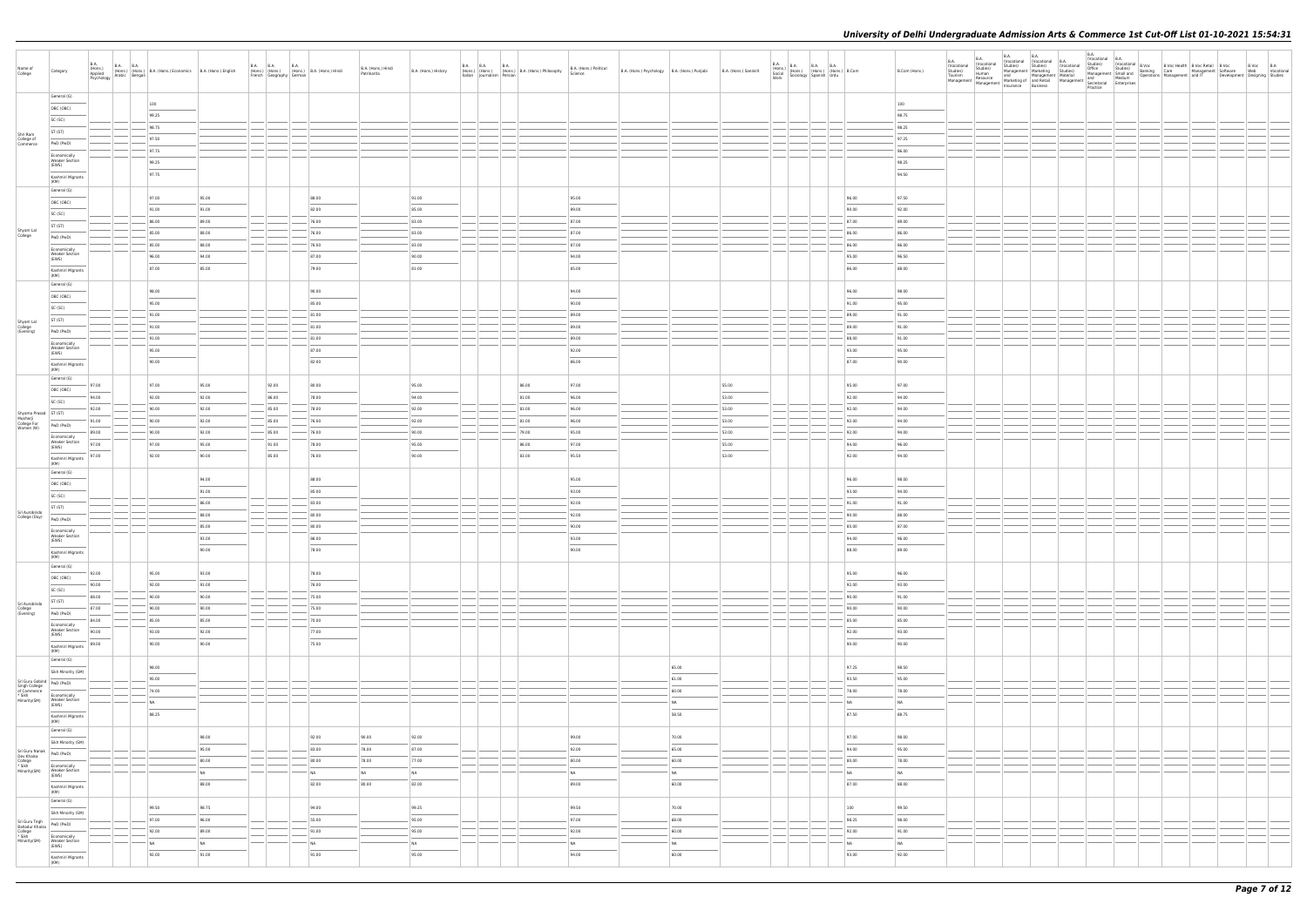| Name of<br>College                                                   | Category                                                                                                                                                                                                                                                                                                                                                                                                                                                                                              | <b>B.A.</b><br>B.A.<br>(Hons.) B.A. (Hons.) (Hons.) B.A. (Hons.) Economics B.A. (Hons.) English Arabic Bengali (Bangali) B.A. (Hons.) English Bychology |       |       |                                                                                                                                                                                                                                                                                                                                                                                                                                                                            |       | French Geography German | B.A. (Hons.) B.A. (Hons.) B.A. (Hons.) Hindi | B.A. (Hons.) Hindi<br>Patrikarita | B.A. (Hons.) History            |  |       | B.A. B.A. B.A. B.A. (Hons.) B.A. (Hons.) Philosophy B.A. (Hons.) (Hons.) (Hons.) B.A. (Hons.) B.A. (Hons.) | B.A. (Hons.) Political | B.A. (Hons.) Psychology   B.A. (Hons.) Punjabi   B.A. (Hons.) Sanskrit |                                       |       | <b>B.A.</b><br>Work | B.A. (Hons.) B.A. B.A. B.A. (Hons.) B.Com<br>Social (Hons.) (Hons.) (Hons.) B.Com<br>Work Sociology Spanish Urdu |                                       | B.Com (Hons.) | B.A.<br><b>B.A.</b><br>(Vocational<br>(Vocational<br>Studies)<br>Studies)<br>Human<br>Tourism<br>Resource<br>Management   Management   Marketing or   also nomes | <b>B.A.</b> | B.A. | (Vocational (Vocational B.A.<br>Studies) Studies) (Vocational | B.A.<br>(Vocational B.A.<br>Practice |  | Vocational B. Vocational B. Vocational B.<br>Vocational Studies) (Nocational B.<br>Management Marketing Studies) Office Studies) Banking Care Management Stoftware<br>and Management Material Management Studies (Novational Departions | B.Voc B.A<br>Web Vocational<br>Development Designing Studies |  |
|----------------------------------------------------------------------|-------------------------------------------------------------------------------------------------------------------------------------------------------------------------------------------------------------------------------------------------------------------------------------------------------------------------------------------------------------------------------------------------------------------------------------------------------------------------------------------------------|---------------------------------------------------------------------------------------------------------------------------------------------------------|-------|-------|----------------------------------------------------------------------------------------------------------------------------------------------------------------------------------------------------------------------------------------------------------------------------------------------------------------------------------------------------------------------------------------------------------------------------------------------------------------------------|-------|-------------------------|----------------------------------------------|-----------------------------------|---------------------------------|--|-------|------------------------------------------------------------------------------------------------------------|------------------------|------------------------------------------------------------------------|---------------------------------------|-------|---------------------|------------------------------------------------------------------------------------------------------------------|---------------------------------------|---------------|------------------------------------------------------------------------------------------------------------------------------------------------------------------|-------------|------|---------------------------------------------------------------|--------------------------------------|--|-----------------------------------------------------------------------------------------------------------------------------------------------------------------------------------------------------------------------------------------|--------------------------------------------------------------|--|
|                                                                      | General (G)                                                                                                                                                                                                                                                                                                                                                                                                                                                                                           |                                                                                                                                                         | 100   |       |                                                                                                                                                                                                                                                                                                                                                                                                                                                                            |       |                         |                                              |                                   |                                 |  |       |                                                                                                            |                        |                                                                        |                                       |       |                     |                                                                                                                  |                                       | 100           |                                                                                                                                                                  |             |      |                                                               |                                      |  |                                                                                                                                                                                                                                         |                                                              |  |
|                                                                      | OBC (OBC)                                                                                                                                                                                                                                                                                                                                                                                                                                                                                             |                                                                                                                                                         | 99.25 |       |                                                                                                                                                                                                                                                                                                                                                                                                                                                                            |       |                         |                                              |                                   |                                 |  |       |                                                                                                            |                        |                                                                        |                                       |       |                     |                                                                                                                  |                                       | 98.75         |                                                                                                                                                                  |             |      |                                                               |                                      |  |                                                                                                                                                                                                                                         |                                                              |  |
|                                                                      | SC (SC)                                                                                                                                                                                                                                                                                                                                                                                                                                                                                               |                                                                                                                                                         | 98.75 |       |                                                                                                                                                                                                                                                                                                                                                                                                                                                                            |       |                         |                                              |                                   |                                 |  |       |                                                                                                            |                        |                                                                        |                                       |       |                     |                                                                                                                  |                                       |               |                                                                                                                                                                  |             |      |                                                               |                                      |  |                                                                                                                                                                                                                                         |                                                              |  |
| Shri Ram                                                             | ST (ST)                                                                                                                                                                                                                                                                                                                                                                                                                                                                                               |                                                                                                                                                         |       |       |                                                                                                                                                                                                                                                                                                                                                                                                                                                                            |       |                         |                                              |                                   |                                 |  |       |                                                                                                            |                        |                                                                        |                                       |       |                     |                                                                                                                  |                                       | 98.25         |                                                                                                                                                                  |             |      |                                                               |                                      |  |                                                                                                                                                                                                                                         |                                                              |  |
| College of<br>Commerce                                               | PwD (PwD)                                                                                                                                                                                                                                                                                                                                                                                                                                                                                             |                                                                                                                                                         | 97.50 |       |                                                                                                                                                                                                                                                                                                                                                                                                                                                                            |       |                         |                                              |                                   |                                 |  |       |                                                                                                            |                        |                                                                        |                                       |       |                     |                                                                                                                  |                                       | 97.25         |                                                                                                                                                                  |             |      |                                                               |                                      |  |                                                                                                                                                                                                                                         |                                                              |  |
|                                                                      | Economically                                                                                                                                                                                                                                                                                                                                                                                                                                                                                          |                                                                                                                                                         | 97.75 |       |                                                                                                                                                                                                                                                                                                                                                                                                                                                                            |       |                         |                                              |                                   |                                 |  |       |                                                                                                            |                        |                                                                        |                                       |       |                     |                                                                                                                  |                                       | 96.00         |                                                                                                                                                                  |             |      |                                                               |                                      |  |                                                                                                                                                                                                                                         |                                                              |  |
|                                                                      | <b>Weaker Section</b><br>(EWS)                                                                                                                                                                                                                                                                                                                                                                                                                                                                        |                                                                                                                                                         | 99.25 |       |                                                                                                                                                                                                                                                                                                                                                                                                                                                                            |       |                         |                                              |                                   |                                 |  |       |                                                                                                            |                        |                                                                        |                                       |       |                     |                                                                                                                  |                                       | 98.25         |                                                                                                                                                                  |             |      |                                                               |                                      |  |                                                                                                                                                                                                                                         |                                                              |  |
|                                                                      | Kashmiri Migrants                                                                                                                                                                                                                                                                                                                                                                                                                                                                                     |                                                                                                                                                         | 97.75 |       |                                                                                                                                                                                                                                                                                                                                                                                                                                                                            |       |                         |                                              |                                   |                                 |  |       |                                                                                                            |                        |                                                                        |                                       |       |                     |                                                                                                                  |                                       | 94.50         |                                                                                                                                                                  |             |      |                                                               |                                      |  |                                                                                                                                                                                                                                         |                                                              |  |
|                                                                      | (KM)                                                                                                                                                                                                                                                                                                                                                                                                                                                                                                  |                                                                                                                                                         |       |       |                                                                                                                                                                                                                                                                                                                                                                                                                                                                            |       |                         |                                              |                                   |                                 |  |       |                                                                                                            |                        |                                                                        |                                       |       |                     |                                                                                                                  |                                       |               |                                                                                                                                                                  |             |      |                                                               |                                      |  |                                                                                                                                                                                                                                         |                                                              |  |
|                                                                      | General (G)                                                                                                                                                                                                                                                                                                                                                                                                                                                                                           |                                                                                                                                                         | 97.00 | 95.00 |                                                                                                                                                                                                                                                                                                                                                                                                                                                                            |       |                         | 88.00                                        |                                   | 91.00                           |  |       | 95.00                                                                                                      |                        |                                                                        |                                       |       |                     |                                                                                                                  | 96.00                                 | 97.50         |                                                                                                                                                                  |             |      |                                                               |                                      |  |                                                                                                                                                                                                                                         |                                                              |  |
|                                                                      | OBC (OBC)                                                                                                                                                                                                                                                                                                                                                                                                                                                                                             |                                                                                                                                                         | 91.00 | 91.00 |                                                                                                                                                                                                                                                                                                                                                                                                                                                                            |       |                         | 82.00                                        |                                   | 85.00                           |  |       | 89.00                                                                                                      |                        |                                                                        |                                       |       |                     |                                                                                                                  | 90.00                                 | 92.00         |                                                                                                                                                                  |             |      |                                                               |                                      |  |                                                                                                                                                                                                                                         |                                                              |  |
|                                                                      | SC (SC)                                                                                                                                                                                                                                                                                                                                                                                                                                                                                               |                                                                                                                                                         | 86.00 | 89.00 |                                                                                                                                                                                                                                                                                                                                                                                                                                                                            |       |                         | 76.00                                        |                                   | 83.00                           |  |       | 87.00                                                                                                      |                        |                                                                        |                                       |       |                     |                                                                                                                  | 87.00                                 | 89.00         |                                                                                                                                                                  |             |      |                                                               |                                      |  |                                                                                                                                                                                                                                         |                                                              |  |
| Shyam Lal<br>College                                                 | ST (ST)                                                                                                                                                                                                                                                                                                                                                                                                                                                                                               |                                                                                                                                                         |       |       |                                                                                                                                                                                                                                                                                                                                                                                                                                                                            |       |                         |                                              |                                   | 83.00                           |  |       | 87.00                                                                                                      |                        |                                                                        |                                       |       |                     |                                                                                                                  |                                       |               |                                                                                                                                                                  |             |      |                                                               |                                      |  |                                                                                                                                                                                                                                         |                                                              |  |
|                                                                      | PwD (PwD)                                                                                                                                                                                                                                                                                                                                                                                                                                                                                             |                                                                                                                                                         | 85.00 | 88.00 | $\frac{1}{2} \left( \frac{1}{2} \right) \left( \frac{1}{2} \right) \left( \frac{1}{2} \right) \left( \frac{1}{2} \right) \left( \frac{1}{2} \right) \left( \frac{1}{2} \right) \left( \frac{1}{2} \right) \left( \frac{1}{2} \right) \left( \frac{1}{2} \right) \left( \frac{1}{2} \right) \left( \frac{1}{2} \right) \left( \frac{1}{2} \right) \left( \frac{1}{2} \right) \left( \frac{1}{2} \right) \left( \frac{1}{2} \right) \left( \frac{1}{2} \right) \left( \frac$ |       |                         | 76.00                                        |                                   |                                 |  |       |                                                                                                            |                        |                                                                        |                                       |       |                     |                                                                                                                  | 86.00                                 | 86.00         |                                                                                                                                                                  |             |      |                                                               |                                      |  |                                                                                                                                                                                                                                         |                                                              |  |
|                                                                      | Economically                                                                                                                                                                                                                                                                                                                                                                                                                                                                                          |                                                                                                                                                         | 85.00 | 88.00 |                                                                                                                                                                                                                                                                                                                                                                                                                                                                            |       |                         | 76.00                                        |                                   | 83.00                           |  |       | 87.00                                                                                                      |                        |                                                                        |                                       |       |                     |                                                                                                                  | 86.00                                 | 86.00         |                                                                                                                                                                  |             |      |                                                               |                                      |  |                                                                                                                                                                                                                                         |                                                              |  |
|                                                                      | <b>Weaker Section</b><br>(EWS)                                                                                                                                                                                                                                                                                                                                                                                                                                                                        |                                                                                                                                                         | 96.00 | 94.00 |                                                                                                                                                                                                                                                                                                                                                                                                                                                                            |       |                         | 87.00                                        |                                   | 90.00                           |  |       | 94.00                                                                                                      |                        |                                                                        |                                       |       |                     |                                                                                                                  | 95.00                                 | 96.50         |                                                                                                                                                                  |             |      |                                                               |                                      |  |                                                                                                                                                                                                                                         |                                                              |  |
|                                                                      | Kashmiri Migrants<br>(KM)                                                                                                                                                                                                                                                                                                                                                                                                                                                                             |                                                                                                                                                         | 87.00 | 85.00 |                                                                                                                                                                                                                                                                                                                                                                                                                                                                            |       |                         | 79.00                                        |                                   | 81.00                           |  |       | 85.00                                                                                                      |                        |                                                                        |                                       |       |                     |                                                                                                                  | 86.00                                 | 88.00         |                                                                                                                                                                  |             |      |                                                               |                                      |  |                                                                                                                                                                                                                                         |                                                              |  |
|                                                                      | General (G)                                                                                                                                                                                                                                                                                                                                                                                                                                                                                           |                                                                                                                                                         |       |       |                                                                                                                                                                                                                                                                                                                                                                                                                                                                            |       |                         |                                              |                                   |                                 |  |       |                                                                                                            |                        |                                                                        |                                       |       |                     |                                                                                                                  |                                       |               |                                                                                                                                                                  |             |      |                                                               |                                      |  |                                                                                                                                                                                                                                         |                                                              |  |
|                                                                      | OBC (OBC)                                                                                                                                                                                                                                                                                                                                                                                                                                                                                             |                                                                                                                                                         | 98.00 |       |                                                                                                                                                                                                                                                                                                                                                                                                                                                                            |       |                         | 90.00                                        |                                   |                                 |  |       | 94.00                                                                                                      |                        |                                                                        |                                       |       |                     |                                                                                                                  | 96.00                                 | 98.00         |                                                                                                                                                                  |             |      |                                                               |                                      |  |                                                                                                                                                                                                                                         |                                                              |  |
|                                                                      | SC (SC)                                                                                                                                                                                                                                                                                                                                                                                                                                                                                               |                                                                                                                                                         | 95.00 |       |                                                                                                                                                                                                                                                                                                                                                                                                                                                                            |       |                         | 85.00                                        |                                   |                                 |  |       | 90.00                                                                                                      |                        |                                                                        |                                       |       |                     |                                                                                                                  | 91.00                                 | 95.00         |                                                                                                                                                                  |             |      |                                                               |                                      |  |                                                                                                                                                                                                                                         |                                                              |  |
|                                                                      |                                                                                                                                                                                                                                                                                                                                                                                                                                                                                                       |                                                                                                                                                         | 91.00 |       |                                                                                                                                                                                                                                                                                                                                                                                                                                                                            |       |                         | 81.00                                        |                                   |                                 |  |       | 89.00                                                                                                      |                        |                                                                        |                                       |       |                     |                                                                                                                  | 89.00                                 | 91.00         |                                                                                                                                                                  |             |      |                                                               |                                      |  |                                                                                                                                                                                                                                         |                                                              |  |
| Shyam Lal<br>College<br>(Evening)                                    | ST (ST)                                                                                                                                                                                                                                                                                                                                                                                                                                                                                               |                                                                                                                                                         | 91.00 |       |                                                                                                                                                                                                                                                                                                                                                                                                                                                                            |       |                         | 81.00                                        |                                   |                                 |  |       | 89.00                                                                                                      |                        |                                                                        |                                       |       |                     |                                                                                                                  | 89.00                                 | 91.00         |                                                                                                                                                                  |             |      |                                                               |                                      |  |                                                                                                                                                                                                                                         |                                                              |  |
|                                                                      | PwD (PwD)                                                                                                                                                                                                                                                                                                                                                                                                                                                                                             |                                                                                                                                                         | 91.00 |       |                                                                                                                                                                                                                                                                                                                                                                                                                                                                            |       |                         | 81.00                                        |                                   |                                 |  |       | 89.00                                                                                                      |                        |                                                                        |                                       |       |                     |                                                                                                                  | 88.00                                 | 91.00         |                                                                                                                                                                  |             |      |                                                               |                                      |  |                                                                                                                                                                                                                                         |                                                              |  |
|                                                                      | Economically<br><b>Weaker Section</b>                                                                                                                                                                                                                                                                                                                                                                                                                                                                 |                                                                                                                                                         | 95.00 |       |                                                                                                                                                                                                                                                                                                                                                                                                                                                                            |       |                         | 87.00                                        |                                   |                                 |  |       | 92.00                                                                                                      |                        |                                                                        |                                       |       |                     |                                                                                                                  | 93.00                                 | 95.00         |                                                                                                                                                                  |             |      |                                                               |                                      |  |                                                                                                                                                                                                                                         |                                                              |  |
|                                                                      | (EWS)                                                                                                                                                                                                                                                                                                                                                                                                                                                                                                 |                                                                                                                                                         | 90.00 |       |                                                                                                                                                                                                                                                                                                                                                                                                                                                                            |       |                         | 82.00                                        |                                   |                                 |  |       | 86.00                                                                                                      |                        |                                                                        |                                       |       |                     |                                                                                                                  | 87.00                                 | 90.00         |                                                                                                                                                                  |             |      |                                                               |                                      |  |                                                                                                                                                                                                                                         |                                                              |  |
|                                                                      | Kashmiri Migrants<br>(KM)                                                                                                                                                                                                                                                                                                                                                                                                                                                                             |                                                                                                                                                         |       |       |                                                                                                                                                                                                                                                                                                                                                                                                                                                                            |       |                         |                                              |                                   |                                 |  |       |                                                                                                            |                        |                                                                        |                                       |       |                     |                                                                                                                  |                                       |               |                                                                                                                                                                  |             |      |                                                               |                                      |  |                                                                                                                                                                                                                                         |                                                              |  |
|                                                                      | General (G)                                                                                                                                                                                                                                                                                                                                                                                                                                                                                           |                                                                                                                                                         |       |       |                                                                                                                                                                                                                                                                                                                                                                                                                                                                            |       |                         |                                              |                                   |                                 |  |       |                                                                                                            |                        |                                                                        |                                       |       |                     |                                                                                                                  |                                       |               |                                                                                                                                                                  |             |      |                                                               |                                      |  |                                                                                                                                                                                                                                         |                                                              |  |
|                                                                      | OBC (OBC)                                                                                                                                                                                                                                                                                                                                                                                                                                                                                             | 97.00<br><b>Contract Contract</b>                                                                                                                       | 97.00 | 95.00 |                                                                                                                                                                                                                                                                                                                                                                                                                                                                            | 92.00 |                         | 80.00                                        |                                   | 95.00                           |  | 86.00 | 97.00                                                                                                      |                        |                                                                        |                                       | 55.00 |                     |                                                                                                                  | 95.00                                 | 97.00         |                                                                                                                                                                  |             |      |                                                               |                                      |  |                                                                                                                                                                                                                                         |                                                              |  |
|                                                                      | SC (SC)                                                                                                                                                                                                                                                                                                                                                                                                                                                                                               | 94.00                                                                                                                                                   | 92.00 | 92.00 |                                                                                                                                                                                                                                                                                                                                                                                                                                                                            | 86.00 |                         | 78.00                                        |                                   | 94.00                           |  | 81.00 | 96.00                                                                                                      |                        |                                                                        |                                       | 53.00 |                     |                                                                                                                  | 92.00                                 | 94.00         |                                                                                                                                                                  |             |      |                                                               |                                      |  |                                                                                                                                                                                                                                         |                                                              |  |
| Shyama Prasad   ST (ST)                                              |                                                                                                                                                                                                                                                                                                                                                                                                                                                                                                       | 92.00                                                                                                                                                   | 90.00 | 92.00 |                                                                                                                                                                                                                                                                                                                                                                                                                                                                            | 85.00 |                         | 78.00                                        |                                   | 92.00                           |  | 81.00 | 96.00                                                                                                      |                        |                                                                        |                                       | 53.00 |                     |                                                                                                                  | 92.00                                 | 94.00         |                                                                                                                                                                  |             |      |                                                               |                                      |  |                                                                                                                                                                                                                                         |                                                              |  |
| Mukherji<br>College For<br>Women (W)                                 | PwD (PwD)                                                                                                                                                                                                                                                                                                                                                                                                                                                                                             | 91.00                                                                                                                                                   | 90.00 | 92.00 |                                                                                                                                                                                                                                                                                                                                                                                                                                                                            | 85.00 |                         | 76.00                                        |                                   | 92.00                           |  | 81.00 | 96.00                                                                                                      |                        |                                                                        |                                       | 53.00 |                     |                                                                                                                  | 92.00                                 | 94.00         |                                                                                                                                                                  |             |      |                                                               |                                      |  |                                                                                                                                                                                                                                         |                                                              |  |
|                                                                      | Economically                                                                                                                                                                                                                                                                                                                                                                                                                                                                                          | 89.00                                                                                                                                                   | 90.00 | 92.00 |                                                                                                                                                                                                                                                                                                                                                                                                                                                                            | 85.00 |                         | 76.00                                        |                                   | 90.00                           |  | 79.00 | 95.00                                                                                                      |                        |                                                                        |                                       | 53.00 |                     |                                                                                                                  | 92.00                                 | 94.00         |                                                                                                                                                                  |             |      |                                                               |                                      |  |                                                                                                                                                                                                                                         |                                                              |  |
|                                                                      | <b>Weaker Section</b><br>(EWS)                                                                                                                                                                                                                                                                                                                                                                                                                                                                        | 97.00                                                                                                                                                   | 97.00 | 95.00 |                                                                                                                                                                                                                                                                                                                                                                                                                                                                            | 91.00 |                         | 78.00                                        |                                   | 95.00                           |  | 86.00 | 97.00                                                                                                      |                        |                                                                        |                                       | 55.00 |                     |                                                                                                                  | 94.00                                 | 96.00         |                                                                                                                                                                  |             |      |                                                               |                                      |  |                                                                                                                                                                                                                                         |                                                              |  |
|                                                                      | Kashmiri Migrants                                                                                                                                                                                                                                                                                                                                                                                                                                                                                     | 97.00                                                                                                                                                   | 92.00 | 90.00 |                                                                                                                                                                                                                                                                                                                                                                                                                                                                            | 85.00 |                         | 76.00                                        |                                   | 90.00                           |  | 83.00 | 95.50                                                                                                      |                        |                                                                        |                                       | 53.00 |                     |                                                                                                                  | 92.00                                 | 94.00         |                                                                                                                                                                  |             |      |                                                               |                                      |  |                                                                                                                                                                                                                                         |                                                              |  |
|                                                                      | (KM)                                                                                                                                                                                                                                                                                                                                                                                                                                                                                                  |                                                                                                                                                         |       |       |                                                                                                                                                                                                                                                                                                                                                                                                                                                                            |       |                         |                                              |                                   |                                 |  |       |                                                                                                            |                        |                                                                        |                                       |       |                     |                                                                                                                  |                                       |               |                                                                                                                                                                  |             |      |                                                               |                                      |  |                                                                                                                                                                                                                                         |                                                              |  |
|                                                                      | General (G)                                                                                                                                                                                                                                                                                                                                                                                                                                                                                           |                                                                                                                                                         |       | 94.00 |                                                                                                                                                                                                                                                                                                                                                                                                                                                                            |       |                         | 88.00                                        |                                   |                                 |  |       | 95.00                                                                                                      |                        |                                                                        |                                       |       |                     |                                                                                                                  | 96.00                                 | 98.00         |                                                                                                                                                                  |             |      |                                                               |                                      |  |                                                                                                                                                                                                                                         |                                                              |  |
|                                                                      | OBC (OBC)                                                                                                                                                                                                                                                                                                                                                                                                                                                                                             |                                                                                                                                                         |       | 91.00 |                                                                                                                                                                                                                                                                                                                                                                                                                                                                            |       |                         | 85.00                                        |                                   |                                 |  |       | 93.00                                                                                                      |                        |                                                                        |                                       |       |                     |                                                                                                                  | 93.00                                 | 94.00         |                                                                                                                                                                  |             |      |                                                               |                                      |  |                                                                                                                                                                                                                                         |                                                              |  |
|                                                                      | SC (SC)                                                                                                                                                                                                                                                                                                                                                                                                                                                                                               |                                                                                                                                                         |       | 86.00 |                                                                                                                                                                                                                                                                                                                                                                                                                                                                            |       |                         | 83.00                                        |                                   |                                 |  |       | 92.00                                                                                                      |                        |                                                                        |                                       |       |                     |                                                                                                                  | 91.00                                 | 91.00         |                                                                                                                                                                  |             |      |                                                               |                                      |  |                                                                                                                                                                                                                                         |                                                              |  |
| Sri Aurobindo                                                        | ST (ST)                                                                                                                                                                                                                                                                                                                                                                                                                                                                                               |                                                                                                                                                         |       | 88.00 |                                                                                                                                                                                                                                                                                                                                                                                                                                                                            |       |                         | 80.00                                        |                                   |                                 |  |       | 92.00                                                                                                      |                        |                                                                        |                                       |       |                     |                                                                                                                  | 90.00                                 | 88.00         |                                                                                                                                                                  |             |      |                                                               |                                      |  |                                                                                                                                                                                                                                         |                                                              |  |
| College (Day)                                                        | PwD (PwD)                                                                                                                                                                                                                                                                                                                                                                                                                                                                                             |                                                                                                                                                         |       |       |                                                                                                                                                                                                                                                                                                                                                                                                                                                                            |       |                         |                                              |                                   |                                 |  |       |                                                                                                            |                        |                                                                        |                                       |       |                     |                                                                                                                  |                                       |               |                                                                                                                                                                  |             |      |                                                               |                                      |  |                                                                                                                                                                                                                                         |                                                              |  |
|                                                                      | Economically<br><b>Weaker Section</b>                                                                                                                                                                                                                                                                                                                                                                                                                                                                 |                                                                                                                                                         |       | 85.00 |                                                                                                                                                                                                                                                                                                                                                                                                                                                                            |       |                         | 80.00                                        |                                   |                                 |  |       | 90.00                                                                                                      |                        |                                                                        |                                       |       |                     |                                                                                                                  | 85.00                                 | 87.00         |                                                                                                                                                                  |             |      |                                                               |                                      |  |                                                                                                                                                                                                                                         |                                                              |  |
|                                                                      | (EWS)<br>$\frac{1}{2} \left( \frac{1}{2} \right) \left( \frac{1}{2} \right) \left( \frac{1}{2} \right) \left( \frac{1}{2} \right) \left( \frac{1}{2} \right) \left( \frac{1}{2} \right) \left( \frac{1}{2} \right) \left( \frac{1}{2} \right) \left( \frac{1}{2} \right) \left( \frac{1}{2} \right) \left( \frac{1}{2} \right) \left( \frac{1}{2} \right) \left( \frac{1}{2} \right) \left( \frac{1}{2} \right) \left( \frac{1}{2} \right) \left( \frac{1}{2} \right) \left( \frac$                   |                                                                                                                                                         |       | 93.00 |                                                                                                                                                                                                                                                                                                                                                                                                                                                                            |       |                         | 86.00                                        |                                   |                                 |  |       | 93.00                                                                                                      |                        |                                                                        |                                       |       |                     |                                                                                                                  | 94.00                                 | 96.00         |                                                                                                                                                                  |             |      |                                                               |                                      |  |                                                                                                                                                                                                                                         |                                                              |  |
|                                                                      | Kashmiri Migrants<br>(KM)                                                                                                                                                                                                                                                                                                                                                                                                                                                                             |                                                                                                                                                         |       | 90.00 |                                                                                                                                                                                                                                                                                                                                                                                                                                                                            |       |                         | 78.00                                        |                                   |                                 |  |       | 90.00                                                                                                      |                        |                                                                        |                                       |       |                     |                                                                                                                  | 88.00                                 | 89.00         |                                                                                                                                                                  |             |      |                                                               |                                      |  |                                                                                                                                                                                                                                         |                                                              |  |
|                                                                      | General (G)                                                                                                                                                                                                                                                                                                                                                                                                                                                                                           |                                                                                                                                                         |       |       |                                                                                                                                                                                                                                                                                                                                                                                                                                                                            |       |                         |                                              |                                   |                                 |  |       |                                                                                                            |                        |                                                                        |                                       |       |                     |                                                                                                                  |                                       |               |                                                                                                                                                                  |             |      |                                                               |                                      |  |                                                                                                                                                                                                                                         |                                                              |  |
|                                                                      | OBC (OBC)                                                                                                                                                                                                                                                                                                                                                                                                                                                                                             | 92.00<br>$\overline{\phantom{a}}$                                                                                                                       | 95.00 | 93.00 |                                                                                                                                                                                                                                                                                                                                                                                                                                                                            |       |                         | 78.00<br>$\overline{\phantom{a}}$            |                                   |                                 |  |       |                                                                                                            |                        |                                                                        |                                       |       |                     |                                                                                                                  | 95.00                                 | 96.00         |                                                                                                                                                                  |             |      |                                                               |                                      |  |                                                                                                                                                                                                                                         |                                                              |  |
|                                                                      | SC (SC)                                                                                                                                                                                                                                                                                                                                                                                                                                                                                               | 90.00                                                                                                                                                   | 92.00 | 91.00 |                                                                                                                                                                                                                                                                                                                                                                                                                                                                            |       |                         | 76.00                                        |                                   |                                 |  |       |                                                                                                            |                        |                                                                        |                                       |       |                     |                                                                                                                  | 92.00                                 | 93.00         |                                                                                                                                                                  |             |      |                                                               |                                      |  |                                                                                                                                                                                                                                         |                                                              |  |
|                                                                      | ST (ST)                                                                                                                                                                                                                                                                                                                                                                                                                                                                                               | 88.00<br>$\sim$                                                                                                                                         | 90.00 | 90.00 | $\sim$                                                                                                                                                                                                                                                                                                                                                                                                                                                                     |       |                         | 75.00                                        |                                   |                                 |  |       |                                                                                                            |                        |                                                                        |                                       |       |                     |                                                                                                                  | 90.00                                 | 91.00         |                                                                                                                                                                  |             |      |                                                               |                                      |  |                                                                                                                                                                                                                                         |                                                              |  |
| Sri Aurobindo<br>College<br>(Evening)                                | PwD (PwD)                                                                                                                                                                                                                                                                                                                                                                                                                                                                                             | 87.00                                                                                                                                                   | 90.00 | 90.00 | $\sim$                                                                                                                                                                                                                                                                                                                                                                                                                                                                     |       |                         | 75.00                                        |                                   |                                 |  |       |                                                                                                            |                        |                                                                        |                                       |       |                     |                                                                                                                  | 90.00                                 | 90.00         |                                                                                                                                                                  |             |      |                                                               |                                      |  |                                                                                                                                                                                                                                         |                                                              |  |
|                                                                      | Economically                                                                                                                                                                                                                                                                                                                                                                                                                                                                                          | 84.00                                                                                                                                                   | 85.00 | 85.00 | $\sim$                                                                                                                                                                                                                                                                                                                                                                                                                                                                     |       |                         | 70.00                                        |                                   |                                 |  |       |                                                                                                            |                        |                                                                        |                                       |       |                     |                                                                                                                  | 85.00                                 | 85.00         |                                                                                                                                                                  |             |      |                                                               |                                      |  |                                                                                                                                                                                                                                         |                                                              |  |
|                                                                      | Weaker Section<br>(EWS)                                                                                                                                                                                                                                                                                                                                                                                                                                                                               | 90.00                                                                                                                                                   | 93.00 | 92.00 |                                                                                                                                                                                                                                                                                                                                                                                                                                                                            |       |                         | 77.00                                        |                                   |                                 |  |       |                                                                                                            |                        |                                                                        |                                       |       |                     |                                                                                                                  | 92.00                                 | 93.00         |                                                                                                                                                                  |             |      |                                                               |                                      |  |                                                                                                                                                                                                                                         |                                                              |  |
|                                                                      | $\sim$<br>Kashmiri Migrants                                                                                                                                                                                                                                                                                                                                                                                                                                                                           | 89.00                                                                                                                                                   | 90.00 | 90.00 |                                                                                                                                                                                                                                                                                                                                                                                                                                                                            |       |                         | 75.00                                        |                                   |                                 |  |       |                                                                                                            |                        |                                                                        |                                       |       |                     |                                                                                                                  | 90.00                                 | 90.00         |                                                                                                                                                                  |             |      |                                                               |                                      |  |                                                                                                                                                                                                                                         |                                                              |  |
|                                                                      | (KM)                                                                                                                                                                                                                                                                                                                                                                                                                                                                                                  |                                                                                                                                                         |       |       |                                                                                                                                                                                                                                                                                                                                                                                                                                                                            |       |                         |                                              |                                   |                                 |  |       |                                                                                                            |                        |                                                                        |                                       |       |                     |                                                                                                                  |                                       |               |                                                                                                                                                                  |             |      |                                                               |                                      |  |                                                                                                                                                                                                                                         |                                                              |  |
|                                                                      | General (G)                                                                                                                                                                                                                                                                                                                                                                                                                                                                                           |                                                                                                                                                         | 98.00 |       |                                                                                                                                                                                                                                                                                                                                                                                                                                                                            |       |                         |                                              |                                   |                                 |  |       |                                                                                                            |                        |                                                                        | 65.00                                 |       |                     |                                                                                                                  | 97.25                                 | 98.50         |                                                                                                                                                                  |             |      |                                                               |                                      |  |                                                                                                                                                                                                                                         |                                                              |  |
|                                                                      | Sikh Minority (SM)                                                                                                                                                                                                                                                                                                                                                                                                                                                                                    |                                                                                                                                                         | 95.00 |       |                                                                                                                                                                                                                                                                                                                                                                                                                                                                            |       |                         |                                              |                                   |                                 |  |       |                                                                                                            |                        |                                                                        | $\frac{1}{2}$<br>61.00                |       |                     |                                                                                                                  | 93.50                                 | 95.00         |                                                                                                                                                                  |             |      |                                                               |                                      |  |                                                                                                                                                                                                                                         |                                                              |  |
| Sri Guru Gobind PwD (PwD)                                            |                                                                                                                                                                                                                                                                                                                                                                                                                                                                                                       |                                                                                                                                                         |       |       |                                                                                                                                                                                                                                                                                                                                                                                                                                                                            |       |                         |                                              |                                   |                                 |  |       |                                                                                                            |                        |                                                                        |                                       |       |                     |                                                                                                                  |                                       |               |                                                                                                                                                                  |             |      |                                                               |                                      |  |                                                                                                                                                                                                                                         |                                                              |  |
| Singh College<br>of Commerce<br>* Sikh<br>Minority(SM)               | Economically                                                                                                                                                                                                                                                                                                                                                                                                                                                                                          |                                                                                                                                                         | 74.00 |       |                                                                                                                                                                                                                                                                                                                                                                                                                                                                            |       |                         |                                              |                                   |                                 |  |       |                                                                                                            |                        |                                                                        | 60.00                                 |       |                     |                                                                                                                  | 78.00                                 | 78.00         |                                                                                                                                                                  |             |      |                                                               |                                      |  |                                                                                                                                                                                                                                         |                                                              |  |
|                                                                      | Weaker Section<br>(EWS)<br>$\frac{1}{2} \left( \frac{1}{2} \right) \left( \frac{1}{2} \right) \left( \frac{1}{2} \right) \left( \frac{1}{2} \right) \left( \frac{1}{2} \right) \left( \frac{1}{2} \right) \left( \frac{1}{2} \right) \left( \frac{1}{2} \right) \left( \frac{1}{2} \right) \left( \frac{1}{2} \right) \left( \frac{1}{2} \right) \left( \frac{1}{2} \right) \left( \frac{1}{2} \right) \left( \frac{1}{2} \right) \left( \frac{1}{2} \right) \left( \frac{1}{2} \right) \left( \frac$ |                                                                                                                                                         | NA    |       |                                                                                                                                                                                                                                                                                                                                                                                                                                                                            |       |                         |                                              |                                   |                                 |  |       |                                                                                                            |                        |                                                                        | <b>NA</b>                             |       |                     |                                                                                                                  | <b>NA</b><br>$\overline{\phantom{a}}$ | NA            |                                                                                                                                                                  |             |      |                                                               |                                      |  |                                                                                                                                                                                                                                         |                                                              |  |
|                                                                      | Kashmiri Migrants<br>(KM)                                                                                                                                                                                                                                                                                                                                                                                                                                                                             |                                                                                                                                                         | 88.25 |       |                                                                                                                                                                                                                                                                                                                                                                                                                                                                            |       |                         |                                              |                                   |                                 |  |       |                                                                                                            |                        |                                                                        | 58.50                                 |       |                     |                                                                                                                  | 87.50                                 | 88.75         |                                                                                                                                                                  |             |      |                                                               |                                      |  |                                                                                                                                                                                                                                         |                                                              |  |
|                                                                      | General (G)                                                                                                                                                                                                                                                                                                                                                                                                                                                                                           |                                                                                                                                                         |       |       |                                                                                                                                                                                                                                                                                                                                                                                                                                                                            |       |                         |                                              |                                   |                                 |  |       |                                                                                                            |                        |                                                                        |                                       |       |                     |                                                                                                                  |                                       |               |                                                                                                                                                                  |             |      |                                                               |                                      |  |                                                                                                                                                                                                                                         |                                                              |  |
|                                                                      | Sikh Minority (SM)                                                                                                                                                                                                                                                                                                                                                                                                                                                                                    |                                                                                                                                                         |       | 98.00 |                                                                                                                                                                                                                                                                                                                                                                                                                                                                            |       |                         | 92.00                                        | 90.00                             | 92.00                           |  |       | 99.00                                                                                                      |                        |                                                                        | 70.00                                 |       |                     |                                                                                                                  | 97.00                                 | 98.00         |                                                                                                                                                                  |             |      |                                                               |                                      |  |                                                                                                                                                                                                                                         |                                                              |  |
|                                                                      |                                                                                                                                                                                                                                                                                                                                                                                                                                                                                                       |                                                                                                                                                         |       | 95.00 |                                                                                                                                                                                                                                                                                                                                                                                                                                                                            |       |                         | 83.00                                        | 78.00                             | 87.00                           |  |       | 92.00                                                                                                      |                        |                                                                        | 65.00                                 |       |                     |                                                                                                                  | 94.00                                 | 95.00         |                                                                                                                                                                  |             |      |                                                               |                                      |  |                                                                                                                                                                                                                                         |                                                              |  |
|                                                                      |                                                                                                                                                                                                                                                                                                                                                                                                                                                                                                       |                                                                                                                                                         |       | 80.00 |                                                                                                                                                                                                                                                                                                                                                                                                                                                                            |       |                         | 80.00                                        | 78.00                             | 77.00                           |  |       | 80.00                                                                                                      |                        |                                                                        | 60.00                                 |       |                     |                                                                                                                  | 80.00                                 | 78.00         |                                                                                                                                                                  |             |      |                                                               |                                      |  |                                                                                                                                                                                                                                         |                                                              |  |
|                                                                      |                                                                                                                                                                                                                                                                                                                                                                                                                                                                                                       |                                                                                                                                                         |       | NA    |                                                                                                                                                                                                                                                                                                                                                                                                                                                                            |       |                         | NA                                           | NA                                | N <sub>A</sub>                  |  |       | NA                                                                                                         |                        |                                                                        | <b>NA</b>                             |       |                     |                                                                                                                  | NA                                    | NA            |                                                                                                                                                                  |             |      |                                                               |                                      |  |                                                                                                                                                                                                                                         |                                                              |  |
|                                                                      | Kashmiri Migrants                                                                                                                                                                                                                                                                                                                                                                                                                                                                                     |                                                                                                                                                         |       | 88.00 |                                                                                                                                                                                                                                                                                                                                                                                                                                                                            |       |                         | 82.00                                        | 80.00                             | 82.00                           |  |       | 89.00                                                                                                      |                        |                                                                        | 60.00                                 |       |                     |                                                                                                                  | 87.00                                 | 88.00         |                                                                                                                                                                  |             |      |                                                               |                                      |  |                                                                                                                                                                                                                                         |                                                              |  |
|                                                                      | (KM)                                                                                                                                                                                                                                                                                                                                                                                                                                                                                                  |                                                                                                                                                         |       |       |                                                                                                                                                                                                                                                                                                                                                                                                                                                                            |       |                         |                                              |                                   |                                 |  |       |                                                                                                            |                        |                                                                        |                                       |       |                     |                                                                                                                  |                                       |               |                                                                                                                                                                  |             |      |                                                               |                                      |  |                                                                                                                                                                                                                                         |                                                              |  |
|                                                                      | General (G)<br>$\sim$ $\sim$                                                                                                                                                                                                                                                                                                                                                                                                                                                                          |                                                                                                                                                         | 99.50 | 98.75 |                                                                                                                                                                                                                                                                                                                                                                                                                                                                            |       |                         | 94.00                                        |                                   | 99.25                           |  |       | 99.50                                                                                                      |                        |                                                                        | 70.00                                 |       |                     |                                                                                                                  | 100                                   | 99.50         |                                                                                                                                                                  |             |      |                                                               |                                      |  |                                                                                                                                                                                                                                         |                                                              |  |
|                                                                      | Sikh Minority (SM)                                                                                                                                                                                                                                                                                                                                                                                                                                                                                    |                                                                                                                                                         | 97.00 | 96.00 |                                                                                                                                                                                                                                                                                                                                                                                                                                                                            |       |                         | 55.00                                        |                                   | 95.00                           |  |       | 97.00                                                                                                      |                        |                                                                        | $\frac{1}{2}$<br>68.00                |       |                     |                                                                                                                  | 98.25                                 | 98.00         |                                                                                                                                                                  |             |      |                                                               |                                      |  |                                                                                                                                                                                                                                         |                                                              |  |
|                                                                      | PwD (PwD)                                                                                                                                                                                                                                                                                                                                                                                                                                                                                             |                                                                                                                                                         | 92.00 | 89.00 |                                                                                                                                                                                                                                                                                                                                                                                                                                                                            |       |                         | 91.00                                        |                                   | 95.00                           |  |       | 92.00                                                                                                      |                        |                                                                        | 60.00                                 |       |                     |                                                                                                                  | 92.00                                 | 91.00         |                                                                                                                                                                  |             |      |                                                               |                                      |  |                                                                                                                                                                                                                                         |                                                              |  |
| Sri Guru Tegh<br>Bahadur Khalsa<br>College<br>* Sikh<br>Minority(SM) | Economically<br>Weaker Section                                                                                                                                                                                                                                                                                                                                                                                                                                                                        |                                                                                                                                                         |       |       |                                                                                                                                                                                                                                                                                                                                                                                                                                                                            |       |                         |                                              |                                   |                                 |  |       |                                                                                                            |                        |                                                                        |                                       |       |                     |                                                                                                                  |                                       |               |                                                                                                                                                                  |             |      |                                                               |                                      |  |                                                                                                                                                                                                                                         |                                                              |  |
|                                                                      | (EWS)                                                                                                                                                                                                                                                                                                                                                                                                                                                                                                 |                                                                                                                                                         | NA    | NA    |                                                                                                                                                                                                                                                                                                                                                                                                                                                                            |       |                         | NA<br>$\overline{\phantom{a}}$               |                                   | N <sub>A</sub><br>$\frac{1}{2}$ |  |       | NA<br>$\overline{\phantom{a}}$                                                                             |                        |                                                                        | <b>NA</b><br>$\overline{\phantom{m}}$ |       |                     |                                                                                                                  | NA                                    | NA            |                                                                                                                                                                  |             |      |                                                               |                                      |  |                                                                                                                                                                                                                                         |                                                              |  |
|                                                                      | Kashmiri Migrants<br>(KM)                                                                                                                                                                                                                                                                                                                                                                                                                                                                             |                                                                                                                                                         | 92.00 | 91.00 |                                                                                                                                                                                                                                                                                                                                                                                                                                                                            |       |                         | 91.00                                        |                                   | 95.00                           |  |       | 94.00                                                                                                      |                        |                                                                        | 60.00                                 |       |                     |                                                                                                                  | 93.00                                 | 92.00         |                                                                                                                                                                  |             |      |                                                               |                                      |  |                                                                                                                                                                                                                                         |                                                              |  |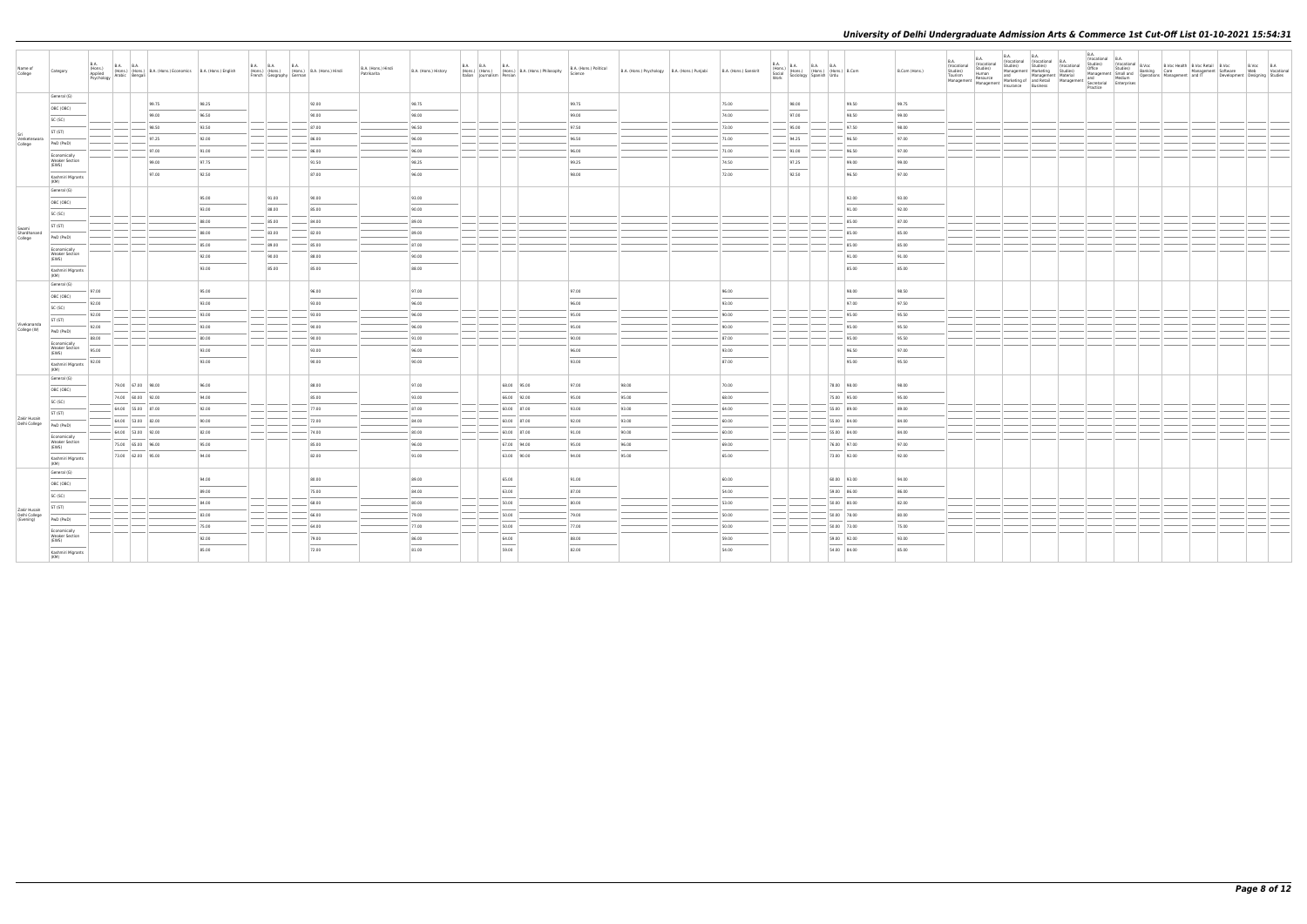| Name of<br>College            | Category                                       | <b>B.A.</b><br>(Hons.)<br>Applied<br>Psychology |                   | B.A. (Hons.) (Hons.) B.A. (Hons.) Economics B.A. (Hons.) English<br>Iv Arabic Bengali |                | B.A. B.A.<br>(Hons.) (Hons.)<br>French Geography German | B.A. (Hons.) B.A. (Hons.) Hindi | B.A. (Hons.) Hindi<br>Patrikarita | B.A. (Hons.) History | Italian Journalism Persian | B.A. B.A. B.A. B.A. Hons.) B.A. (Hons.) Philosophy | B.A. (Hons.) Political<br>Science | B.A. (Hons.) Psychology B.A. (Hons.) Punjabi | B.A. (Hons.) Sanskrit | <b>B.A.</b> | B.A. (Hons.) B.A. B.A. B.A. (Hons.) B.Com<br>Social (Hons.) (Hons.) (Hons.) B.Com<br>Work Sociology Spanish Urdu |                            | B.Com (Hons.)  | B.A.<br><b>B.A.</b><br>(Vocational<br>A<br>Cocational Studies)<br>Studies Studies<br>Studies Human and Management Marketing<br>Tourism Resource Marketing of and Retail<br>Management Management Insurance Business | <b>B.A.</b> | <b>B.A.</b> | B.A.<br>(Vocational B.A.<br>Practice |  | B.Voc B.A<br>Web Vocational<br>Development Designing Studies |
|-------------------------------|------------------------------------------------|-------------------------------------------------|-------------------|---------------------------------------------------------------------------------------|----------------|---------------------------------------------------------|---------------------------------|-----------------------------------|----------------------|----------------------------|----------------------------------------------------|-----------------------------------|----------------------------------------------|-----------------------|-------------|------------------------------------------------------------------------------------------------------------------|----------------------------|----------------|---------------------------------------------------------------------------------------------------------------------------------------------------------------------------------------------------------------------|-------------|-------------|--------------------------------------|--|--------------------------------------------------------------|
|                               | General (G)<br>OBC (OBC)                       |                                                 |                   | 99.75<br>99.00                                                                        | 98.25<br>96.50 |                                                         | 92.00<br>90.00                  |                                   | 98.75<br>98.00       |                            |                                                    | 99.75<br>99.00                    |                                              | 75.00<br>74.00        |             | 98.00<br>97.00                                                                                                   | 99.50<br>98.50             | 99.75<br>99.00 |                                                                                                                                                                                                                     |             |             |                                      |  |                                                              |
|                               | SC (SC)                                        |                                                 |                   | 98.50                                                                                 | 93.50          |                                                         | 87.00                           |                                   | 96.50                |                            |                                                    | 97.50                             |                                              | 73.00                 |             | 95.00                                                                                                            | 97.50                      | 98.00          |                                                                                                                                                                                                                     |             |             |                                      |  |                                                              |
| Venketeswara<br>College       | ST (ST)                                        |                                                 |                   | 97.25                                                                                 | 92.00          |                                                         | 86.00                           |                                   | 96.00                |                            |                                                    | 96.50                             |                                              | 71.00                 |             | 94.25                                                                                                            | 96.50                      | 97.00          |                                                                                                                                                                                                                     |             |             |                                      |  |                                                              |
|                               | PwD (PwD)                                      |                                                 |                   | 97.00                                                                                 | 91.00          |                                                         | 86.00                           |                                   | 96.00                |                            |                                                    | 96.00                             |                                              | 71.00                 |             | 91.00                                                                                                            | 96.50                      | 97.00          |                                                                                                                                                                                                                     |             |             |                                      |  |                                                              |
|                               | Economically<br><b>Weaker Section</b><br>(EWS) |                                                 |                   | 99.00                                                                                 | 97.75          |                                                         | 91.50                           |                                   | 98.25                |                            |                                                    | 99.25                             |                                              | 74.50                 |             | 97.25                                                                                                            | 99.00                      | 99.00          |                                                                                                                                                                                                                     |             |             |                                      |  |                                                              |
|                               | Kashmiri Migrants                              |                                                 |                   | 97.00                                                                                 | 92.50          |                                                         | 87.00                           |                                   | 96.00                |                            |                                                    | 98.00                             |                                              | 72.00                 |             | 92.50                                                                                                            | 96.50                      | 97.00          |                                                                                                                                                                                                                     |             |             |                                      |  |                                                              |
|                               | (KM)<br>General (G)                            |                                                 |                   |                                                                                       |                |                                                         |                                 |                                   |                      |                            |                                                    |                                   |                                              |                       |             |                                                                                                                  |                            |                |                                                                                                                                                                                                                     |             |             |                                      |  |                                                              |
|                               | OBC (OBC)                                      |                                                 |                   |                                                                                       | 95.00          | 91.00                                                   | 90.00                           |                                   | 93.00                |                            |                                                    |                                   |                                              |                       |             |                                                                                                                  | 92.00                      | 93.00          |                                                                                                                                                                                                                     |             |             |                                      |  |                                                              |
|                               | SC (SC)                                        |                                                 |                   |                                                                                       | 93.00          | 88.00                                                   | 85.00                           |                                   | 90.00                |                            |                                                    |                                   |                                              |                       |             |                                                                                                                  | 91.00                      | 92.00          |                                                                                                                                                                                                                     |             |             |                                      |  |                                                              |
| Swami                         | ST (ST)                                        |                                                 |                   |                                                                                       | 88.00          | 85.00                                                   | 84.00                           |                                   | 89.00                |                            |                                                    |                                   |                                              |                       |             |                                                                                                                  | 85.00                      | 87.00          |                                                                                                                                                                                                                     |             |             |                                      |  |                                                              |
| Shardhanand<br>College        | PwD (PwD)                                      |                                                 |                   |                                                                                       | 88.00<br>85.00 | 83.00<br>89.00                                          | 82.00<br>85.00                  |                                   | 89.00<br>87.00       |                            |                                                    |                                   |                                              |                       |             |                                                                                                                  | 85.00<br>85.00             | 85.00<br>85.00 |                                                                                                                                                                                                                     |             |             |                                      |  |                                                              |
|                               | Economically<br><b>Weaker Section</b>          |                                                 |                   |                                                                                       | 92.00          | 90.00                                                   | 88.00                           |                                   | 90.00                |                            |                                                    |                                   |                                              |                       |             |                                                                                                                  | 91.00                      | 91.00          |                                                                                                                                                                                                                     |             |             |                                      |  |                                                              |
|                               | (EWS)<br>Kashmiri Migrants                     |                                                 |                   |                                                                                       | 93.00          | 85.00                                                   | 85.00                           |                                   | 88.00                |                            |                                                    |                                   |                                              |                       |             |                                                                                                                  | 85.00                      | 85.00          |                                                                                                                                                                                                                     |             |             |                                      |  |                                                              |
|                               | (KM)                                           |                                                 |                   |                                                                                       |                |                                                         |                                 |                                   |                      |                            |                                                    |                                   |                                              |                       |             |                                                                                                                  |                            |                |                                                                                                                                                                                                                     |             |             |                                      |  |                                                              |
|                               | General (G)<br>OBC (OBC)                       | 97.00                                           |                   |                                                                                       | 95.00          |                                                         | 96.00                           |                                   | 97.00                |                            |                                                    | 97.00                             |                                              | 96.00                 |             |                                                                                                                  | 98.00                      | 98.50          |                                                                                                                                                                                                                     |             |             |                                      |  |                                                              |
|                               | SC (SC)                                        | 92.00                                           |                   |                                                                                       | 93.00          |                                                         | 93.00                           |                                   | 96.00                |                            |                                                    | 96.00                             |                                              | 93.00                 |             |                                                                                                                  | 97.00                      | 97.50          |                                                                                                                                                                                                                     |             |             |                                      |  |                                                              |
|                               | ST (ST)                                        | 92.00                                           |                   |                                                                                       | 93.00          |                                                         | 93.00                           |                                   | 96.00                |                            |                                                    | 95.00                             |                                              | 90.00                 |             |                                                                                                                  | 95.00                      | 95.50          |                                                                                                                                                                                                                     |             |             |                                      |  |                                                              |
| Vivekananda<br>College (W)    | PwD (PwD)                                      | 92.00                                           |                   |                                                                                       | 93.00          |                                                         | 90.00                           |                                   | 96.00                |                            |                                                    | 95.00                             |                                              | 90.00                 |             |                                                                                                                  | 95.00                      | 95.50          |                                                                                                                                                                                                                     |             |             |                                      |  |                                                              |
|                               | Economically                                   | 88.00                                           |                   |                                                                                       | 80.00          |                                                         | 90.00                           |                                   | 91.00                |                            |                                                    | 90.00                             |                                              | 87.00                 |             |                                                                                                                  | 95.00                      | 95.50          |                                                                                                                                                                                                                     |             |             |                                      |  |                                                              |
|                               | <b>Weaker Section</b><br>(EWS)                 | 95.00                                           |                   |                                                                                       | 93.00          |                                                         | 93.00                           |                                   | 96.00                |                            |                                                    | 96.00                             |                                              | 93.00                 |             |                                                                                                                  | 96.50                      | 97.00          |                                                                                                                                                                                                                     |             |             |                                      |  |                                                              |
|                               | Kashmiri Migrants<br>(KM)                      | 92.00                                           |                   |                                                                                       | 93.00          |                                                         | 90.00                           |                                   | 90.00                |                            |                                                    | 93.00                             |                                              | 87.00                 |             |                                                                                                                  | 95.00                      | 95.50          |                                                                                                                                                                                                                     |             |             |                                      |  |                                                              |
|                               | General (G)                                    |                                                 | 79.00 67.00 98.00 |                                                                                       |                |                                                         | 88.00                           |                                   |                      |                            |                                                    | 97.00                             |                                              |                       |             |                                                                                                                  |                            | 98.00          |                                                                                                                                                                                                                     |             |             |                                      |  |                                                              |
|                               | OBC (OBC)                                      |                                                 | 74.00 60.00 92.00 |                                                                                       | 96.00<br>94.00 |                                                         | 85.00                           |                                   | 97.00<br>93.00       |                            | 68.00 95.00<br>66.00 92.00                         | 95.00                             | 98.00<br>95.00                               | 70.00<br>68.00        |             |                                                                                                                  | 78.00 98.00<br>75.00 95.00 | 95.00          |                                                                                                                                                                                                                     |             |             |                                      |  |                                                              |
|                               | SC (SC)                                        |                                                 | 64.00 55.00 87.00 |                                                                                       | 92.00          |                                                         | 77.00                           |                                   | 87.00                |                            | 60.00 87.00                                        | 93.00                             | 93.00                                        | 64.00                 |             |                                                                                                                  | 55.00 89.00                | 89.00          |                                                                                                                                                                                                                     |             |             |                                      |  |                                                              |
| Zakir Husain<br>Delhi College | ST (ST)                                        |                                                 | 64.00 53.00 82.00 |                                                                                       | 90.00          |                                                         | 72.00                           |                                   | 84.00                |                            | 60.00 87.00                                        | 92.00                             | 93.00                                        | 60.00                 |             |                                                                                                                  | 55.00 84.00                | 84.00          |                                                                                                                                                                                                                     |             |             |                                      |  |                                                              |
|                               | PwD (PwD)                                      |                                                 | 64.00 53.00 92.00 |                                                                                       | 82.00          |                                                         | 74.00                           |                                   | 80.00                |                            | $60.00$ 87.00                                      | 91.00                             | 90.00                                        | 60.00                 |             |                                                                                                                  | 55.00 84.00                | 84.00          |                                                                                                                                                                                                                     |             |             |                                      |  |                                                              |
|                               | Economically<br><b>Weaker Section</b><br>(EWS) |                                                 | 75.00 65.00 96.00 |                                                                                       | 95.00          |                                                         | 85.00                           |                                   | 96.00                |                            | 67.00 94.00                                        | 95.00                             | 96.00                                        | 69.00                 |             |                                                                                                                  | 76.00 97.00                | 97.00          |                                                                                                                                                                                                                     |             |             |                                      |  |                                                              |
|                               | Kashmiri Migrants<br>(KM)                      |                                                 | 73.00 62.00 95.00 |                                                                                       | 94.00          |                                                         | 82.00                           |                                   | 91.00                |                            | 63.00 90.00                                        | 94.00                             | 95.00                                        | 65.00                 |             |                                                                                                                  | 73.00 92.00                | 92.00          |                                                                                                                                                                                                                     |             |             |                                      |  |                                                              |
|                               | General (G)                                    |                                                 |                   |                                                                                       | 94.00          |                                                         | 80.00                           |                                   | 89.00                |                            | 65.00                                              | 91.00                             |                                              | 60.00                 |             |                                                                                                                  | 60.00 93.00                | 94.00          |                                                                                                                                                                                                                     |             |             |                                      |  |                                                              |
|                               | OBC (OBC)                                      |                                                 |                   |                                                                                       | 89.00          |                                                         | 75.00                           |                                   | 84.00                |                            | 63.00                                              | 87.00                             |                                              | 54.00                 |             |                                                                                                                  | 59.00 86.00                | 86.00          |                                                                                                                                                                                                                     |             |             |                                      |  |                                                              |
|                               | SC (SC)                                        |                                                 |                   |                                                                                       | 84.00          |                                                         | 68.00                           |                                   | 80.00                |                            | 50.00                                              | 80.00                             |                                              | 53.00                 |             |                                                                                                                  | 50.00 80.00                | 82.00          |                                                                                                                                                                                                                     |             |             |                                      |  |                                                              |
| Zakir Husain<br>Delhi College | ST (ST)                                        |                                                 |                   |                                                                                       | 83.00          |                                                         | 66.00                           |                                   | 79.00                |                            | 50.00                                              | 79.00                             |                                              | 50.00                 |             |                                                                                                                  | 50.00 78.00                | 80.00          |                                                                                                                                                                                                                     |             |             |                                      |  |                                                              |
| (Evening)                     | PwD (PwD)<br>Economically                      |                                                 |                   |                                                                                       | 75.00          |                                                         | 64.00                           |                                   | 77.00                |                            | 50.00                                              | 77.00                             |                                              | 50.00                 |             |                                                                                                                  | 50.00 73.00                | 75.00          |                                                                                                                                                                                                                     |             |             |                                      |  |                                                              |
|                               | <b>Weaker Section</b><br>(EWS)                 |                                                 |                   |                                                                                       | 92.00          |                                                         | 79.00                           |                                   | 86.00                |                            | 64.00                                              | 88.00                             |                                              | 59.00                 |             |                                                                                                                  | 59.00 92.00                | 93.00          |                                                                                                                                                                                                                     |             |             |                                      |  |                                                              |
|                               | Kashmiri Migrants                              |                                                 |                   |                                                                                       | 85.00          |                                                         | 72.00                           |                                   | 81.00                |                            | 59.00                                              | 82.00                             |                                              | 54.00                 |             |                                                                                                                  | 54.00 84.00                | 85.00          |                                                                                                                                                                                                                     |             |             |                                      |  |                                                              |
|                               | (KM)                                           |                                                 |                   |                                                                                       |                |                                                         |                                 |                                   |                      |                            |                                                    |                                   |                                              |                       |             |                                                                                                                  |                            |                |                                                                                                                                                                                                                     |             |             |                                      |  |                                                              |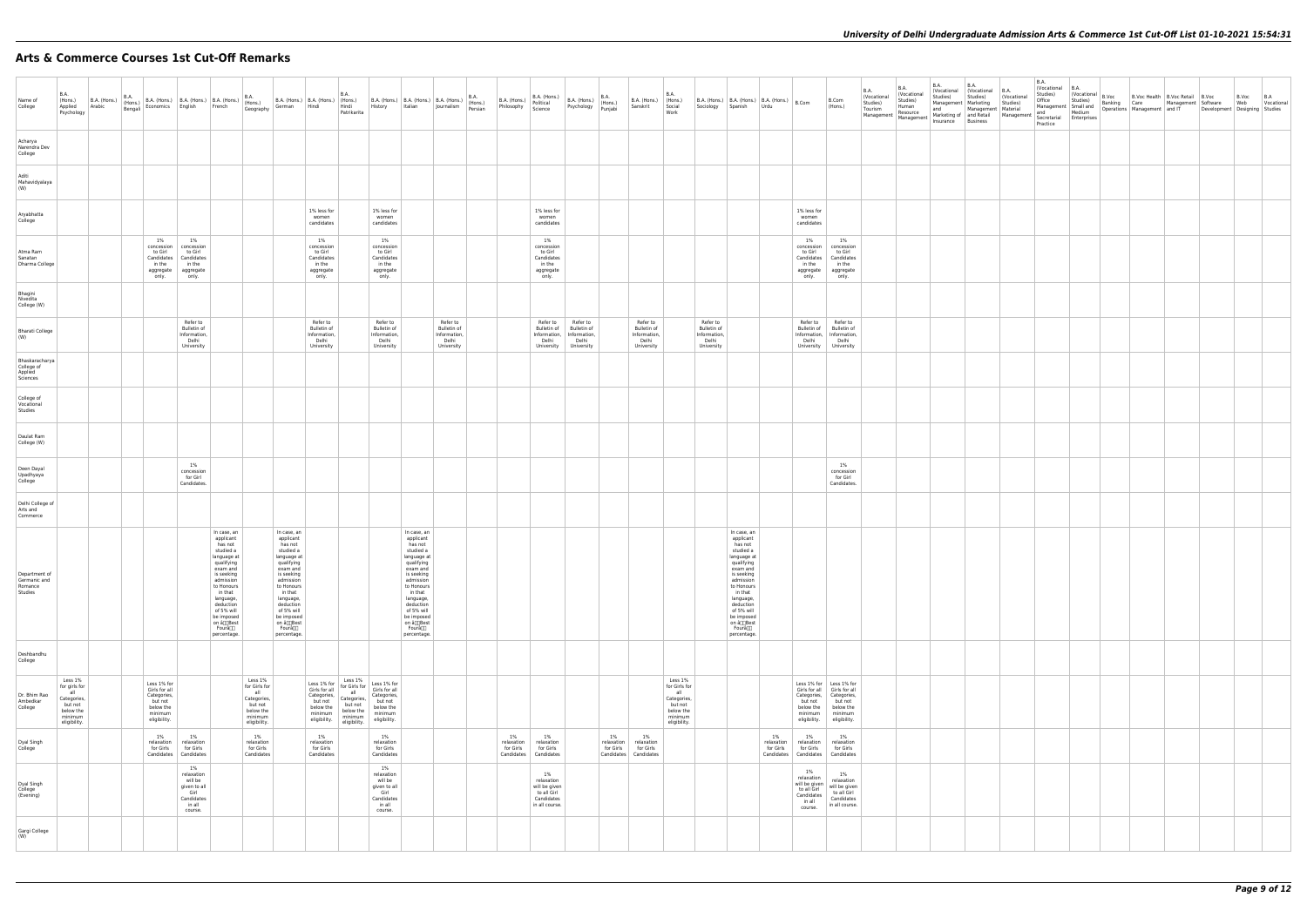# **Arts & Commerce Courses 1st Cut-Off Remarks**

| <b>B.A.</b>                                                                                                                              |  |                                                                                                |                                                                                        |                                                                                                                                                                                                                                             |                                                                                                                                                                                                                                            |                                                                                                | <b>B.A.</b>                                                                            |                                                                                                              |                                                                                                                                                                                                                                             |                                                |                                                                                  |                                                                                                 |                     |                                                                    | <b>B.A.</b>                                                                                       |                                                                |                                                                                                                                                                                                                                            |                                  |                                                                                        |                                                                                                                                                             | B.A.<br>(Vocational | <b>B.A.</b><br>(Vocational                                                         | B.A.<br>Studies) | <b>B.A.</b><br>(Vocational (Vocational B.A.<br>Studies) | (Vocational                                              | <b>B.A.</b><br>Studies) | (Vocational B.A.                                                                                          |  | $\left \begin{array}{c c}\n\text{(Vocational} & B.Voc \\ \text{Cruder}\n\end{array}\right $ B.Voc $\left \begin{array}{c c}\nB.Voc \text{ Health} & B.Voc \\ \hline\n\end{array}\right $ B.Voc | B.Voc B.A                                                                                                                                                                                                |  |
|------------------------------------------------------------------------------------------------------------------------------------------|--|------------------------------------------------------------------------------------------------|----------------------------------------------------------------------------------------|---------------------------------------------------------------------------------------------------------------------------------------------------------------------------------------------------------------------------------------------|--------------------------------------------------------------------------------------------------------------------------------------------------------------------------------------------------------------------------------------------|------------------------------------------------------------------------------------------------|----------------------------------------------------------------------------------------|--------------------------------------------------------------------------------------------------------------|---------------------------------------------------------------------------------------------------------------------------------------------------------------------------------------------------------------------------------------------|------------------------------------------------|----------------------------------------------------------------------------------|-------------------------------------------------------------------------------------------------|---------------------|--------------------------------------------------------------------|---------------------------------------------------------------------------------------------------|----------------------------------------------------------------|--------------------------------------------------------------------------------------------------------------------------------------------------------------------------------------------------------------------------------------------|----------------------------------|----------------------------------------------------------------------------------------|-------------------------------------------------------------------------------------------------------------------------------------------------------------|---------------------|------------------------------------------------------------------------------------|------------------|---------------------------------------------------------|----------------------------------------------------------|-------------------------|-----------------------------------------------------------------------------------------------------------|--|------------------------------------------------------------------------------------------------------------------------------------------------------------------------------------------------|----------------------------------------------------------------------------------------------------------------------------------------------------------------------------------------------------------|--|
| Name of<br>College<br>Psychology                                                                                                         |  |                                                                                                |                                                                                        |                                                                                                                                                                                                                                             |                                                                                                                                                                                                                                            |                                                                                                | Patrikarita                                                                            |                                                                                                              | B.A. (Hons.) B.A. (Hons.) B.A. (Hons.) B.A. (Hons.) B.A. (Hons.) B.A. (Hons.) B.A. (Hons.) B.A. (Hons.) B.A. (Hons.) B.A. (Hons.) B.A. (Hons.) B.A. (Hons.) B.A. (Hons.) B.A. (Hons.) B.A. (Hons.) B.A. (Hons.) B.A. (Hons.) B              |                                                |                                                                                  | B.A. (Hons.) B.A. (Hons.) B.A. (Hons.) B.A. (Hons.) Philosophy Science Psychology Punjabi       |                     | B.A. (Hons.) (Hons.)<br>Sanskrit Social                            | Work                                                                                              | B.A. (Hons.) B.A. (Hons.)   B.A. (Hons.)   B.Com               | Sociology Spanish Urdu                                                                                                                                                                                                                     |                                  |                                                                                        | B.Com<br>(Hons.)                                                                                                                                            | Studies)<br>Tourism | Studies)<br>Human<br>Resource<br>Management   Management   Markeung or   Since III |                  |                                                         | Management Marketing Studies)<br>and Management Material | Practice                | Marketing of and Retail Management and Finland Marketing of and Retail Management Secretarial Enterprises |  |                                                                                                                                                                                                | Office Studies) Banking Care Management Software Web Tocational<br>Management Small and Dependience Management Software Web Tocational<br>And Management Management and IT Development Designing Studies |  |
| Acharya<br>Narendra Dev<br>College                                                                                                       |  |                                                                                                |                                                                                        |                                                                                                                                                                                                                                             |                                                                                                                                                                                                                                            |                                                                                                |                                                                                        |                                                                                                              |                                                                                                                                                                                                                                             |                                                |                                                                                  |                                                                                                 |                     |                                                                    |                                                                                                   |                                                                |                                                                                                                                                                                                                                            |                                  |                                                                                        |                                                                                                                                                             |                     |                                                                                    |                  |                                                         |                                                          |                         |                                                                                                           |  |                                                                                                                                                                                                |                                                                                                                                                                                                          |  |
| Aditi<br>Mahavidyalaya<br>(W)                                                                                                            |  |                                                                                                |                                                                                        |                                                                                                                                                                                                                                             |                                                                                                                                                                                                                                            |                                                                                                |                                                                                        |                                                                                                              |                                                                                                                                                                                                                                             |                                                |                                                                                  |                                                                                                 |                     |                                                                    |                                                                                                   |                                                                |                                                                                                                                                                                                                                            |                                  |                                                                                        |                                                                                                                                                             |                     |                                                                                    |                  |                                                         |                                                          |                         |                                                                                                           |  |                                                                                                                                                                                                |                                                                                                                                                                                                          |  |
| Aryabhatta<br>College                                                                                                                    |  |                                                                                                |                                                                                        |                                                                                                                                                                                                                                             |                                                                                                                                                                                                                                            | 1% less for<br>women<br>candidates                                                             |                                                                                        | 1% less for<br>women<br>candidates                                                                           |                                                                                                                                                                                                                                             |                                                | 1% less for<br>women<br>candidates                                               |                                                                                                 |                     |                                                                    |                                                                                                   |                                                                |                                                                                                                                                                                                                                            |                                  | 1% less for<br>women<br>candidates                                                     |                                                                                                                                                             |                     |                                                                                    |                  |                                                         |                                                          |                         |                                                                                                           |  |                                                                                                                                                                                                |                                                                                                                                                                                                          |  |
| Atma Ram<br>Sanatan<br>Dharma College                                                                                                    |  | 1%<br>to Girl<br>in the<br>aggregate aggregate<br>only.                                        | 1%<br>concession concession<br>to Girl<br>Candidates   Candidates<br>in the<br>only.   |                                                                                                                                                                                                                                             |                                                                                                                                                                                                                                            | 1%<br>concession<br>to Girl<br>Candidates<br>in the<br>aggregate<br>only.                      |                                                                                        | 1%<br>concession<br>to Girl<br>Candidates<br>in the<br>aggregate<br>only.                                    |                                                                                                                                                                                                                                             |                                                | 1%<br>concession<br>to Girl<br>Candidates<br>in the<br>aggregate<br>only.        |                                                                                                 |                     |                                                                    |                                                                                                   |                                                                |                                                                                                                                                                                                                                            |                                  | 1%<br>to Girl<br>in the<br>only.                                                       | 1%<br>concession concession<br>to Girl<br>Candidates   Candidates<br>in the<br>aggregate aggregate<br>only.                                                 |                     |                                                                                    |                  |                                                         |                                                          |                         |                                                                                                           |  |                                                                                                                                                                                                |                                                                                                                                                                                                          |  |
| Bhagini<br>Nivedita<br>College (W)                                                                                                       |  |                                                                                                |                                                                                        |                                                                                                                                                                                                                                             |                                                                                                                                                                                                                                            |                                                                                                |                                                                                        |                                                                                                              |                                                                                                                                                                                                                                             |                                                |                                                                                  |                                                                                                 |                     |                                                                    |                                                                                                   |                                                                |                                                                                                                                                                                                                                            |                                  |                                                                                        |                                                                                                                                                             |                     |                                                                                    |                  |                                                         |                                                          |                         |                                                                                                           |  |                                                                                                                                                                                                |                                                                                                                                                                                                          |  |
| <b>Bharati College</b><br>(W)                                                                                                            |  |                                                                                                | Refer to<br>Bulletin of<br>Information,<br>Delhi<br>University                         |                                                                                                                                                                                                                                             |                                                                                                                                                                                                                                            | Refer to<br>Bulletin of<br>Information,<br>Delhi<br>University                                 |                                                                                        | Refer to<br>Bulletin of<br>Information,<br>Delhi<br>University                                               | Refer to<br>Bulletin of<br>Information,<br>Delhi<br>University                                                                                                                                                                              |                                                | Refer to<br><b>Bulletin of</b><br>Delhi                                          | Refer to<br><b>Bulletin of</b><br>Information, Information,<br>Delhi<br>University   University |                     | Refer to<br>Bulletin of<br>Information,<br>Delhi<br>University     |                                                                                                   | Refer to<br>Bulletin of<br>Information,<br>Delhi<br>University |                                                                                                                                                                                                                                            |                                  |                                                                                        | Refer to Refer to<br>Bulletin of Bulletin of<br>Information,   Information,<br>Delhi Delhi<br>University University                                         |                     |                                                                                    |                  |                                                         |                                                          |                         |                                                                                                           |  |                                                                                                                                                                                                |                                                                                                                                                                                                          |  |
| Bhaskaracharya<br>College of<br>Applied<br>Sciences                                                                                      |  |                                                                                                |                                                                                        |                                                                                                                                                                                                                                             |                                                                                                                                                                                                                                            |                                                                                                |                                                                                        |                                                                                                              |                                                                                                                                                                                                                                             |                                                |                                                                                  |                                                                                                 |                     |                                                                    |                                                                                                   |                                                                |                                                                                                                                                                                                                                            |                                  |                                                                                        |                                                                                                                                                             |                     |                                                                                    |                  |                                                         |                                                          |                         |                                                                                                           |  |                                                                                                                                                                                                |                                                                                                                                                                                                          |  |
| College of<br>Vocational<br>Studies                                                                                                      |  |                                                                                                |                                                                                        |                                                                                                                                                                                                                                             |                                                                                                                                                                                                                                            |                                                                                                |                                                                                        |                                                                                                              |                                                                                                                                                                                                                                             |                                                |                                                                                  |                                                                                                 |                     |                                                                    |                                                                                                   |                                                                |                                                                                                                                                                                                                                            |                                  |                                                                                        |                                                                                                                                                             |                     |                                                                                    |                  |                                                         |                                                          |                         |                                                                                                           |  |                                                                                                                                                                                                |                                                                                                                                                                                                          |  |
| Daulat Ram<br>College (W)                                                                                                                |  |                                                                                                |                                                                                        |                                                                                                                                                                                                                                             |                                                                                                                                                                                                                                            |                                                                                                |                                                                                        |                                                                                                              |                                                                                                                                                                                                                                             |                                                |                                                                                  |                                                                                                 |                     |                                                                    |                                                                                                   |                                                                |                                                                                                                                                                                                                                            |                                  |                                                                                        |                                                                                                                                                             |                     |                                                                                    |                  |                                                         |                                                          |                         |                                                                                                           |  |                                                                                                                                                                                                |                                                                                                                                                                                                          |  |
| Deen Dayal<br>Upadhyaya<br>College                                                                                                       |  |                                                                                                | 1%<br>concession<br>for Girl<br>Candidates.                                            |                                                                                                                                                                                                                                             |                                                                                                                                                                                                                                            |                                                                                                |                                                                                        |                                                                                                              |                                                                                                                                                                                                                                             |                                                |                                                                                  |                                                                                                 |                     |                                                                    |                                                                                                   |                                                                |                                                                                                                                                                                                                                            |                                  |                                                                                        | 1%<br>concession<br>for Girl<br>Candidates.                                                                                                                 |                     |                                                                                    |                  |                                                         |                                                          |                         |                                                                                                           |  |                                                                                                                                                                                                |                                                                                                                                                                                                          |  |
| Delhi College of<br>Arts and<br>Commerce                                                                                                 |  |                                                                                                |                                                                                        |                                                                                                                                                                                                                                             |                                                                                                                                                                                                                                            |                                                                                                |                                                                                        |                                                                                                              |                                                                                                                                                                                                                                             |                                                |                                                                                  |                                                                                                 |                     |                                                                    |                                                                                                   |                                                                |                                                                                                                                                                                                                                            |                                  |                                                                                        |                                                                                                                                                             |                     |                                                                                    |                  |                                                         |                                                          |                         |                                                                                                           |  |                                                                                                                                                                                                |                                                                                                                                                                                                          |  |
| Department of<br>Germanic and<br>Romance<br>Studies                                                                                      |  |                                                                                                |                                                                                        | In case, an<br>applicant<br>has not<br>studied a<br>language at<br>qualifying<br>exam and<br>is seeking<br>admission<br>to Honours<br>in that<br>language,<br>deduction<br>of 5% will<br>be imposed<br>on â∏]Best<br>Fourâ∏∏<br>percentage. | In case, an<br>applicant<br>has not<br>studied a<br>language at<br>qualifying<br>exam and<br>is seeking<br>admission<br>to Honours<br>in that<br>language,<br>deduction<br>of 5% will<br>be imposed<br>on â∏]Best<br>Fourâ∭<br>percentage. |                                                                                                |                                                                                        |                                                                                                              | In case, an<br>applicant<br>has not<br>studied a<br>language at<br>qualifying<br>exam and<br>is seeking<br>admission<br>to Honours<br>in that<br>language,<br>deduction<br>of 5% will<br>be imposed<br>on â∏]Best<br>Fourâ∏∏<br>percentage. |                                                |                                                                                  |                                                                                                 |                     |                                                                    |                                                                                                   |                                                                | In case, an<br>applicant<br>has not<br>studied a<br>language at<br>qualifying<br>exam and<br>is seeking<br>admission<br>to Honours<br>in that<br>language,<br>deduction<br>of 5% will<br>be imposed<br>on â∏Best<br>Fourâ∏∏<br>percentage. |                                  |                                                                                        |                                                                                                                                                             |                     |                                                                                    |                  |                                                         |                                                          |                         |                                                                                                           |  |                                                                                                                                                                                                |                                                                                                                                                                                                          |  |
| Deshbandhu<br>College                                                                                                                    |  |                                                                                                |                                                                                        |                                                                                                                                                                                                                                             |                                                                                                                                                                                                                                            |                                                                                                |                                                                                        |                                                                                                              |                                                                                                                                                                                                                                             |                                                |                                                                                  |                                                                                                 |                     |                                                                    |                                                                                                   |                                                                |                                                                                                                                                                                                                                            |                                  |                                                                                        |                                                                                                                                                             |                     |                                                                                    |                  |                                                         |                                                          |                         |                                                                                                           |  |                                                                                                                                                                                                |                                                                                                                                                                                                          |  |
| Less 1%<br>for girls for<br>all<br>Dr. Bhim Rao<br>Categories,<br>Ambedkar<br>but not<br>College<br>below the<br>minimum<br>eligibility. |  | Less 1% for<br>Girls for all<br>Categories,<br>but not<br>below the<br>minimum<br>eligibility. |                                                                                        | Less 1%<br>for Girls for<br>all<br>Categories,<br>but not<br>below the<br>minimum<br>eligibility.                                                                                                                                           |                                                                                                                                                                                                                                            | Less 1% for<br>Girls for all<br>Categories,<br>but not<br>below the<br>minimum<br>eligibility. | for Girls for<br>all<br>Categories,<br>but not<br>below the<br>minimum<br>eligibility. | Less $1\%$ Less $1\%$ for<br>Girls for all<br>Categories,<br>but not<br>below the<br>minimum<br>eligibility. |                                                                                                                                                                                                                                             |                                                |                                                                                  |                                                                                                 |                     |                                                                    | Less 1%<br>for Girls for<br>all<br>Categories,<br>but not<br>below the<br>minimum<br>eligibility. |                                                                |                                                                                                                                                                                                                                            |                                  | but not<br>minimum                                                                     | Less 1% for Less 1% for<br>Girls for all Girls for all<br>Categories, Categories,<br>but not<br>below the below the<br>minimum<br>eligibility. eligibility. |                     |                                                                                    |                  |                                                         |                                                          |                         |                                                                                                           |  |                                                                                                                                                                                                |                                                                                                                                                                                                          |  |
| Dyal Singh<br>College                                                                                                                    |  | 1%<br>relaxation<br>for Girls                                                                  | 1%<br>relaxation<br>for Girls<br>Candidates   Candidates                               | 1%<br>relaxation<br>for Girls<br>Candidates                                                                                                                                                                                                 |                                                                                                                                                                                                                                            | $1\%$<br>relaxation<br>for Girls<br>Candidates                                                 |                                                                                        | 1%<br>relaxation<br>for Girls<br>Candidates                                                                  |                                                                                                                                                                                                                                             | $1\%$<br>relaxation<br>for Girls<br>Candidates | 1%<br>relaxation<br>for Girls<br>Candidates                                      |                                                                                                 | $1\%$<br>relaxation | 1%<br>relaxation<br>for Girls   for Girls<br>Candidates Candidates |                                                                                                   |                                                                |                                                                                                                                                                                                                                            | $1\%$<br>relaxation<br>for Girls | 1%<br>relaxation<br>for Girls                                                          | 1%<br>relaxation<br>for Girls<br>Candidates Candidates Candidates                                                                                           |                     |                                                                                    |                  |                                                         |                                                          |                         |                                                                                                           |  |                                                                                                                                                                                                |                                                                                                                                                                                                          |  |
| Dyal Singh<br>College<br>(Evening)                                                                                                       |  |                                                                                                | 1%<br>relaxation<br>will be<br>given to all<br>Girl<br>Candidates<br>in all<br>course. |                                                                                                                                                                                                                                             |                                                                                                                                                                                                                                            |                                                                                                |                                                                                        | $1\%$<br>relaxation<br>will be<br>given to all<br>Girl<br>Candidates<br>in all<br>course.                    |                                                                                                                                                                                                                                             |                                                | 1%<br>relaxation<br>will be given<br>to all Girl<br>Candidates<br>in all course. |                                                                                                 |                     |                                                                    |                                                                                                   |                                                                |                                                                                                                                                                                                                                            |                                  | $1\%$<br>relaxation<br>will be given<br>to all Girl<br>Candidates<br>in all<br>course. | 1%<br>relaxation<br>will be given<br>to all Girl<br>Candidates<br>in all course.                                                                            |                     |                                                                                    |                  |                                                         |                                                          |                         |                                                                                                           |  |                                                                                                                                                                                                |                                                                                                                                                                                                          |  |
| Gargi College<br>(W)                                                                                                                     |  |                                                                                                |                                                                                        |                                                                                                                                                                                                                                             |                                                                                                                                                                                                                                            |                                                                                                |                                                                                        |                                                                                                              |                                                                                                                                                                                                                                             |                                                |                                                                                  |                                                                                                 |                     |                                                                    |                                                                                                   |                                                                |                                                                                                                                                                                                                                            |                                  |                                                                                        |                                                                                                                                                             |                     |                                                                                    |                  |                                                         |                                                          |                         |                                                                                                           |  |                                                                                                                                                                                                |                                                                                                                                                                                                          |  |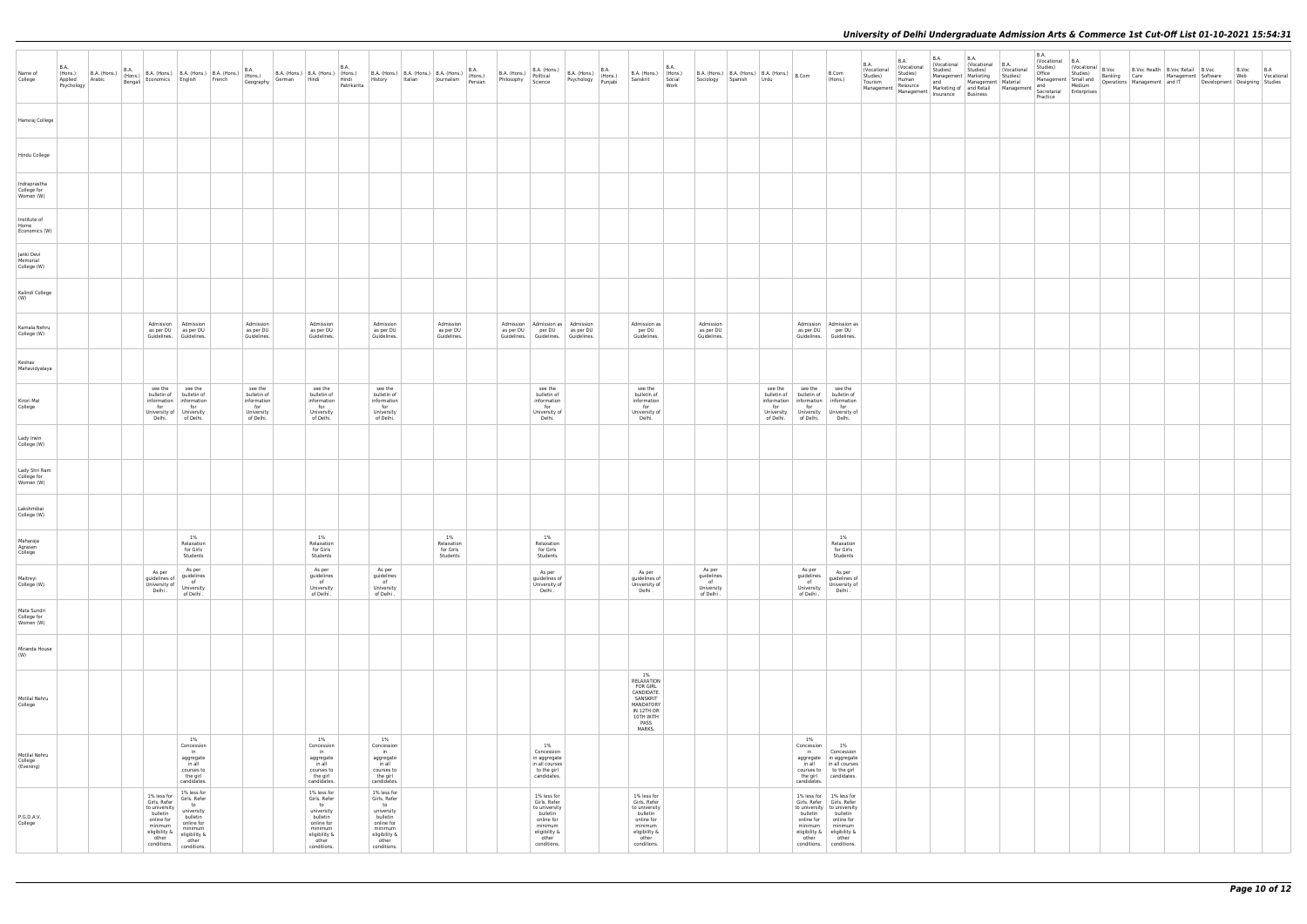| Name of<br>College                        | B.A.<br>Psychology | (Hons.) B.A. (Hons.)<br>Applied Arabic |                                                                                                                            |                                                                                                                               |                                                              |                                                                                                                               | <b>B.A.</b><br>Patrikarita |                                                                                                                               | R. (Hons.) B. (Hons.) B. (Hons.) B. (Hons.) B. (Hons.) B. (Hons.) B. (Hons.) B. (Hons.) B. (Hons.) B. (Hons.) B. (Hons.) B. (Hons.) B. (Hons.) B. (Hons.) B. (Hons.) B. (Hons.) B. (Hons.) B. (Hons.) B. (Hons.) B. (Hons.) B. |                                                                                                                            |  |                                                                                                                            | <b>B.A.</b><br>Work | B.A. (Hons.) (Hons.) B.A. (Hons.) B.A. (Hons.) B.A. (Hons.) Sanskrit Social Sociology Spanish Urdu |                                                                                                                                                                                                                                                            | B.Com<br>(Hons.)                                                                                                                                                                                                            | <b>B.A.</b><br>Vocational<br>Studies)<br>Tourism | <b>B.A.</b><br>(Vocational<br>Studies)<br>Human<br>Financies and Marketing of and Retail Management Material Management Resource Marketing of and Redium<br>Management Management Insurance Business<br>Practice Practice Practice | <b>B.A.</b><br>  (Vocational   (Vocational   B.A.<br>Studies) Studies) (Vocational<br>Management Marketing Studies)<br>and | <b>B.A.</b><br>Management Material | <b>B.A.</b><br>Vocational B.A.<br>Practice |  | $\left  \begin{array}{c} \text{Studies} \\ \text{Studies} \end{array} \right $ $\left  \begin{array}{c} \text{Vocational} \\ \text{Coulomb} \end{array} \right $ B.Voc Health B.Voc Retail B.Voc | Office Studies Banking Care Management Software Web Tocational<br>Management Small and Depending Care Management Software Web Tocational<br>Management And Development and IT Development Designing Studies | B.Voc B.A |  |
|-------------------------------------------|--------------------|----------------------------------------|----------------------------------------------------------------------------------------------------------------------------|-------------------------------------------------------------------------------------------------------------------------------|--------------------------------------------------------------|-------------------------------------------------------------------------------------------------------------------------------|----------------------------|-------------------------------------------------------------------------------------------------------------------------------|--------------------------------------------------------------------------------------------------------------------------------------------------------------------------------------------------------------------------------|----------------------------------------------------------------------------------------------------------------------------|--|----------------------------------------------------------------------------------------------------------------------------|---------------------|----------------------------------------------------------------------------------------------------|------------------------------------------------------------------------------------------------------------------------------------------------------------------------------------------------------------------------------------------------------------|-----------------------------------------------------------------------------------------------------------------------------------------------------------------------------------------------------------------------------|--------------------------------------------------|------------------------------------------------------------------------------------------------------------------------------------------------------------------------------------------------------------------------------------|----------------------------------------------------------------------------------------------------------------------------|------------------------------------|--------------------------------------------|--|--------------------------------------------------------------------------------------------------------------------------------------------------------------------------------------------------|-------------------------------------------------------------------------------------------------------------------------------------------------------------------------------------------------------------|-----------|--|
| Hansraj College                           |                    |                                        |                                                                                                                            |                                                                                                                               |                                                              |                                                                                                                               |                            |                                                                                                                               |                                                                                                                                                                                                                                |                                                                                                                            |  |                                                                                                                            |                     |                                                                                                    |                                                                                                                                                                                                                                                            |                                                                                                                                                                                                                             |                                                  |                                                                                                                                                                                                                                    |                                                                                                                            |                                    |                                            |  |                                                                                                                                                                                                  |                                                                                                                                                                                                             |           |  |
| Hindu College                             |                    |                                        |                                                                                                                            |                                                                                                                               |                                                              |                                                                                                                               |                            |                                                                                                                               |                                                                                                                                                                                                                                |                                                                                                                            |  |                                                                                                                            |                     |                                                                                                    |                                                                                                                                                                                                                                                            |                                                                                                                                                                                                                             |                                                  |                                                                                                                                                                                                                                    |                                                                                                                            |                                    |                                            |  |                                                                                                                                                                                                  |                                                                                                                                                                                                             |           |  |
| Indraprastha<br>College for<br>Women (W)  |                    |                                        |                                                                                                                            |                                                                                                                               |                                                              |                                                                                                                               |                            |                                                                                                                               |                                                                                                                                                                                                                                |                                                                                                                            |  |                                                                                                                            |                     |                                                                                                    |                                                                                                                                                                                                                                                            |                                                                                                                                                                                                                             |                                                  |                                                                                                                                                                                                                                    |                                                                                                                            |                                    |                                            |  |                                                                                                                                                                                                  |                                                                                                                                                                                                             |           |  |
| Institute of<br>Home<br>Economics (W)     |                    |                                        |                                                                                                                            |                                                                                                                               |                                                              |                                                                                                                               |                            |                                                                                                                               |                                                                                                                                                                                                                                |                                                                                                                            |  |                                                                                                                            |                     |                                                                                                    |                                                                                                                                                                                                                                                            |                                                                                                                                                                                                                             |                                                  |                                                                                                                                                                                                                                    |                                                                                                                            |                                    |                                            |  |                                                                                                                                                                                                  |                                                                                                                                                                                                             |           |  |
| Janki Devi<br>Memorial                    |                    |                                        |                                                                                                                            |                                                                                                                               |                                                              |                                                                                                                               |                            |                                                                                                                               |                                                                                                                                                                                                                                |                                                                                                                            |  |                                                                                                                            |                     |                                                                                                    |                                                                                                                                                                                                                                                            |                                                                                                                                                                                                                             |                                                  |                                                                                                                                                                                                                                    |                                                                                                                            |                                    |                                            |  |                                                                                                                                                                                                  |                                                                                                                                                                                                             |           |  |
| College (W)<br>Kalindi College            |                    |                                        |                                                                                                                            |                                                                                                                               |                                                              |                                                                                                                               |                            |                                                                                                                               |                                                                                                                                                                                                                                |                                                                                                                            |  |                                                                                                                            |                     |                                                                                                    |                                                                                                                                                                                                                                                            |                                                                                                                                                                                                                             |                                                  |                                                                                                                                                                                                                                    |                                                                                                                            |                                    |                                            |  |                                                                                                                                                                                                  |                                                                                                                                                                                                             |           |  |
| (W)<br>Kamala Nehru                       |                    |                                        |                                                                                                                            | Admission   Admission                                                                                                         | Admission                                                    | Admission                                                                                                                     |                            | Admission                                                                                                                     | Admission                                                                                                                                                                                                                      | Admission   Admission as   Admission                                                                                       |  | Admission as                                                                                                               |                     | Admission                                                                                          |                                                                                                                                                                                                                                                            | Admission Admission as                                                                                                                                                                                                      |                                                  |                                                                                                                                                                                                                                    |                                                                                                                            |                                    |                                            |  |                                                                                                                                                                                                  |                                                                                                                                                                                                             |           |  |
| College (W)                               |                    |                                        | Guidelines. Guidelines.                                                                                                    | as per DU as per DU                                                                                                           | as per DU<br>Guidelines.                                     | as per DU<br>Guidelines.                                                                                                      |                            | as per DU<br>Guidelines.                                                                                                      | as per DU<br>Guidelines.                                                                                                                                                                                                       | as per DU   per DU   as per DU<br>Guidelines. Guidelines. Guidelines.                                                      |  | per DU<br>Guidelines.                                                                                                      |                     | as per DU<br>Guidelines.                                                                           |                                                                                                                                                                                                                                                            | as per DU   per DU<br>Guidelines. Guidelines.                                                                                                                                                                               |                                                  |                                                                                                                                                                                                                                    |                                                                                                                            |                                    |                                            |  |                                                                                                                                                                                                  |                                                                                                                                                                                                             |           |  |
| Keshav<br>Mahavidyalaya                   |                    |                                        | see the                                                                                                                    | see the                                                                                                                       | see the                                                      | see the                                                                                                                       |                            | see the                                                                                                                       |                                                                                                                                                                                                                                | see the                                                                                                                    |  | see the                                                                                                                    |                     |                                                                                                    | see the see the see the                                                                                                                                                                                                                                    |                                                                                                                                                                                                                             |                                                  |                                                                                                                                                                                                                                    |                                                                                                                            |                                    |                                            |  |                                                                                                                                                                                                  |                                                                                                                                                                                                             |           |  |
| Kirori Mal<br>College                     |                    |                                        | for<br>University of University                                                                                            | bulletin of bulletin of<br>information   information<br>for<br>Delhi. of Delhi.                                               | bulletin of<br>information<br>for<br>University<br>of Delhi. | bulletin of<br>information<br>for<br>University<br>of Delhi.                                                                  |                            | bulletin of<br>information<br>for<br>University<br>of Delhi.                                                                  |                                                                                                                                                                                                                                | bulletin of<br>information<br>for<br>University of<br>Delhi.                                                               |  | bulletin of<br>information<br>for<br>University of<br>Delhi.                                                               |                     |                                                                                                    | bulletin of bulletin of bulletin of<br>$\begin{tabular}{c c} information & information \\ for & for \\ \end{tabular} \begin{tabular}{c} {\footnotesize information} \\ for \\ \end{tabular}$<br>University University University of<br>of Delhi. of Delhi. | Delhi.                                                                                                                                                                                                                      |                                                  |                                                                                                                                                                                                                                    |                                                                                                                            |                                    |                                            |  |                                                                                                                                                                                                  |                                                                                                                                                                                                             |           |  |
| Lady Irwin<br>College (W)                 |                    |                                        |                                                                                                                            |                                                                                                                               |                                                              |                                                                                                                               |                            |                                                                                                                               |                                                                                                                                                                                                                                |                                                                                                                            |  |                                                                                                                            |                     |                                                                                                    |                                                                                                                                                                                                                                                            |                                                                                                                                                                                                                             |                                                  |                                                                                                                                                                                                                                    |                                                                                                                            |                                    |                                            |  |                                                                                                                                                                                                  |                                                                                                                                                                                                             |           |  |
| Lady Shri Ram<br>College for<br>Women (W) |                    |                                        |                                                                                                                            |                                                                                                                               |                                                              |                                                                                                                               |                            |                                                                                                                               |                                                                                                                                                                                                                                |                                                                                                                            |  |                                                                                                                            |                     |                                                                                                    |                                                                                                                                                                                                                                                            |                                                                                                                                                                                                                             |                                                  |                                                                                                                                                                                                                                    |                                                                                                                            |                                    |                                            |  |                                                                                                                                                                                                  |                                                                                                                                                                                                             |           |  |
| Lakshmibai<br>College (W)                 |                    |                                        |                                                                                                                            |                                                                                                                               |                                                              |                                                                                                                               |                            |                                                                                                                               |                                                                                                                                                                                                                                |                                                                                                                            |  |                                                                                                                            |                     |                                                                                                    |                                                                                                                                                                                                                                                            |                                                                                                                                                                                                                             |                                                  |                                                                                                                                                                                                                                    |                                                                                                                            |                                    |                                            |  |                                                                                                                                                                                                  |                                                                                                                                                                                                             |           |  |
| Maharaja<br>Agrasen<br>College            |                    |                                        |                                                                                                                            | 1%<br>Relaxation<br>for Girls<br>Students                                                                                     |                                                              | 1%<br>Relaxation<br>for Girls<br>Students                                                                                     |                            |                                                                                                                               | 1%<br>Relaxation<br>for Girls<br>Students                                                                                                                                                                                      | 1%<br>Relaxation<br>for Girls<br>Students                                                                                  |  |                                                                                                                            |                     |                                                                                                    |                                                                                                                                                                                                                                                            | 1%<br>Relaxation<br>for Girls<br>Students                                                                                                                                                                                   |                                                  |                                                                                                                                                                                                                                    |                                                                                                                            |                                    |                                            |  |                                                                                                                                                                                                  |                                                                                                                                                                                                             |           |  |
| Maitreyi<br>College (W)                   |                    |                                        | As per<br>$ $ guidelines of $ $ guidelines<br>guidelines of<br>University of<br>Delhi .<br>Delhi .<br>The Delhi .          | As per                                                                                                                        |                                                              | As per<br>guidelines<br>of<br>University                                                                                      |                            | As per<br>guidelines<br>of<br>University                                                                                      |                                                                                                                                                                                                                                | As per<br>guidelines of<br>University of<br>Delhi.                                                                         |  | As per<br>guidelines of<br>University of<br>Delhi .                                                                        |                     | As per<br>guidelines<br>of<br>University                                                           | As per<br>guidelines<br>of<br>University                                                                                                                                                                                                                   | As per<br>guidelines of<br>University of<br>Delhi.                                                                                                                                                                          |                                                  |                                                                                                                                                                                                                                    |                                                                                                                            |                                    |                                            |  |                                                                                                                                                                                                  |                                                                                                                                                                                                             |           |  |
| Mata Sundri<br>College for<br>Women (W)   |                    |                                        |                                                                                                                            |                                                                                                                               |                                                              | of Delhi.                                                                                                                     |                            | of Delhi.                                                                                                                     |                                                                                                                                                                                                                                |                                                                                                                            |  |                                                                                                                            |                     | of Delhi.                                                                                          | of Delhi.                                                                                                                                                                                                                                                  |                                                                                                                                                                                                                             |                                                  |                                                                                                                                                                                                                                    |                                                                                                                            |                                    |                                            |  |                                                                                                                                                                                                  |                                                                                                                                                                                                             |           |  |
| Miranda House<br>(W)                      |                    |                                        |                                                                                                                            |                                                                                                                               |                                                              |                                                                                                                               |                            |                                                                                                                               |                                                                                                                                                                                                                                |                                                                                                                            |  |                                                                                                                            |                     |                                                                                                    |                                                                                                                                                                                                                                                            |                                                                                                                                                                                                                             |                                                  |                                                                                                                                                                                                                                    |                                                                                                                            |                                    |                                            |  |                                                                                                                                                                                                  |                                                                                                                                                                                                             |           |  |
| Motilal Nehru<br>College                  |                    |                                        |                                                                                                                            |                                                                                                                               |                                                              |                                                                                                                               |                            |                                                                                                                               |                                                                                                                                                                                                                                |                                                                                                                            |  | 1%<br>RELAXATION<br><b>FOR GIRL</b><br>CANDIDATE.<br>SANSKRIT<br>MANDATORY<br>IN 12TH OR<br>10TH WITH<br>PASS<br>MARKS.    |                     |                                                                                                    |                                                                                                                                                                                                                                                            |                                                                                                                                                                                                                             |                                                  |                                                                                                                                                                                                                                    |                                                                                                                            |                                    |                                            |  |                                                                                                                                                                                                  |                                                                                                                                                                                                             |           |  |
| Motilal Nehru<br>College<br>(Evening)     |                    |                                        |                                                                                                                            | 1%<br>Concession<br>$\mathsf{in}$<br>aggregate<br>in all<br>courses to<br>the girl<br>candidates.                             |                                                              | $1\%$<br>Concession<br>$\mathsf{in}$<br>aggregate<br>in all<br>courses to<br>the girl<br>candidates.                          |                            | 1%<br>Concession<br>in<br>aggregate<br>in all<br>courses to<br>the girl<br>candidates.                                        |                                                                                                                                                                                                                                | 1%<br>Concession<br>in aggregate<br>in all courses<br>to the girl<br>candidates.                                           |  |                                                                                                                            |                     |                                                                                                    | $1\%$<br>Concession<br>candidates.                                                                                                                                                                                                                         | 1%<br>in Concession<br>aggregate in aggregate<br>in all   in all courses  <br>courses to to the girl<br>the girl candidates.                                                                                                |                                                  |                                                                                                                                                                                                                                    |                                                                                                                            |                                    |                                            |  |                                                                                                                                                                                                  |                                                                                                                                                                                                             |           |  |
| P.G.D.A.V.<br>College                     |                    |                                        | 1% less for<br>Girls. Refer<br>to university<br>bulletin<br>online for<br>minimum<br>eligibility &<br>other<br>conditions. | 1% less for<br>Girls. Refer<br>to<br>university<br>bulletin<br>online for<br>minimum<br>eligibility $\&$ other<br>conditions. |                                                              | 1% less for<br>Girls. Refer<br>to<br>university<br>bulletin<br>online for<br>minimum<br>eligibility $\&$ other<br>conditions. |                            | 1% less for<br>Girls. Refer<br>to<br>university<br>bulletin<br>online for<br>minimum<br>eligibility $\&$ other<br>conditions. |                                                                                                                                                                                                                                | 1% less for<br>Girls. Refer<br>to university<br>bulletin<br>online for<br>minimum<br>eligibility &<br>other<br>conditions. |  | 1% less for<br>Girls. Refer<br>to university<br>bulletin<br>online for<br>minimum<br>eligibility &<br>other<br>conditions. |                     |                                                                                                    | other                                                                                                                                                                                                                                                      | 1% less for 1% less for<br>Girls. Refer   Girls. Refer<br>to university to university<br>bulletin bulletin<br>online for   online for<br>minimum minimum<br>eligibility & eligibility &<br>other<br>conditions. conditions. |                                                  |                                                                                                                                                                                                                                    |                                                                                                                            |                                    |                                            |  |                                                                                                                                                                                                  |                                                                                                                                                                                                             |           |  |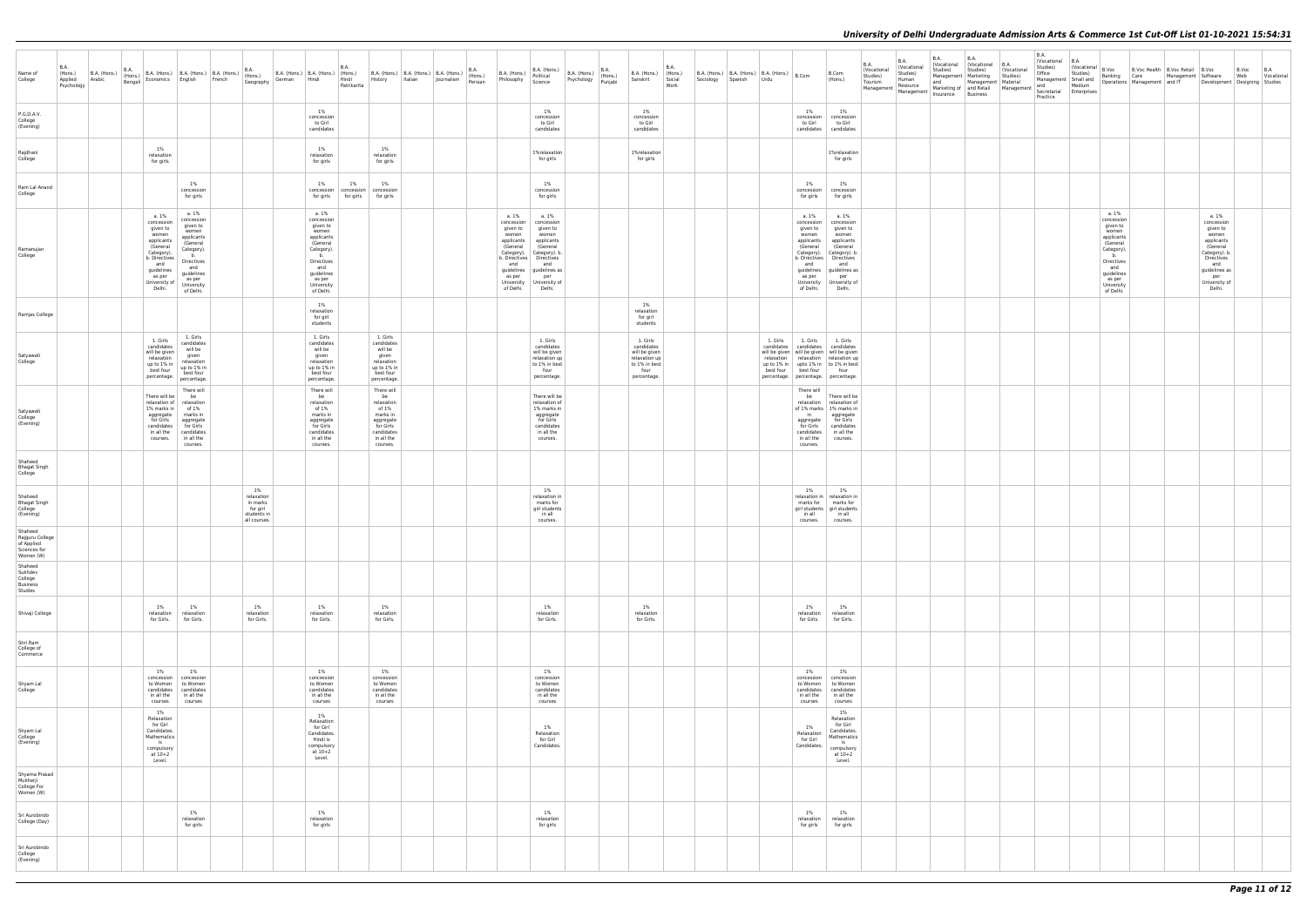| Name of<br>College                                                    | B.A.<br>(Hons.)<br>Applied<br>Psychology | B.A. (Hons.) B.A. (Hons.) B.A. (Hons.) B.A. (Hons.) B.A. (Hons.) B.A. (Hons.) B.A. (Hons.) B.A. (Hons.) B.A. (Hons.) B.A. (Hons.) B.A. (Hons.) B.A. (Hons.) B.A. (Hons.) B.A. (Hons.) B.A. (Hons.) B.A. (Hons.) B.A. (Hons.) B |                                                                                                                                                    |                                                                                                                                                                |                                                                         |                                                                                                                                                                | <b>B.A.</b><br>Patrikarita |                                                                                                                       |  | B.A. (Hons.) $\left  \begin{array}{c} \mathbf{b} \cdot \mathbf{a}_{1} \cdot \mathbf{b}_{2} \cdot \mathbf{c}_{3} \\ \text{Politional} \end{array} \right $<br>Philosophy Science |                                                                                                                                                                                                   | $\Big $ B.A. (Hons.) $\Big $ B.A. (Hons.) $\Big $ B.A. (Hons.)<br>Psychology Punjabi |                                                                                                  | <b>B.A.</b><br>B.A. (Hons.) (Hons.)<br>Sanskrit Social<br>Work | B.A. (Hons.)   B.A. (Hons.)   B.A. (Hons.)   B.Com<br>Sociology Spanish Urdu |                                                                                               | B.Com<br>(Hons.)                                                                                                                                                                                                                      | <b>B.A.</b><br>Vocational<br>Studies)<br>Tourism | <b>B.A.</b><br>(Vocational<br>Studies)<br>Human<br>Resource<br>Management Mesource Markeuny or and the Management Management Misurance | B.A.<br>Studies) | <b>B.A.</b><br>(Vocational (Vocational B.A.<br>Studies)<br>Management Marketing Studies)<br>Management   Material<br>and Marketing of Management Material and Medium<br>Marketing of and Retail Management Secretarial Enterprises | (Vocational | <b>B.A.</b><br>Vocational B.A.<br>Studies)<br>Office<br>Practice | Studies)<br>Management Small and | Vocational B.Voc                                                                                                                                               | B.Voc Health   B.Voc Retail   B.Voc<br>Banking Care Management Software Web Vocational<br>Operations Management and IT Development Designing Studies |                                                                                                                                                             | B.Voc B.A |  |
|-----------------------------------------------------------------------|------------------------------------------|--------------------------------------------------------------------------------------------------------------------------------------------------------------------------------------------------------------------------------|----------------------------------------------------------------------------------------------------------------------------------------------------|----------------------------------------------------------------------------------------------------------------------------------------------------------------|-------------------------------------------------------------------------|----------------------------------------------------------------------------------------------------------------------------------------------------------------|----------------------------|-----------------------------------------------------------------------------------------------------------------------|--|---------------------------------------------------------------------------------------------------------------------------------------------------------------------------------|---------------------------------------------------------------------------------------------------------------------------------------------------------------------------------------------------|--------------------------------------------------------------------------------------|--------------------------------------------------------------------------------------------------|----------------------------------------------------------------|------------------------------------------------------------------------------|-----------------------------------------------------------------------------------------------|---------------------------------------------------------------------------------------------------------------------------------------------------------------------------------------------------------------------------------------|--------------------------------------------------|----------------------------------------------------------------------------------------------------------------------------------------|------------------|------------------------------------------------------------------------------------------------------------------------------------------------------------------------------------------------------------------------------------|-------------|------------------------------------------------------------------|----------------------------------|----------------------------------------------------------------------------------------------------------------------------------------------------------------|------------------------------------------------------------------------------------------------------------------------------------------------------|-------------------------------------------------------------------------------------------------------------------------------------------------------------|-----------|--|
| P.G.D.A.V.<br>College<br>(Evening)                                    |                                          |                                                                                                                                                                                                                                |                                                                                                                                                    |                                                                                                                                                                |                                                                         | 1%<br>concession<br>to Girl<br>candidates                                                                                                                      |                            |                                                                                                                       |  |                                                                                                                                                                                 | 1%<br>concession<br>to Girl<br>candidates                                                                                                                                                         |                                                                                      | $1\%$<br>concession<br>to Girl<br>candidates                                                     |                                                                |                                                                              | 1%<br>to Girl                                                                                 | 1%<br>concession concession<br>to Girl<br>candidates candidates                                                                                                                                                                       |                                                  |                                                                                                                                        |                  |                                                                                                                                                                                                                                    |             |                                                                  |                                  |                                                                                                                                                                |                                                                                                                                                      |                                                                                                                                                             |           |  |
| Rajdhani<br>College                                                   |                                          |                                                                                                                                                                                                                                | 1%<br>relaxation<br>for girls                                                                                                                      |                                                                                                                                                                |                                                                         | $1\%$<br>relaxation<br>for girls                                                                                                                               |                            | 1%<br>relaxation<br>for girls                                                                                         |  |                                                                                                                                                                                 | 1%relaxation<br>for girls                                                                                                                                                                         |                                                                                      | 1%relaxation<br>for girls                                                                        |                                                                |                                                                              |                                                                                               | 1%relaxation<br>for girls                                                                                                                                                                                                             |                                                  |                                                                                                                                        |                  |                                                                                                                                                                                                                                    |             |                                                                  |                                  |                                                                                                                                                                |                                                                                                                                                      |                                                                                                                                                             |           |  |
| Ram Lal Anand<br>College                                              |                                          |                                                                                                                                                                                                                                |                                                                                                                                                    | 1%<br>concession<br>for girls                                                                                                                                  |                                                                         | $1\%$                                                                                                                                                          | 1%                         | 1%<br>concession concession concession<br>for girls   for girls   for girls                                           |  |                                                                                                                                                                                 | $1\%$<br>concession<br>for girls                                                                                                                                                                  |                                                                                      |                                                                                                  |                                                                |                                                                              | 1%<br>for girls                                                                               | 1%<br>concession concession<br>for girls                                                                                                                                                                                              |                                                  |                                                                                                                                        |                  |                                                                                                                                                                                                                                    |             |                                                                  |                                  |                                                                                                                                                                |                                                                                                                                                      |                                                                                                                                                             |           |  |
| Ramanujan<br>College                                                  |                                          | a.1%                                                                                                                                                                                                                           | concession<br>given to<br>women<br>applicants<br>(General<br>Category).<br>b. Directives<br>and<br>guidelines<br>as per<br>University of<br>Delhi. | a. 1%<br>concession<br>given to<br>women<br>applicants<br>(General<br>Category).<br>b.<br>Directives<br>and<br>guidelines<br>as per<br>University<br>of Delhi. |                                                                         | a. 1%<br>concession<br>given to<br>women<br>applicants<br>(General<br>Category).<br>b.<br>Directives<br>and<br>guidelines<br>as per<br>University<br>of Delhi. |                            |                                                                                                                       |  | a. 1%<br>concession<br>given to<br>women<br>applicants<br>(General<br>and<br>as per<br>University<br>of Delhi.                                                                  | a. 1%<br>concession<br>given to<br>women<br>applicants<br>(General<br>Category). Category). b.<br>b. Directives   Directives<br>and<br>guidelines guidelines as<br>per<br>University of<br>Delhi. |                                                                                      |                                                                                                  |                                                                |                                                                              | a. 1%<br>given to<br>women<br>applicants<br>(General<br>and<br>as per<br>of Delhi.            | a. 1%<br>concession concession<br>given to<br>women<br>applicants<br>(General<br>Category).   Category). b.<br>b. Directives Directives<br>and<br>guidelines guidelines as<br>per<br>University University of<br>Delhi.               |                                                  |                                                                                                                                        |                  |                                                                                                                                                                                                                                    |             |                                                                  |                                  | a. 1%<br>concession<br>given to<br>women<br>applicants<br>(General<br>Category).<br>b.<br>Directives<br>and<br>guidelines<br>as per<br>University<br>of Delhi. |                                                                                                                                                      | a. 1%<br>concession<br>given to<br>women<br>applicants<br>(General<br>Category). b.<br>Directives<br>and<br>guidelines as<br>per<br>University of<br>Delhi. |           |  |
| Ramjas College                                                        |                                          |                                                                                                                                                                                                                                |                                                                                                                                                    |                                                                                                                                                                |                                                                         | 1%<br>relaxation<br>for girl<br>students                                                                                                                       |                            |                                                                                                                       |  |                                                                                                                                                                                 |                                                                                                                                                                                                   |                                                                                      | $1\%$<br>relaxation<br>for girl<br>students                                                      |                                                                |                                                                              |                                                                                               |                                                                                                                                                                                                                                       |                                                  |                                                                                                                                        |                  |                                                                                                                                                                                                                                    |             |                                                                  |                                  |                                                                                                                                                                |                                                                                                                                                      |                                                                                                                                                             |           |  |
| Satyawati<br>College                                                  |                                          |                                                                                                                                                                                                                                | 1. Girls<br>candidates<br>will be given<br>relaxation<br>up to 1% in<br>best four                                                                  | 1. Girls<br>candidates<br>will be<br>given<br>relaxation<br>up to 1% in<br>best four<br>percentage. percentage.                                                |                                                                         | 1. Girls<br>candidates<br>will be<br>given<br>relaxation<br>up to 1% in<br>best four<br>percentage.                                                            |                            | 1. Girls<br>candidates<br>will be<br>given<br>relaxation<br>up to 1% in<br>best four<br>percentage.                   |  |                                                                                                                                                                                 | 1. Girls<br>candidates<br>will be given<br>relaxation up<br>to 1% in best<br>four<br>percentage.                                                                                                  |                                                                                      | 1. Girls<br>candidates<br>will be given<br>relaxation up<br>to 1% in best<br>four<br>percentage. |                                                                |                                                                              | best four best four four                                                                      | 1. Girls 1. Girls 1. Girls<br>candidates candidates candidates<br>will be given   will be given   will be given<br>relaxation relaxation relaxation up<br>up to 1% in upto 1% in to 1% in best<br>percentage. percentage. percentage. |                                                  |                                                                                                                                        |                  |                                                                                                                                                                                                                                    |             |                                                                  |                                  |                                                                                                                                                                |                                                                                                                                                      |                                                                                                                                                             |           |  |
| Satyawati<br>College<br>(Evening)                                     |                                          |                                                                                                                                                                                                                                | There will be be<br>1% marks in of 1%<br>in all the<br>courses.                                                                                    | There will<br>relaxation of relaxation<br>aggregate marks in<br>for Girls   aggregate<br>candidates   for Girls<br>candidates<br>in all the<br>courses.        |                                                                         | There will<br>be<br>relaxation<br>of 1%<br>marks in<br>aggregate<br>for Girls<br>candidates<br>in all the<br>courses.                                          |                            | There will<br>be<br>relaxation<br>of 1%<br>marks in<br>aggregate<br>for Girls<br>candidates<br>in all the<br>courses. |  |                                                                                                                                                                                 | There will be<br>relaxation of<br>1% marks in<br>aggregate<br>for Girls<br>candidates<br>in all the<br>courses.                                                                                   |                                                                                      |                                                                                                  |                                                                |                                                                              | There will<br>$\mathsf{in}$<br>aggregate<br>for Girls<br>candidates<br>in all the<br>courses. | be There will be<br>relaxation   relaxation of<br>of 1% marks   1% marks in<br>aggregate<br>for Girls<br>candidates<br>in all the<br>courses.                                                                                         |                                                  |                                                                                                                                        |                  |                                                                                                                                                                                                                                    |             |                                                                  |                                  |                                                                                                                                                                |                                                                                                                                                      |                                                                                                                                                             |           |  |
| Shaheed<br><b>Bhagat Singh</b><br>College                             |                                          |                                                                                                                                                                                                                                |                                                                                                                                                    |                                                                                                                                                                |                                                                         |                                                                                                                                                                |                            |                                                                                                                       |  |                                                                                                                                                                                 |                                                                                                                                                                                                   |                                                                                      |                                                                                                  |                                                                |                                                                              |                                                                                               |                                                                                                                                                                                                                                       |                                                  |                                                                                                                                        |                  |                                                                                                                                                                                                                                    |             |                                                                  |                                  |                                                                                                                                                                |                                                                                                                                                      |                                                                                                                                                             |           |  |
| Shaheed<br><b>Bhagat Singh</b><br>College<br>(Evening)                |                                          |                                                                                                                                                                                                                                |                                                                                                                                                    |                                                                                                                                                                | 1%<br>relaxation<br>in marks<br>for girl<br>students in<br>all courses. |                                                                                                                                                                |                            |                                                                                                                       |  |                                                                                                                                                                                 | 1%<br>relaxation in<br>marks for<br>girl students<br>in all<br>courses.                                                                                                                           |                                                                                      |                                                                                                  |                                                                |                                                                              | 1%<br>in all<br>courses.                                                                      | 1%<br>relaxation in relaxation in<br>marks for   marks for<br>girl students   girl students<br>in all<br>courses.                                                                                                                     |                                                  |                                                                                                                                        |                  |                                                                                                                                                                                                                                    |             |                                                                  |                                  |                                                                                                                                                                |                                                                                                                                                      |                                                                                                                                                             |           |  |
| Shaheed<br>Rajguru College<br>of Applied<br>Sciences for<br>Women (W) |                                          |                                                                                                                                                                                                                                |                                                                                                                                                    |                                                                                                                                                                |                                                                         |                                                                                                                                                                |                            |                                                                                                                       |  |                                                                                                                                                                                 |                                                                                                                                                                                                   |                                                                                      |                                                                                                  |                                                                |                                                                              |                                                                                               |                                                                                                                                                                                                                                       |                                                  |                                                                                                                                        |                  |                                                                                                                                                                                                                                    |             |                                                                  |                                  |                                                                                                                                                                |                                                                                                                                                      |                                                                                                                                                             |           |  |
| Shaheed<br>Sukhdev<br>College<br><b>Business</b><br>Studies           |                                          |                                                                                                                                                                                                                                |                                                                                                                                                    |                                                                                                                                                                |                                                                         |                                                                                                                                                                |                            |                                                                                                                       |  |                                                                                                                                                                                 |                                                                                                                                                                                                   |                                                                                      |                                                                                                  |                                                                |                                                                              |                                                                                               |                                                                                                                                                                                                                                       |                                                  |                                                                                                                                        |                  |                                                                                                                                                                                                                                    |             |                                                                  |                                  |                                                                                                                                                                |                                                                                                                                                      |                                                                                                                                                             |           |  |
| Shivaji College                                                       |                                          |                                                                                                                                                                                                                                | 1%<br>relaxation<br>for Girls.                                                                                                                     | 1%<br>relaxation<br>for Girls.                                                                                                                                 | 1%<br>relaxation<br>for Girls.                                          | 1%<br>relaxation<br>for Girls.                                                                                                                                 |                            | 1%<br>relaxation<br>for Girls.                                                                                        |  |                                                                                                                                                                                 | 1%<br>relaxation<br>for Girls.                                                                                                                                                                    |                                                                                      | 1%<br>relaxation<br>for Girls.                                                                   |                                                                |                                                                              | 1%<br>relaxation<br>for Girls.                                                                | 1%<br>relaxation<br>for Girls.                                                                                                                                                                                                        |                                                  |                                                                                                                                        |                  |                                                                                                                                                                                                                                    |             |                                                                  |                                  |                                                                                                                                                                |                                                                                                                                                      |                                                                                                                                                             |           |  |
| Shri Ram<br>College of<br>Commerce                                    |                                          |                                                                                                                                                                                                                                |                                                                                                                                                    |                                                                                                                                                                |                                                                         |                                                                                                                                                                |                            |                                                                                                                       |  |                                                                                                                                                                                 |                                                                                                                                                                                                   |                                                                                      |                                                                                                  |                                                                |                                                                              |                                                                                               |                                                                                                                                                                                                                                       |                                                  |                                                                                                                                        |                  |                                                                                                                                                                                                                                    |             |                                                                  |                                  |                                                                                                                                                                |                                                                                                                                                      |                                                                                                                                                             |           |  |
| Shyam Lal<br>College                                                  |                                          |                                                                                                                                                                                                                                | $1\%$<br>concession<br>courses                                                                                                                     | 1%<br>concession<br>to Women to Women<br>candidates candidates<br>in all the   in all the<br>courses                                                           |                                                                         | 1%<br>concession<br>to Women<br>candidates<br>in all the<br>courses                                                                                            |                            | 1%<br>concession<br>to Women<br>candidates<br>in all the<br>courses                                                   |  |                                                                                                                                                                                 | $1\%$<br>concession<br>to Women<br>candidates<br>in all the<br>courses                                                                                                                            |                                                                                      |                                                                                                  |                                                                |                                                                              | 1%<br>courses                                                                                 | 1%<br>concession concession<br>to Women to Women<br>candidates candidates<br>in all the   in all the<br>courses                                                                                                                       |                                                  |                                                                                                                                        |                  |                                                                                                                                                                                                                                    |             |                                                                  |                                  |                                                                                                                                                                |                                                                                                                                                      |                                                                                                                                                             |           |  |
| Shyam Lal<br>College<br>(Evening)                                     |                                          |                                                                                                                                                                                                                                | 1%<br>Relaxation<br>for Girl<br>Candidates.<br>Mathematics<br>$\overline{\phantom{a}}$ is<br>compulsory<br>at $10+2$<br>Level.                     |                                                                                                                                                                |                                                                         | 1%<br>Relaxation<br>for Girl<br>Candidates.<br>Hindi is<br>compulsory<br>at $10+2$<br>Level.                                                                   |                            |                                                                                                                       |  |                                                                                                                                                                                 | 1%<br>Relaxation<br>for Girl<br>Candidates.                                                                                                                                                       |                                                                                      |                                                                                                  |                                                                |                                                                              | 1%<br>Relaxation<br>for Girl<br>Candidates.                                                   | 1%<br>Relaxation<br>for Girl<br>Candidates.<br>Mathematics<br>$\overline{\phantom{a}}$ is<br>compulsory<br>at $10+2$<br>Level.                                                                                                        |                                                  |                                                                                                                                        |                  |                                                                                                                                                                                                                                    |             |                                                                  |                                  |                                                                                                                                                                |                                                                                                                                                      |                                                                                                                                                             |           |  |
| Shyama Prasad<br>Mukherji<br>College For<br>Women (W)                 |                                          |                                                                                                                                                                                                                                |                                                                                                                                                    |                                                                                                                                                                |                                                                         |                                                                                                                                                                |                            |                                                                                                                       |  |                                                                                                                                                                                 |                                                                                                                                                                                                   |                                                                                      |                                                                                                  |                                                                |                                                                              |                                                                                               |                                                                                                                                                                                                                                       |                                                  |                                                                                                                                        |                  |                                                                                                                                                                                                                                    |             |                                                                  |                                  |                                                                                                                                                                |                                                                                                                                                      |                                                                                                                                                             |           |  |
| Sri Aurobindo<br>College (Day)                                        |                                          |                                                                                                                                                                                                                                |                                                                                                                                                    | 1%<br>relaxation<br>for girls                                                                                                                                  |                                                                         | 1%<br>relaxation<br>for girls                                                                                                                                  |                            |                                                                                                                       |  |                                                                                                                                                                                 | 1%<br>relaxation<br>for girls                                                                                                                                                                     |                                                                                      |                                                                                                  |                                                                |                                                                              | $1\%$<br>relaxation<br>for girls                                                              | 1%<br>relaxation<br>for girls                                                                                                                                                                                                         |                                                  |                                                                                                                                        |                  |                                                                                                                                                                                                                                    |             |                                                                  |                                  |                                                                                                                                                                |                                                                                                                                                      |                                                                                                                                                             |           |  |
| Sri Aurobindo<br>College<br>(Evening)                                 |                                          |                                                                                                                                                                                                                                |                                                                                                                                                    |                                                                                                                                                                |                                                                         |                                                                                                                                                                |                            |                                                                                                                       |  |                                                                                                                                                                                 |                                                                                                                                                                                                   |                                                                                      |                                                                                                  |                                                                |                                                                              |                                                                                               |                                                                                                                                                                                                                                       |                                                  |                                                                                                                                        |                  |                                                                                                                                                                                                                                    |             |                                                                  |                                  |                                                                                                                                                                |                                                                                                                                                      |                                                                                                                                                             |           |  |